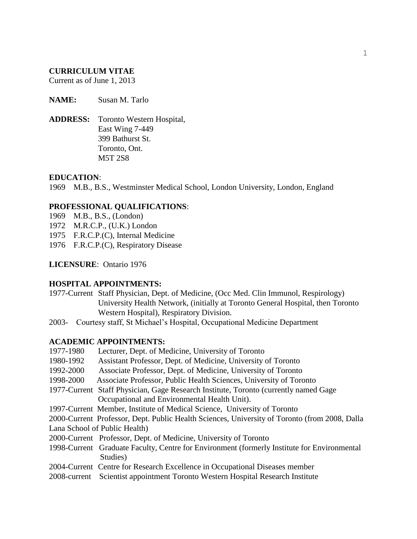#### **CURRICULUM VITAE**

Current as of June 1, 2013

**NAME:** Susan M. Tarlo

**ADDRESS:** Toronto Western Hospital, East Wing 7-449 399 Bathurst St. Toronto, Ont. M5T 2S8

#### **EDUCATION**:

1969 M.B., B.S., Westminster Medical School, London University, London, England

#### **PROFESSIONAL QUALIFICATIONS**:

- 1969 M.B., B.S., (London)
- 1972 M.R.C.P., (U.K.) London
- 1975 F.R.C.P.(C), Internal Medicine
- 1976 F.R.C.P.(C), Respiratory Disease

**LICENSURE**: Ontario 1976

#### **HOSPITAL APPOINTMENTS:**

- 1977-Current Staff Physician, Dept. of Medicine, (Occ Med. Clin Immunol, Respirology) University Health Network, (initially at Toronto General Hospital, then Toronto Western Hospital), Respiratory Division.
- 2003- Courtesy staff, St Michael's Hospital, Occupational Medicine Department

# **ACADEMIC APPOINTMENTS:**

| 1977-1980 | Lecturer, Dept. of Medicine, University of Toronto                                            |
|-----------|-----------------------------------------------------------------------------------------------|
| 1980-1992 | Assistant Professor, Dept. of Medicine, University of Toronto                                 |
| 1992-2000 | Associate Professor, Dept. of Medicine, University of Toronto                                 |
| 1998-2000 | Associate Professor, Public Health Sciences, University of Toronto                            |
|           | 1977-Current Staff Physician, Gage Research Institute, Toronto (currently named Gage)         |
|           | Occupational and Environmental Health Unit).                                                  |
|           | 1997-Current Member, Institute of Medical Science, University of Toronto                      |
|           | 2000-Current Professor, Dept. Public Health Sciences, University of Toronto (from 2008, Dalla |
|           | Lana School of Public Health)                                                                 |
|           | 2000-Current Professor, Dept. of Medicine, University of Toronto                              |
|           | 1998-Current Graduate Faculty, Centre for Environment (formerly Institute for Environmental   |
|           | Studies)                                                                                      |
|           | 2004-Current Centre for Research Excellence in Occupational Diseases member                   |
|           | 2008-current Scientist appointment Toronto Western Hospital Research Institute                |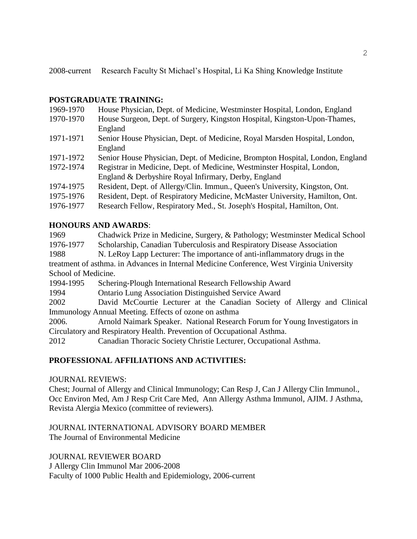2008-current Research Faculty St Michael's Hospital, Li Ka Shing Knowledge Institute

# **POSTGRADUATE TRAINING:**

| 1969-1970 | House Physician, Dept. of Medicine, Westminster Hospital, London, England     |
|-----------|-------------------------------------------------------------------------------|
| 1970-1970 | House Surgeon, Dept. of Surgery, Kingston Hospital, Kingston-Upon-Thames,     |
|           | England                                                                       |
| 1971-1971 | Senior House Physician, Dept. of Medicine, Royal Marsden Hospital, London,    |
|           | England                                                                       |
| 1971-1972 | Senior House Physician, Dept. of Medicine, Brompton Hospital, London, England |
| 1972-1974 | Registrar in Medicine, Dept. of Medicine, Westminster Hospital, London,       |
|           | England & Derbyshire Royal Infirmary, Derby, England                          |
| 1974-1975 | Resident, Dept. of Allergy/Clin. Immun., Queen's University, Kingston, Ont.   |
| 1975-1976 | Resident, Dept. of Respiratory Medicine, McMaster University, Hamilton, Ont.  |
| 1976-1977 | Research Fellow, Respiratory Med., St. Joseph's Hospital, Hamilton, Ont.      |
|           |                                                                               |

# **HONOURS AND AWARDS**:

1969 Chadwick Prize in Medicine, Surgery, & Pathology; Westminster Medical School 1976-1977 Scholarship, Canadian Tuberculosis and Respiratory Disease Association 1988 N. LeRoy Lapp Lecturer: The importance of anti-inflammatory drugs in the treatment of asthma. in Advances in Internal Medicine Conference, West Virginia University School of Medicine. 1994-1995 Schering-Plough International Research Fellowship Award 1994 Ontario Lung Association Distinguished Service Award 2002 David McCourtie Lecturer at the Canadian Society of Allergy and Clinical

Immunology Annual Meeting. Effects of ozone on asthma

2006. Arnold Naimark Speaker. National Research Forum for Young Investigators in Circulatory and Respiratory Health. Prevention of Occupational Asthma.

2012 Canadian Thoracic Society Christie Lecturer, Occupational Asthma.

# **PROFESSIONAL AFFILIATIONS AND ACTIVITIES:**

JOURNAL REVIEWS:

Chest; Journal of Allergy and Clinical Immunology; Can Resp J, Can J Allergy Clin Immunol., Occ Environ Med, Am J Resp Crit Care Med, Ann Allergy Asthma Immunol, AJIM. J Asthma, Revista Alergia Mexico (committee of reviewers).

#### JOURNAL INTERNATIONAL ADVISORY BOARD MEMBER The Journal of Environmental Medicine

JOURNAL REVIEWER BOARD J Allergy Clin Immunol Mar 2006-2008 Faculty of 1000 Public Health and Epidemiology, 2006-current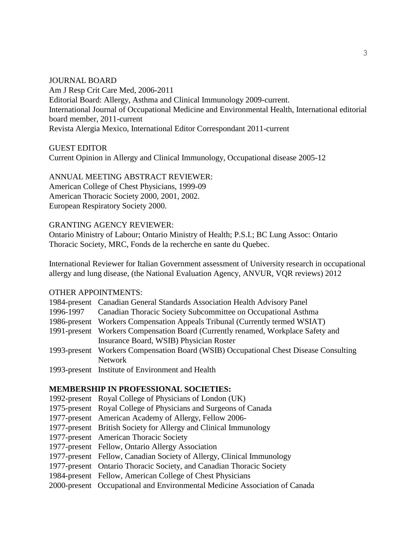JOURNAL BOARD Am J Resp Crit Care Med, 2006-2011 Editorial Board: Allergy, Asthma and Clinical Immunology 2009-current. International Journal of Occupational Medicine and Environmental Health, International editorial board member, 2011-current Revista Alergia Mexico, International Editor Correspondant 2011-current

GUEST EDITOR

Current Opinion in Allergy and Clinical Immunology, Occupational disease 2005-12

#### ANNUAL MEETING ABSTRACT REVIEWER:

American College of Chest Physicians, 1999-09 American Thoracic Society 2000, 2001, 2002. European Respiratory Society 2000.

#### GRANTING AGENCY REVIEWER:

Ontario Ministry of Labour; Ontario Ministry of Health; P.S.I.; BC Lung Assoc: Ontario Thoracic Society, MRC, Fonds de la recherche en sante du Quebec.

International Reviewer for Italian Government assessment of University research in occupational allergy and lung disease, (the National Evaluation Agency, ANVUR, VQR reviews) 2012

#### OTHER APPOINTMENTS:

|           | 1984-present Canadian General Standards Association Health Advisory Panel            |
|-----------|--------------------------------------------------------------------------------------|
| 1996-1997 | Canadian Thoracic Society Subcommittee on Occupational Asthma                        |
|           | 1986-present Workers Compensation Appeals Tribunal (Currently termed WSIAT)          |
|           | 1991-present Workers Compensation Board (Currently renamed, Workplace Safety and     |
|           | Insurance Board, WSIB) Physician Roster                                              |
|           | 1993-present Workers Compensation Board (WSIB) Occupational Chest Disease Consulting |
|           | Network                                                                              |
|           | 1002 nuocent Institute of Environment and Hoolth                                     |

1993-present Institute of Environment and Health

#### **MEMBERSHIP IN PROFESSIONAL SOCIETIES:**

- 1992-present Royal College of Physicians of London (UK)
- 1975-present Royal College of Physicians and Surgeons of Canada
- 1977-present American Academy of Allergy, Fellow 2006-
- 1977-present British Society for Allergy and Clinical Immunology
- 1977-present American Thoracic Society
- 1977-present Fellow, Ontario Allergy Association
- 1977-present Fellow, Canadian Society of Allergy, Clinical Immunology
- 1977-present Ontario Thoracic Society, and Canadian Thoracic Society
- 1984-present Fellow, American College of Chest Physicians
- 2000-present Occupational and Environmental Medicine Association of Canada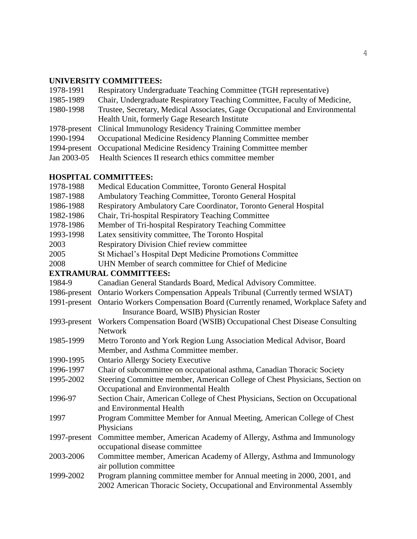# **UNIVERSITY COMMITTEES:**

| 1978-1991 | Respiratory Undergraduate Teaching Committee (TGH representative)           |
|-----------|-----------------------------------------------------------------------------|
| 1985-1989 | Chair, Undergraduate Respiratory Teaching Committee, Faculty of Medicine,   |
| 1980-1998 | Trustee, Secretary, Medical Associates, Gage Occupational and Environmental |
|           | Health Unit, formerly Gage Research Institute                               |
|           | 1978-present Clinical Immunology Residency Training Committee member        |
| 1990-1994 | Occupational Medicine Residency Planning Committee member                   |
|           | 1994-present Occupational Medicine Residency Training Committee member      |
|           | Jan 2003-05 Health Sciences II research ethics committee member             |
|           |                                                                             |

# **HOSPITAL COMMITTEES:**

| 1978-1988    | Medical Education Committee, Toronto General Hospital                        |
|--------------|------------------------------------------------------------------------------|
| 1987-1988    | Ambulatory Teaching Committee, Toronto General Hospital                      |
| 1986-1988    | Respiratory Ambulatory Care Coordinator, Toronto General Hospital            |
| 1982-1986    | Chair, Tri-hospital Respiratory Teaching Committee                           |
| 1978-1986    | Member of Tri-hospital Respiratory Teaching Committee                        |
| 1993-1998    | Latex sensitivity committee, The Toronto Hospital                            |
| 2003         | <b>Respiratory Division Chief review committee</b>                           |
| 2005         | St Michael's Hospital Dept Medicine Promotions Committee                     |
| 2008         | UHN Member of search committee for Chief of Medicine                         |
|              | <b>EXTRAMURAL COMMITTEES:</b>                                                |
| 1984-9       | Canadian General Standards Board, Medical Advisory Committee.                |
| 1986-present | Ontario Workers Compensation Appeals Tribunal (Currently termed WSIAT)       |
| 1991-present | Ontario Workers Compensation Board (Currently renamed, Workplace Safety and  |
|              | Insurance Board, WSIB) Physician Roster                                      |
| 1993-present | Workers Compensation Board (WSIB) Occupational Chest Disease Consulting      |
|              | <b>Network</b>                                                               |
| 1985-1999    | Metro Toronto and York Region Lung Association Medical Advisor, Board        |
|              | Member, and Asthma Committee member.                                         |
| 1990-1995    | <b>Ontario Allergy Society Executive</b>                                     |
| 1996-1997    | Chair of subcommittee on occupational asthma, Canadian Thoracic Society      |
| 1995-2002    | Steering Committee member, American College of Chest Physicians, Section on  |
|              | Occupational and Environmental Health                                        |
| 1996-97      | Section Chair, American College of Chest Physicians, Section on Occupational |
|              | and Environmental Health                                                     |
| 1997         | Program Committee Member for Annual Meeting, American College of Chest       |
|              | Physicians                                                                   |
| 1997-present | Committee member, American Academy of Allergy, Asthma and Immunology         |
|              | occupational disease committee                                               |
| 2003-2006    | Committee member, American Academy of Allergy, Asthma and Immunology         |
|              | air pollution committee                                                      |
| 1999-2002    | Program planning committee member for Annual meeting in 2000, 2001, and      |
|              | 2002 American Thoracic Society, Occupational and Environmental Assembly      |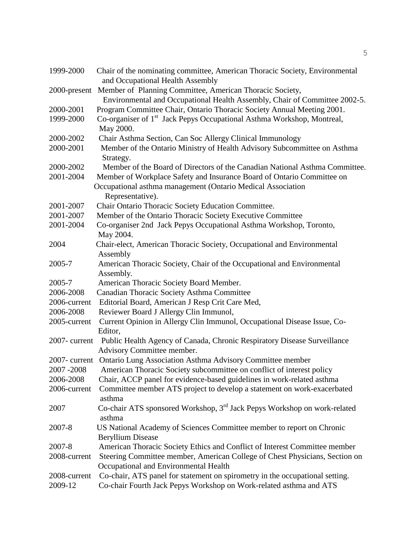| 1999-2000        | Chair of the nominating committee, American Thoracic Society, Environmental<br>and Occupational Health Assembly |
|------------------|-----------------------------------------------------------------------------------------------------------------|
| 2000-present     | Member of Planning Committee, American Thoracic Society,                                                        |
|                  | Environmental and Occupational Health Assembly, Chair of Committee 2002-5.                                      |
| 2000-2001        | Program Committee Chair, Ontario Thoracic Society Annual Meeting 2001.                                          |
| 1999-2000        | Co-organiser of 1 <sup>st</sup> Jack Pepys Occupational Asthma Workshop, Montreal,                              |
|                  | May 2000.                                                                                                       |
| 2000-2002        | Chair Asthma Section, Can Soc Allergy Clinical Immunology                                                       |
| 2000-2001        | Member of the Ontario Ministry of Health Advisory Subcommittee on Asthma                                        |
|                  | Strategy.                                                                                                       |
| 2000-2002        | Member of the Board of Directors of the Canadian National Asthma Committee.                                     |
| 2001-2004        | Member of Workplace Safety and Insurance Board of Ontario Committee on                                          |
|                  | Occupational asthma management (Ontario Medical Association                                                     |
|                  | Representative).                                                                                                |
| 2001-2007        | Chair Ontario Thoracic Society Education Committee.                                                             |
| 2001-2007        | Member of the Ontario Thoracic Society Executive Committee                                                      |
| 2001-2004        | Co-organiser 2nd Jack Pepys Occupational Asthma Workshop, Toronto,                                              |
|                  | May 2004.                                                                                                       |
| 2004             | Chair-elect, American Thoracic Society, Occupational and Environmental                                          |
|                  | Assembly                                                                                                        |
| 2005-7           | American Thoracic Society, Chair of the Occupational and Environmental                                          |
|                  | Assembly.                                                                                                       |
| 2005-7           | American Thoracic Society Board Member.                                                                         |
| 2006-2008        | Canadian Thoracic Society Asthma Committee                                                                      |
| 2006-current     | Editorial Board, American J Resp Crit Care Med,                                                                 |
| 2006-2008        | Reviewer Board J Allergy Clin Immunol,                                                                          |
| 2005-current     | Current Opinion in Allergy Clin Immunol, Occupational Disease Issue, Co-                                        |
|                  | Editor,                                                                                                         |
| 2007-current     | Public Health Agency of Canada, Chronic Respiratory Disease Surveillance                                        |
|                  | Advisory Committee member.                                                                                      |
| $2007$ - current | Ontario Lung Association Asthma Advisory Committee member                                                       |
| 2007 - 2008      | American Thoracic Society subcommittee on conflict of interest policy                                           |
| 2006-2008        | Chair, ACCP panel for evidence-based guidelines in work-related asthma                                          |
| 2006-current     | Committee member ATS project to develop a statement on work-exacerbated                                         |
|                  | asthma                                                                                                          |
| 2007             | Co-chair ATS sponsored Workshop, 3 <sup>rd</sup> Jack Pepys Workshop on work-related<br>asthma                  |
| 2007-8           | US National Academy of Sciences Committee member to report on Chronic                                           |
|                  | <b>Beryllium Disease</b>                                                                                        |
| 2007-8           | American Thoracic Society Ethics and Conflict of Interest Committee member                                      |
| 2008-current     | Steering Committee member, American College of Chest Physicians, Section on                                     |
|                  | Occupational and Environmental Health                                                                           |
| 2008-current     | Co-chair, ATS panel for statement on spirometry in the occupational setting.                                    |
| 2009-12          | Co-chair Fourth Jack Pepys Workshop on Work-related asthma and ATS                                              |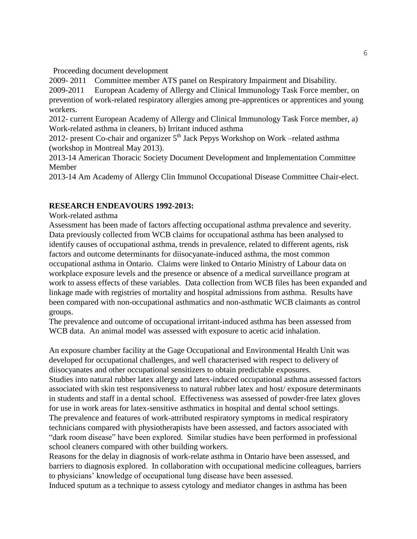Proceeding document development

2009- 2011 Committee member ATS panel on Respiratory Impairment and Disability.

2009-2011 European Academy of Allergy and Clinical Immunology Task Force member, on prevention of work-related respiratory allergies among pre-apprentices or apprentices and young workers.

2012- current European Academy of Allergy and Clinical Immunology Task Force member, a) Work-related asthma in cleaners, b) Irritant induced asthma

2012- present Co-chair and organizer  $5<sup>th</sup>$  Jack Pepys Workshop on Work –related asthma (workshop in Montreal May 2013).

2013-14 American Thoracic Society Document Development and Implementation Committee Member

2013-14 Am Academy of Allergy Clin Immunol Occupational Disease Committee Chair-elect.

# **RESEARCH ENDEAVOURS 1992-2013:**

Work-related asthma

Assessment has been made of factors affecting occupational asthma prevalence and severity. Data previously collected from WCB claims for occupational asthma has been analysed to identify causes of occupational asthma, trends in prevalence, related to different agents, risk factors and outcome determinants for diisocyanate-induced asthma, the most common occupational asthma in Ontario. Claims were linked to Ontario Ministry of Labour data on workplace exposure levels and the presence or absence of a medical surveillance program at work to assess effects of these variables. Data collection from WCB files has been expanded and linkage made with registries of mortality and hospital admissions from asthma. Results have been compared with non-occupational asthmatics and non-asthmatic WCB claimants as control groups.

The prevalence and outcome of occupational irritant-induced asthma has been assessed from WCB data. An animal model was assessed with exposure to acetic acid inhalation.

An exposure chamber facility at the Gage Occupational and Environmental Health Unit was developed for occupational challenges, and well characterised with respect to delivery of diisocyanates and other occupational sensitizers to obtain predictable exposures.

Studies into natural rubber latex allergy and latex-induced occupational asthma assessed factors associated with skin test responsiveness to natural rubber latex and host/ exposure determinants in students and staff in a dental school. Effectiveness was assessed of powder-free latex gloves for use in work areas for latex-sensitive asthmatics in hospital and dental school settings. The prevalence and features of work-attributed respiratory symptoms in medical respiratory technicians compared with physiotherapists have been assessed, and factors associated with "dark room disease" have been explored. Similar studies have been performed in professional school cleaners compared with other building workers.

Reasons for the delay in diagnosis of work-relate asthma in Ontario have been assessed, and barriers to diagnosis explored. In collaboration with occupational medicine colleagues, barriers to physicians' knowledge of occupational lung disease have been assessed.

Induced sputum as a technique to assess cytology and mediator changes in asthma has been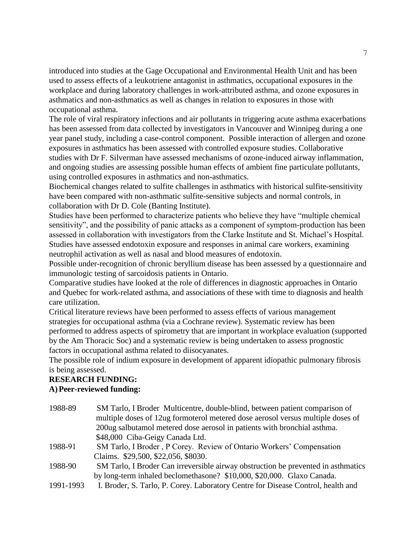introduced into studies at the Gage Occupational and Environmental Health Unit and has been used to assess effects of a leukotriene antagonist in asthmatics, occupational exposures in the workplace and during laboratory challenges in work-attributed asthma, and ozone exposures in asthmatics and non-asthmatics as well as changes in relation to exposures in those with occupational asthma.

The role of viral respiratory infections and air pollutants in triggering acute asthma exacerbations has been assessed from data collected by investigators in Vancouver and Winnipeg during a one year panel study, including a case-control component. Possible interaction of allergen and ozone exposures in asthmatics has been assessed with controlled exposure studies. Collaborative studies with Dr F. Silverman have assessed mechanisms of ozone-induced airway inflammation, and ongoing studies are assessing possible human effects of ambient fine particulate pollutants, using controlled exposures in asthmatics and non-asthmatics.

Biochemical changes related to sulfite challenges in asthmatics with historical sulfite-sensitivity have been compared with non-asthmatic sulfite-sensitive subjects and normal controls, in collaboration with Dr D. Cole (Banting Institute).

Studies have been performed to characterize patients who believe they have "multiple chemical sensitivity", and the possibility of panic attacks as a component of symptom-production has been assessed in collaboration with investigators from the Clarke Institute and St. Michael's Hospital. Studies have assessed endotoxin exposure and responses in animal care workers, examining neutrophil activation as well as nasal and blood measures of endotoxin.

Possible under-recognition of chronic beryllium disease has been assessed by a questionnaire and immunologic testing of sarcoidosis patients in Ontario.

Comparative studies have looked at the role of differences in diagnostic approaches in Ontario and Quebec for work-related asthma, and associations of these with time to diagnosis and health care utilization.

Critical literature reviews have been performed to assess effects of various management strategies for occupational asthma (via a Cochrane review). Systematic review has been performed to address aspects of spirometry that are important in workplace evaluation (supported by the Am Thoracic Soc) and a systematic review is being undertaken to assess prognostic factors in occupational asthma related to diisocyanates.

The possible role of indium exposure in development of apparent idiopathic pulmonary fibrosis is being assessed.

# **RESEARCH FUNDING: A)Peer-reviewed funding:**

| 1988-89 | SM Tarlo, I Broder Multicentre, double-blind, between patient comparison of       |
|---------|-----------------------------------------------------------------------------------|
|         | multiple doses of 12ug formoterol metered dose aerosol versus multiple doses of   |
|         | 200ug salbutamol metered dose aerosol in patients with bronchial asthma.          |
|         | \$48,000 Ciba-Geigy Canada Ltd.                                                   |
| 1988-91 | SM Tarlo, I Broder, P Corey. Review of Ontario Workers' Compensation              |
|         | Claims. \$29,500, \$22,056, \$8030.                                               |
| 1988-90 | SM Tarlo, I Broder Can irreversible airway obstruction be prevented in asthmatics |
|         | by long-term inhaled beclomethasone? \$10,000, \$20,000. Glaxo Canada.            |
|         |                                                                                   |

1991-1993 I. Broder, S. Tarlo, P. Corey. Laboratory Centre for Disease Control, health and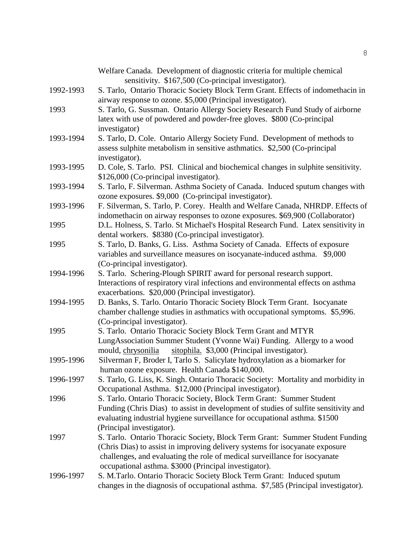|           | Welfare Canada. Development of diagnostic criteria for multiple chemical<br>sensitivity. \$167,500 (Co-principal investigator).                         |
|-----------|---------------------------------------------------------------------------------------------------------------------------------------------------------|
| 1992-1993 | S. Tarlo, Ontario Thoracic Society Block Term Grant. Effects of indomethacin in                                                                         |
|           | airway response to ozone. \$5,000 (Principal investigator).                                                                                             |
| 1993      | S. Tarlo, G. Sussman. Ontario Allergy Society Research Fund Study of airborne                                                                           |
|           | latex with use of powdered and powder-free gloves. \$800 (Co-principal                                                                                  |
|           | investigator)                                                                                                                                           |
| 1993-1994 |                                                                                                                                                         |
|           | S. Tarlo, D. Cole. Ontario Allergy Society Fund. Development of methods to<br>assess sulphite metabolism in sensitive asthmatics. \$2,500 (Co-principal |
|           |                                                                                                                                                         |
| 1993-1995 | investigator).                                                                                                                                          |
|           | D. Cole, S. Tarlo. PSI. Clinical and biochemical changes in sulphite sensitivity.                                                                       |
| 1993-1994 | \$126,000 (Co-principal investigator).<br>S. Tarlo, F. Silverman. Asthma Society of Canada. Induced sputum changes with                                 |
|           | ozone exposures. \$9,000 (Co-principal investigator).                                                                                                   |
| 1993-1996 | F. Silverman, S. Tarlo, P. Corey. Health and Welfare Canada, NHRDP. Effects of                                                                          |
|           | indomethacin on airway responses to ozone exposures. \$69,900 (Collaborator)                                                                            |
| 1995      | D.L. Holness, S. Tarlo. St Michael's Hospital Research Fund. Latex sensitivity in                                                                       |
|           | dental workers. \$8380 (Co-principal investigator).                                                                                                     |
| 1995      | S. Tarlo, D. Banks, G. Liss. Asthma Society of Canada. Effects of exposure                                                                              |
|           | variables and surveillance measures on isocyanate-induced asthma. \$9,000                                                                               |
|           | (Co-principal investigator).                                                                                                                            |
| 1994-1996 | S. Tarlo. Schering-Plough SPIRIT award for personal research support.                                                                                   |
|           | Interactions of respiratory viral infections and environmental effects on asthma                                                                        |
|           | exacerbations. \$20,000 (Principal investigator).                                                                                                       |
| 1994-1995 | D. Banks, S. Tarlo. Ontario Thoracic Society Block Term Grant. Isocyanate                                                                               |
|           | chamber challenge studies in asthmatics with occupational symptoms. \$5,996.                                                                            |
|           | (Co-principal investigator).                                                                                                                            |
| 1995      | S. Tarlo. Ontario Thoracic Society Block Term Grant and MTYR                                                                                            |
|           | LungAssociation Summer Student (Yvonne Wai) Funding. Allergy to a wood                                                                                  |
|           | sitophila. \$3,000 (Principal investigator).<br>mould, chrysonilia                                                                                      |
| 1995-1996 | Silverman F, Broder I, Tarlo S. Salicylate hydroxylation as a biomarker for                                                                             |
|           | human ozone exposure. Health Canada \$140,000.                                                                                                          |
| 1996-1997 | S. Tarlo, G. Liss, K. Singh. Ontario Thoracic Society: Mortality and morbidity in                                                                       |
|           | Occupational Asthma. \$12,000 (Principal investigator).                                                                                                 |
| 1996      | S. Tarlo. Ontario Thoracic Society, Block Term Grant: Summer Student                                                                                    |
|           | Funding (Chris Dias) to assist in development of studies of sulfite sensitivity and                                                                     |
|           | evaluating industrial hygiene surveillance for occupational asthma. \$1500                                                                              |
|           | (Principal investigator).                                                                                                                               |
| 1997      | S. Tarlo. Ontario Thoracic Society, Block Term Grant: Summer Student Funding                                                                            |
|           | (Chris Dias) to assist in improving delivery systems for isocyanate exposure                                                                            |
|           | challenges, and evaluating the role of medical surveillance for isocyanate                                                                              |
|           | occupational asthma. \$3000 (Principal investigator).                                                                                                   |
| 1996-1997 | S. M.Tarlo. Ontario Thoracic Society Block Term Grant: Induced sputum                                                                                   |
|           | changes in the diagnosis of occupational asthma. \$7,585 (Principal investigator).                                                                      |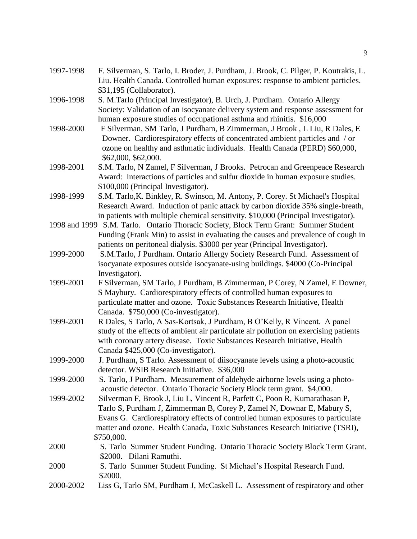| 1997-1998 | F. Silverman, S. Tarlo, I. Broder, J. Purdham, J. Brook, C. Pilger, P. Koutrakis, L.<br>Liu. Health Canada. Controlled human exposures: response to ambient particles. |
|-----------|------------------------------------------------------------------------------------------------------------------------------------------------------------------------|
|           | \$31,195 (Collaborator).                                                                                                                                               |
| 1996-1998 | S. M.Tarlo (Principal Investigator), B. Urch, J. Purdham. Ontario Allergy                                                                                              |
|           | Society: Validation of an isocyanate delivery system and response assessment for                                                                                       |
|           | human exposure studies of occupational asthma and rhinitis. \$16,000                                                                                                   |
| 1998-2000 | F Silverman, SM Tarlo, J Purdham, B Zimmerman, J Brook, L Liu, R Dales, E                                                                                              |
|           | Downer. Cardiorespiratory effects of concentrated ambient particles and / or                                                                                           |
|           | ozone on healthy and asthmatic individuals. Health Canada (PERD) \$60,000,                                                                                             |
|           | \$62,000, \$62,000.                                                                                                                                                    |
| 1998-2001 | S.M. Tarlo, N Zamel, F Silverman, J Brooks. Petrocan and Greenpeace Research                                                                                           |
|           | Award: Interactions of particles and sulfur dioxide in human exposure studies.                                                                                         |
|           | \$100,000 (Principal Investigator).                                                                                                                                    |
| 1998-1999 | S.M. Tarlo, K. Binkley, R. Swinson, M. Antony, P. Corey. St Michael's Hospital                                                                                         |
|           | Research Award. Induction of panic attack by carbon dioxide 35% single-breath,                                                                                         |
|           | in patients with multiple chemical sensitivity. \$10,000 (Principal Investigator).                                                                                     |
|           | 1998 and 1999 S.M. Tarlo. Ontario Thoracic Society, Block Term Grant: Summer Student                                                                                   |
|           | Funding (Frank Min) to assist in evaluating the causes and prevalence of cough in                                                                                      |
|           | patients on peritoneal dialysis. \$3000 per year (Principal Investigator).                                                                                             |
| 1999-2000 | S.M.Tarlo, J Purdham. Ontario Allergy Society Research Fund. Assessment of                                                                                             |
|           | isocyanate exposures outside isocyanate-using buildings. \$4000 (Co-Principal                                                                                          |
|           | Investigator).                                                                                                                                                         |
| 1999-2001 | F Silverman, SM Tarlo, J Purdham, B Zimmerman, P Corey, N Zamel, E Downer,                                                                                             |
|           | S Maybury. Cardiorespiratory effects of controlled human exposures to                                                                                                  |
|           | particulate matter and ozone. Toxic Substances Research Initiative, Health                                                                                             |
|           | Canada. \$750,000 (Co-investigator).                                                                                                                                   |
| 1999-2001 | R Dales, S Tarlo, A Sas-Kortsak, J Purdham, B O'Kelly, R Vincent. A panel                                                                                              |
|           | study of the effects of ambient air particulate air pollution on exercising patients                                                                                   |
|           | with coronary artery disease. Toxic Substances Research Initiative, Health                                                                                             |
|           | Canada \$425,000 (Co-investigator).                                                                                                                                    |
| 1999-2000 | J. Purdham, S Tarlo. Assessment of diisocyanate levels using a photo-acoustic                                                                                          |
|           | detector. WSIB Research Initiative. \$36,000                                                                                                                           |
| 1999-2000 | S. Tarlo, J Purdham. Measurement of aldehyde airborne levels using a photo-                                                                                            |
|           | acoustic detector. Ontario Thoracic Society Block term grant. \$4,000.                                                                                                 |
| 1999-2002 | Silverman F, Brook J, Liu L, Vincent R, Parfett C, Poon R, Kumarathasan P,                                                                                             |
|           | Tarlo S, Purdham J, Zimmerman B, Corey P, Zamel N, Downar E, Mabury S,                                                                                                 |
|           | Evans G. Cardiorespiratory effects of controlled human exposures to particulate<br>matter and ozone. Health Canada, Toxic Substances Research Initiative (TSRI),       |
|           | \$750,000.                                                                                                                                                             |
| 2000      | S. Tarlo Summer Student Funding. Ontario Thoracic Society Block Term Grant.                                                                                            |
|           | \$2000. - Dilani Ramuthi.                                                                                                                                              |
| 2000      | S. Tarlo Summer Student Funding. St Michael's Hospital Research Fund.                                                                                                  |
|           | \$2000.                                                                                                                                                                |
| 2000-2002 | Liss G, Tarlo SM, Purdham J, McCaskell L. Assessment of respiratory and other                                                                                          |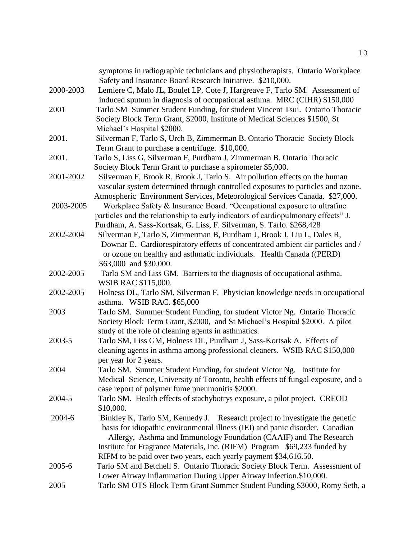|           | symptoms in radiographic technicians and physiotherapists. Ontario Workplace                                                              |
|-----------|-------------------------------------------------------------------------------------------------------------------------------------------|
| 2000-2003 | Safety and Insurance Board Research Initiative. \$210,000.<br>Lemiere C, Malo JL, Boulet LP, Cote J, Hargreave F, Tarlo SM. Assessment of |
|           | induced sputum in diagnosis of occupational asthma. MRC (CIHR) \$150,000                                                                  |
| 2001      | Tarlo SM Summer Student Funding, for student Vincent Tsui. Ontario Thoracic                                                               |
|           | Society Block Term Grant, \$2000, Institute of Medical Sciences \$1500, St                                                                |
|           | Michael's Hospital \$2000.                                                                                                                |
| 2001.     | Silverman F, Tarlo S, Urch B, Zimmerman B. Ontario Thoracic Society Block                                                                 |
|           | Term Grant to purchase a centrifuge. \$10,000.                                                                                            |
| 2001.     | Tarlo S, Liss G, Silverman F, Purdham J, Zimmerman B. Ontario Thoracic                                                                    |
|           | Society Block Term Grant to purchase a spirometer \$5,000.                                                                                |
| 2001-2002 | Silverman F, Brook R, Brook J, Tarlo S. Air pollution effects on the human                                                                |
|           | vascular system determined through controlled exposures to particles and ozone.                                                           |
|           | Atmospheric Environment Services, Meteorological Services Canada. \$27,000.                                                               |
| 2003-2005 | Workplace Safety & Insurance Board. "Occupational exposure to ultrafine                                                                   |
|           | particles and the relationship to early indicators of cardiopulmonary effects" J.                                                         |
|           | Purdham, A. Sass-Kortsak, G. Liss, F. Silverman, S. Tarlo. \$268,428                                                                      |
| 2002-2004 | Silverman F, Tarlo S, Zimmerman B, Purdham J, Brook J, Liu L, Dales R,                                                                    |
|           | Downar E. Cardiorespiratory effects of concentrated ambient air particles and /                                                           |
|           | or ozone on healthy and asthmatic individuals. Health Canada ((PERD)                                                                      |
|           | \$63,000 and \$30,000.                                                                                                                    |
| 2002-2005 | Tarlo SM and Liss GM. Barriers to the diagnosis of occupational asthma.                                                                   |
|           | WSIB RAC \$115,000.                                                                                                                       |
| 2002-2005 | Holness DL, Tarlo SM, Silverman F. Physician knowledge needs in occupational                                                              |
|           | asthma. WSIB RAC. \$65,000                                                                                                                |
| 2003      | Tarlo SM. Summer Student Funding, for student Victor Ng. Ontario Thoracic                                                                 |
|           | Society Block Term Grant, \$2000, and St Michael's Hospital \$2000. A pilot                                                               |
|           | study of the role of cleaning agents in asthmatics.                                                                                       |
| 2003-5    | Tarlo SM, Liss GM, Holness DL, Purdham J, Sass-Kortsak A. Effects of                                                                      |
|           | cleaning agents in asthma among professional cleaners. WSIB RAC \$150,000                                                                 |
|           | per year for 2 years.                                                                                                                     |
| 2004      | Tarlo SM. Summer Student Funding, for student Victor Ng. Institute for                                                                    |
|           | Medical Science, University of Toronto, health effects of fungal exposure, and a                                                          |
|           | case report of polymer fume pneumonitis \$2000.                                                                                           |
| 2004-5    | Tarlo SM. Health effects of stachybotrys exposure, a pilot project. CREOD                                                                 |
|           | \$10,000.                                                                                                                                 |
| 2004-6    | Binkley K, Tarlo SM, Kennedy J. Research project to investigate the genetic                                                               |
|           | basis for idiopathic environmental illness (IEI) and panic disorder. Canadian                                                             |
|           | Allergy, Asthma and Immunology Foundation (CAAIF) and The Research                                                                        |
|           | Institute for Fragrance Materials, Inc. (RIFM) Program \$69,233 funded by                                                                 |
|           | RIFM to be paid over two years, each yearly payment \$34,616.50.                                                                          |
| 2005-6    | Tarlo SM and Betchell S. Ontario Thoracic Society Block Term. Assessment of                                                               |
|           | Lower Airway Inflammation During Upper Airway Infection.\$10,000.                                                                         |
| 2005      | Tarlo SM OTS Block Term Grant Summer Student Funding \$3000, Romy Seth, a                                                                 |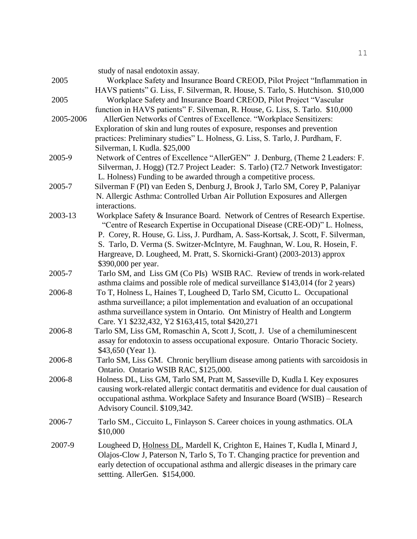|           | study of nasal endotoxin assay.                                                                                                                                                                      |
|-----------|------------------------------------------------------------------------------------------------------------------------------------------------------------------------------------------------------|
| 2005      | Workplace Safety and Insurance Board CREOD, Pilot Project "Inflammation in<br>HAVS patients" G. Liss, F. Silverman, R. House, S. Tarlo, S. Hutchison. \$10,000                                       |
| 2005      | Workplace Safety and Insurance Board CREOD, Pilot Project "Vascular<br>function in HAVS patients" F. Silveman, R. House, G. Liss, S. Tarlo. \$10,000                                                 |
| 2005-2006 | AllerGen Networks of Centres of Excellence. "Workplace Sensitizers:                                                                                                                                  |
|           | Exploration of skin and lung routes of exposure, responses and prevention                                                                                                                            |
|           | practices: Preliminary studies" L. Holness, G. Liss, S. Tarlo, J. Purdham, F.<br>Silverman, I. Kudla. \$25,000                                                                                       |
| 2005-9    | Network of Centres of Excellence "AllerGEN" J. Denburg, (Theme 2 Leaders: F.                                                                                                                         |
|           | Silverman, J. Hogg) (T2.7 Project Leader: S. Tarlo) (T2.7 Network Investigator:                                                                                                                      |
| 2005-7    | L. Holness) Funding to be awarded through a competitive process.                                                                                                                                     |
|           | Silverman F (PI) van Eeden S, Denburg J, Brook J, Tarlo SM, Corey P, Palaniyar<br>N. Allergic Asthma: Controlled Urban Air Pollution Exposures and Allergen<br>interactions.                         |
| 2003-13   | Workplace Safety & Insurance Board. Network of Centres of Research Expertise.                                                                                                                        |
|           | "Centre of Research Expertise in Occupational Disease (CRE-OD)" L. Holness,<br>P. Corey, R. House, G. Liss, J. Purdham, A. Sass-Kortsak, J. Scott, F. Silverman,                                     |
|           | S. Tarlo, D. Verma (S. Switzer-McIntyre, M. Faughnan, W. Lou, R. Hosein, F.                                                                                                                          |
|           | Hargreave, D. Lougheed, M. Pratt, S. Skornicki-Grant) (2003-2013) approx                                                                                                                             |
|           | \$390,000 per year.                                                                                                                                                                                  |
| 2005-7    | Tarlo SM, and Liss GM (Co PIs) WSIB RAC. Review of trends in work-related<br>asthma claims and possible role of medical surveillance \$143,014 (for 2 years)                                         |
| 2006-8    | To T, Holness L, Haines T, Lougheed D, Tarlo SM, Cicutto L. Occupational<br>asthma surveillance; a pilot implementation and evaluation of an occupational                                            |
|           | asthma surveillance system in Ontario. Ont Ministry of Health and Longterm                                                                                                                           |
|           | Care. Y1 \$232,432, Y2 \$163,415, total \$420,271                                                                                                                                                    |
| 2006-8    | Tarlo SM, Liss GM, Romaschin A, Scott J, Scott, J. Use of a chemiluminescent<br>assay for endotoxin to assess occupational exposure. Ontario Thoracic Society.<br>\$43,650 (Year 1).                 |
| 2006-8    | Tarlo SM, Liss GM. Chronic beryllium disease among patients with sarcoidosis in                                                                                                                      |
|           | Ontario. Ontario WSIB RAC, \$125,000.                                                                                                                                                                |
| 2006-8    | Holness DL, Liss GM, Tarlo SM, Pratt M, Sasseville D, Kudla I. Key exposures<br>causing work-related allergic contact dermatitis and evidence for dual causation of                                  |
|           | occupational asthma. Workplace Safety and Insurance Board (WSIB) - Research                                                                                                                          |
|           | Advisory Council. \$109,342.                                                                                                                                                                         |
| 2006-7    | Tarlo SM., Ciccuito L, Finlayson S. Career choices in young asthmatics. OLA<br>\$10,000                                                                                                              |
| 2007-9    | Lougheed D, Holness DL, Mardell K, Crighton E, Haines T, Kudla I, Minard J,                                                                                                                          |
|           | Olajos-Clow J, Paterson N, Tarlo S, To T. Changing practice for prevention and<br>early detection of occupational asthma and allergic diseases in the primary care<br>settting. AllerGen. \$154,000. |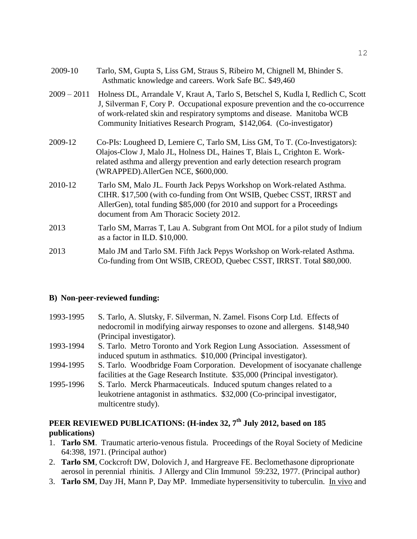| 2009-10       | Tarlo, SM, Gupta S, Liss GM, Straus S, Ribeiro M, Chignell M, Bhinder S.<br>Asthmatic knowledge and careers. Work Safe BC. \$49,460                                                                                                                                                                                   |
|---------------|-----------------------------------------------------------------------------------------------------------------------------------------------------------------------------------------------------------------------------------------------------------------------------------------------------------------------|
| $2009 - 2011$ | Holness DL, Arrandale V, Kraut A, Tarlo S, Betschel S, Kudla I, Redlich C, Scott<br>J, Silverman F, Cory P. Occupational exposure prevention and the co-occurrence<br>of work-related skin and respiratory symptoms and disease. Manitoba WCB<br>Community Initiatives Research Program, \$142,064. (Co-investigator) |
| 2009-12       | Co-PIs: Lougheed D, Lemiere C, Tarlo SM, Liss GM, To T. (Co-Investigators):<br>Olajos-Clow J, Malo JL, Holness DL, Haines T, Blais L, Crighton E. Work-<br>related asthma and allergy prevention and early detection research program<br>(WRAPPED).AllerGen NCE, \$600,000.                                           |
| 2010-12       | Tarlo SM, Malo JL. Fourth Jack Pepys Workshop on Work-related Asthma.<br>CIHR. \$17,500 (with co-funding from Ont WSIB, Quebec CSST, IRRST and<br>AllerGen), total funding \$85,000 (for 2010 and support for a Proceedings<br>document from Am Thoracic Society 2012.                                                |
| 2013          | Tarlo SM, Marras T, Lau A. Subgrant from Ont MOL for a pilot study of Indium<br>as a factor in ILD. \$10,000.                                                                                                                                                                                                         |
| 2013          | Malo JM and Tarlo SM. Fifth Jack Pepys Workshop on Work-related Asthma.<br>Co-funding from Ont WSIB, CREOD, Quebec CSST, IRRST. Total \$80,000.                                                                                                                                                                       |

# **B) Non-peer-reviewed funding:**

| 1993-1995 | S. Tarlo, A. Slutsky, F. Silverman, N. Zamel. Fisons Corp Ltd. Effects of<br>nedocromil in modifying airway responses to ozone and allergens. \$148,940<br>(Principal investigator). |
|-----------|--------------------------------------------------------------------------------------------------------------------------------------------------------------------------------------|
| 1993-1994 | S. Tarlo. Metro Toronto and York Region Lung Association. Assessment of                                                                                                              |
|           | induced sputum in asthmatics. \$10,000 (Principal investigator).                                                                                                                     |
| 1994-1995 | S. Tarlo. Woodbridge Foam Corporation. Development of isocyanate challenge                                                                                                           |
|           | facilities at the Gage Research Institute. \$35,000 (Principal investigator).                                                                                                        |
| 1995-1996 | S. Tarlo. Merck Pharmaceuticals. Induced sputum changes related to a                                                                                                                 |
|           | leukotriene antagonist in asthmatics. \$32,000 (Co-principal investigator,                                                                                                           |
|           | multicentre study).                                                                                                                                                                  |
|           |                                                                                                                                                                                      |

# **PEER REVIEWED PUBLICATIONS: (H-index 32, 7 th July 2012, based on 185 publications)**

- 1. **Tarlo SM**. Traumatic arterio-venous fistula. Proceedings of the Royal Society of Medicine 64:398, 1971. (Principal author)
- 2. **Tarlo SM**, Cockcroft DW, Dolovich J, and Hargreave FE. Beclomethasone diproprionate aerosol in perennial rhinitis. J Allergy and Clin Immunol 59:232, 1977. (Principal author)
- 3. **Tarlo SM**, Day JH, Mann P, Day MP. Immediate hypersensitivity to tuberculin. In vivo and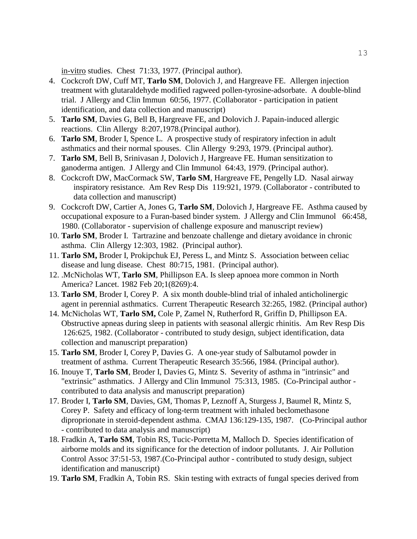in-vitro studies. Chest 71:33, 1977. (Principal author).

- 4. Cockcroft DW, Cuff MT, **Tarlo SM**, Dolovich J, and Hargreave FE. Allergen injection treatment with glutaraldehyde modified ragweed pollen-tyrosine-adsorbate. A double-blind trial. J Allergy and Clin Immun 60:56, 1977. (Collaborator - participation in patient identification, and data collection and manuscript)
- 5. **Tarlo SM**, Davies G, Bell B, Hargreave FE, and Dolovich J. Papain-induced allergic reactions. Clin Allergy 8:207,1978.(Principal author).
- 6. **Tarlo SM**, Broder I, Spence L. A prospective study of respiratory infection in adult asthmatics and their normal spouses. Clin Allergy 9:293, 1979. (Principal author).
- 7. **Tarlo SM**, Bell B, Srinivasan J, Dolovich J, Hargreave FE. Human sensitization to ganoderma antigen. J Allergy and Clin Immunol 64:43, 1979. (Principal author).
- 8. Cockcroft DW, MacCormack SW, **Tarlo SM**, Hargreave FE, Pengelly LD. Nasal airway inspiratory resistance. Am Rev Resp Dis 119:921, 1979. (Collaborator - contributed to data collection and manuscript)
- 9. Cockcroft DW, Cartier A, Jones G, **Tarlo SM**, Dolovich J, Hargreave FE. Asthma caused by occupational exposure to a Furan-based binder system. J Allergy and Clin Immunol 66:458, 1980. (Collaborator - supervision of challenge exposure and manuscript review)
- 10. **Tarlo SM**, Broder I. Tartrazine and benzoate challenge and dietary avoidance in chronic asthma. Clin Allergy 12:303, 1982. (Principal author).
- 11. **Tarlo SM,** Broder I, Prokipchuk EJ, Peress L, and Mintz S. Association between celiac disease and lung disease. Chest 80:715, 1981. (Principal author).
- 12. .McNicholas WT, **Tarlo SM**, Phillipson EA. Is sleep apnoea more common in North America? Lancet. 1982 Feb 20;1(8269):4.
- 13. **Tarlo SM**, Broder I, Corey P. A six month double-blind trial of inhaled anticholinergic agent in perennial asthmatics. Current Therapeutic Research 32:265, 1982. (Principal author)
- 14. McNicholas WT, **Tarlo SM,** Cole P, Zamel N, Rutherford R, Griffin D, Phillipson EA. Obstructive apneas during sleep in patients with seasonal allergic rhinitis. Am Rev Resp Dis 126:625, 1982. (Collaborator - contributed to study design, subject identification, data collection and manuscript preparation)
- 15. **Tarlo SM**, Broder I, Corey P, Davies G. A one-year study of Salbutamol powder in treatment of asthma. Current Therapeutic Research 35:566, 1984. (Principal author).
- 16. Inouye T, **Tarlo SM**, Broder I, Davies G, Mintz S. Severity of asthma in "intrinsic" and "extrinsic" asthmatics. J Allergy and Clin Immunol 75:313, 1985. (Co-Principal author contributed to data analysis and manuscript preparation)
- 17. Broder I, **Tarlo SM**, Davies, GM, Thomas P, Leznoff A, Sturgess J, Baumel R, Mintz S, Corey P. Safety and efficacy of long-term treatment with inhaled beclomethasone diproprionate in steroid-dependent asthma. CMAJ 136:129-135, 1987. (Co-Principal author - contributed to data analysis and manuscript)
- 18. Fradkin A, **Tarlo SM**, Tobin RS, Tucic-Porretta M, Malloch D. Species identification of airborne molds and its significance for the detection of indoor pollutants. J. Air Pollution Control Assoc 37:51-53, 1987.(Co-Principal author - contributed to study design, subject identification and manuscript)
- 19. **Tarlo SM**, Fradkin A, Tobin RS. Skin testing with extracts of fungal species derived from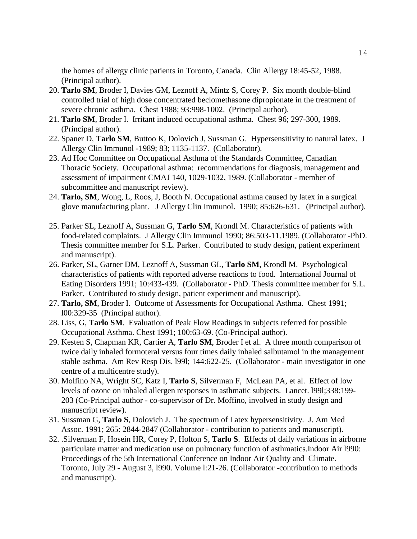the homes of allergy clinic patients in Toronto, Canada. Clin Allergy 18:45-52, 1988. (Principal author).

- 20. **Tarlo SM**, Broder I, Davies GM, Leznoff A, Mintz S, Corey P. Six month double-blind controlled trial of high dose concentrated beclomethasone dipropionate in the treatment of severe chronic asthma. Chest 1988; 93:998-1002. (Principal author).
- 21. **Tarlo SM**, Broder I. Irritant induced occupational asthma. Chest 96; 297-300, 1989. (Principal author).
- 22. Spaner D, **Tarlo SM**, Buttoo K, Dolovich J, Sussman G. Hypersensitivity to natural latex. J Allergy Clin Immunol -1989; 83; 1135-1137. (Collaborator).
- 23. Ad Hoc Committee on Occupational Asthma of the Standards Committee, Canadian Thoracic Society. Occupational asthma: recommendations for diagnosis, management and assessment of impairment CMAJ 140, 1029-1032, 1989. (Collaborator - member of subcommittee and manuscript review).
- 24. **Tarlo, SM**, Wong, L, Roos, J, Booth N. Occupational asthma caused by latex in a surgical glove manufacturing plant. J Allergy Clin Immunol. 1990; 85:626-631. (Principal author).
- 25. Parker SL, Leznoff A, Sussman G, **Tarlo SM**, Krondl M. Characteristics of patients with food-related complaints. J Allergy Clin Immunol 1990; 86:503-11.1989. (Collaborator -PhD. Thesis committee member for S.L. Parker. Contributed to study design, patient experiment and manuscript).
- 26. Parker, SL, Garner DM, Leznoff A, Sussman GL, **Tarlo SM**, Krondl M. Psychological characteristics of patients with reported adverse reactions to food. International Journal of Eating Disorders 1991; 10:433-439. (Collaborator - PhD. Thesis committee member for S.L. Parker. Contributed to study design, patient experiment and manuscript).
- 27. **Tarlo, SM**, Broder I. Outcome of Assessments for Occupational Asthma. Chest 1991; l00:329-35 (Principal author).
- 28. Liss, G, **Tarlo SM**. Evaluation of Peak Flow Readings in subjects referred for possible Occupational Asthma. Chest 1991; 100:63-69. (Co-Principal author).
- 29. Kesten S, Chapman KR, Cartier A, **Tarlo SM**, Broder I et al. A three month comparison of twice daily inhaled formoteral versus four times daily inhaled salbutamol in the management stable asthma. Am Rev Resp Dis. l99l; 144:622-25. (Collaborator - main investigator in one centre of a multicentre study).
- 30. Molfino NA, Wright SC, Katz I, **Tarlo S**, Silverman F, McLean PA, et al. Effect of low levels of ozone on inhaled allergen responses in asthmatic subjects. Lancet. l99l;338:199- 203 (Co-Principal author - co-supervisor of Dr. Moffino, involved in study design and manuscript review).
- 31. Sussman G, **Tarlo S**, Dolovich J. The spectrum of Latex hypersensitivity. J. Am Med Assoc. 1991; 265: 2844-2847 (Collaborator - contribution to patients and manuscript).
- 32. .Silverman F, Hosein HR, Corey P, Holton S, **Tarlo S**. Effects of daily variations in airborne particulate matter and medication use on pulmonary function of asthmatics.Indoor Air l990: Proceedings of the 5th International Conference on Indoor Air Quality and Climate. Toronto, July 29 - August 3, l990. Volume l:21-26. (Collaborator -contribution to methods and manuscript).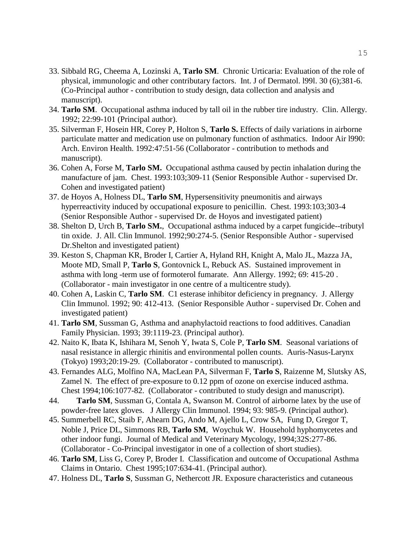- 33. Sibbald RG, Cheema A, Lozinski A, **Tarlo SM**. Chronic Urticaria: Evaluation of the role of physical, immunologic and other contributary factors. Int. J of Dermatol. l99l. 30 (6);381-6. (Co-Principal author - contribution to study design, data collection and analysis and manuscript).
- 34. **Tarlo SM**. Occupational asthma induced by tall oil in the rubber tire industry. Clin. Allergy. 1992; 22:99-101 (Principal author).
- 35. Silverman F, Hosein HR, Corey P, Holton S, **Tarlo S.** Effects of daily variations in airborne particulate matter and medication use on pulmonary function of asthmatics. Indoor Air l990: Arch. Environ Health. 1992:47:51-56 (Collaborator - contribution to methods and manuscript).
- 36. Cohen A, Forse M, **Tarlo SM.** Occupational asthma caused by pectin inhalation during the manufacture of jam. Chest. 1993:103;309-11 (Senior Responsible Author - supervised Dr. Cohen and investigated patient)
- 37. de Hoyos A, Holness DL, **Tarlo SM**, Hypersensitivity pneumonitis and airways hyperreactivity induced by occupational exposure to penicillin. Chest. 1993:103;303-4 (Senior Responsible Author - supervised Dr. de Hoyos and investigated patient)
- 38. Shelton D, Urch B, **Tarlo SM.**, Occupational asthma induced by a carpet fungicide--tributyl tin oxide. J. All. Clin Immunol. 1992;90:274-5. (Senior Responsible Author - supervised Dr.Shelton and investigated patient)
- 39. Keston S, Chapman KR, Broder I, Cartier A, Hyland RH, Knight A, Malo JL, Mazza JA, Moote MD, Small P, **Tarlo S**, Gontovnick L, Rebuck AS. Sustained improvement in asthma with long -term use of formoterol fumarate. Ann Allergy. 1992; 69: 415-20 . (Collaborator - main investigator in one centre of a multicentre study).
- 40. Cohen A, Laskin C, **Tarlo SM**. C1 esterase inhibitor deficiency in pregnancy. J. Allergy Clin Immunol. 1992; 90: 412-413. (Senior Responsible Author - supervised Dr. Cohen and investigated patient)
- 41. **Tarlo SM**, Sussman G, Asthma and anaphylactoid reactions to food additives. Canadian Family Physician. 1993; 39:1119-23. (Principal author).
- 42. Naito K, Ibata K, Ishihara M, Senoh Y, Iwata S, Cole P, **Tarlo SM**. Seasonal variations of nasal resistance in allergic rhinitis and environmental pollen counts. Auris-Nasus-Larynx (Tokyo) 1993;20:19-29. (Collaborator - contributed to manuscript).
- 43. Fernandes ALG, Molfino NA, MacLean PA, Silverman F, **Tarlo S**, Raizenne M, Slutsky AS, Zamel N. The effect of pre-exposure to 0.12 ppm of ozone on exercise induced asthma. Chest 1994;106:1077-82. (Collaborator - contributed to study design and manuscript).
- 44. **Tarlo SM**, Sussman G, Contala A, Swanson M. Control of airborne latex by the use of powder-free latex gloves. J Allergy Clin Immunol. 1994; 93: 985-9. (Principal author).
- 45. Summerbell RC, Staib F, Ahearn DG, Ando M, Ajello L, Crow SA, Fung D, Gregor T, Noble J, Price DL, Simmons RB, **Tarlo SM**, Woychuk W. Household hyphomycetes and other indoor fungi. Journal of Medical and Veterinary Mycology, 1994;32S:277-86. (Collaborator - Co-Principal investigator in one of a collection of short studies).
- 46. **Tarlo SM**, Liss G, Corey P, Broder I. Classification and outcome of Occupational Asthma Claims in Ontario. Chest 1995;107:634-41. (Principal author).
- 47. Holness DL, **Tarlo S**, Sussman G, Nethercott JR. Exposure characteristics and cutaneous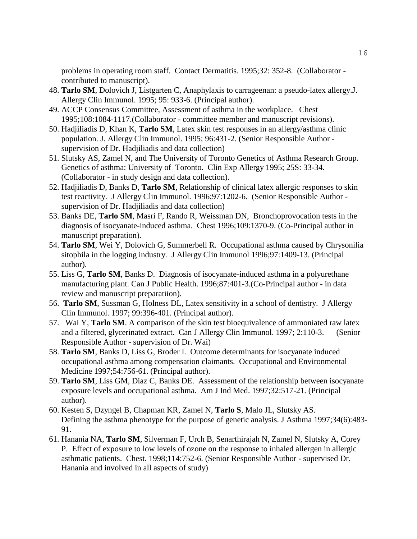problems in operating room staff. Contact Dermatitis. 1995;32: 352-8. (Collaborator contributed to manuscript).

- 48. **Tarlo SM**, Dolovich J, Listgarten C, Anaphylaxis to carrageenan: a pseudo-latex allergy.J. Allergy Clin Immunol. 1995; 95: 933-6. (Principal author).
- 49. ACCP Consensus Committee, Assessment of asthma in the workplace. Chest 1995;108:1084-1117.(Collaborator - committee member and manuscript revisions).
- 50. Hadjiliadis D, Khan K, **Tarlo SM**, Latex skin test responses in an allergy/asthma clinic population. J. Allergy Clin Immunol. 1995; 96:431-2. (Senior Responsible Author supervision of Dr. Hadjiliadis and data collection)
- 51. Slutsky AS, Zamel N, and The University of Toronto Genetics of Asthma Research Group. Genetics of asthma: University of Toronto. Clin Exp Allergy 1995; 25S: 33-34. (Collaborator - in study design and data collection).
- 52. Hadjiliadis D, Banks D, **Tarlo SM**, Relationship of clinical latex allergic responses to skin test reactivity. J Allergy Clin Immunol. 1996;97:1202-6. (Senior Responsible Author supervision of Dr. Hadjiliadis and data collection)
- 53. Banks DE, **Tarlo SM**, Masri F, Rando R, Weissman DN, Bronchoprovocation tests in the diagnosis of isocyanate-induced asthma. Chest 1996;109:1370-9. (Co-Principal author in manuscript preparation).
- 54. **Tarlo SM**, Wei Y, Dolovich G, Summerbell R. Occupational asthma caused by Chrysonilia sitophila in the logging industry. J Allergy Clin Immunol 1996;97:1409-13. (Principal author).
- 55. Liss G, **Tarlo SM**, Banks D. Diagnosis of isocyanate-induced asthma in a polyurethane manufacturing plant. Can J Public Health. 1996;87:401-3.(Co-Principal author - in data review and manuscript preparatiion).
- 56. **Tarlo SM**, Sussman G, Holness DL, Latex sensitivity in a school of dentistry. J Allergy Clin Immunol. 1997; 99:396-401. (Principal author).
- 57. Wai Y, **Tarlo SM**. A comparison of the skin test bioequivalence of ammoniated raw latex and a filtered, glycerinated extract. Can J Allergy Clin Immunol. 1997; 2:110-3. (Senior Responsible Author - supervision of Dr. Wai)
- 58. **Tarlo SM**, Banks D, Liss G, Broder I. Outcome determinants for isocyanate induced occupational asthma among compensation claimants. Occupational and Environmental Medicine 1997;54:756-61. (Principal author).
- 59. **Tarlo SM**, Liss GM, Diaz C, Banks DE. Assessment of the relationship between isocyanate exposure levels and occupational asthma. Am J Ind Med. 1997;32:517-21. (Principal author).
- 60. [Kesten S,](http://www.ncbi.nlm.nih.gov/entrez/query.fcgi?db=pubmed&cmd=Search&itool=pubmed_Abstract&term=%22Kesten+S%22%5BAuthor%5D) [Dzyngel B,](http://www.ncbi.nlm.nih.gov/entrez/query.fcgi?db=pubmed&cmd=Search&itool=pubmed_Abstract&term=%22Dzyngel+B%22%5BAuthor%5D) [Chapman KR,](http://www.ncbi.nlm.nih.gov/entrez/query.fcgi?db=pubmed&cmd=Search&itool=pubmed_Abstract&term=%22Chapman+KR%22%5BAuthor%5D) [Zamel N,](http://www.ncbi.nlm.nih.gov/entrez/query.fcgi?db=pubmed&cmd=Search&itool=pubmed_Abstract&term=%22Zamel+N%22%5BAuthor%5D) **[Tarlo S](http://www.ncbi.nlm.nih.gov/entrez/query.fcgi?db=pubmed&cmd=Search&itool=pubmed_Abstract&term=%22Tarlo+S%22%5BAuthor%5D)**, [Malo JL,](http://www.ncbi.nlm.nih.gov/entrez/query.fcgi?db=pubmed&cmd=Search&itool=pubmed_Abstract&term=%22Malo+JL%22%5BAuthor%5D) [Slutsky AS.](http://www.ncbi.nlm.nih.gov/entrez/query.fcgi?db=pubmed&cmd=Search&itool=pubmed_Abstract&term=%22Slutsky+AS%22%5BAuthor%5D) Defining the asthma phenotype for the purpose of genetic analysis. J Asthma 1997;34(6):483- 91.
- 61. Hanania NA, **Tarlo SM**, Silverman F, Urch B, Senarthirajah N, Zamel N, Slutsky A, Corey P. Effect of exposure to low levels of ozone on the response to inhaled allergen in allergic asthmatic patients. Chest. 1998;114:752-6. (Senior Responsible Author - supervised Dr. Hanania and involved in all aspects of study)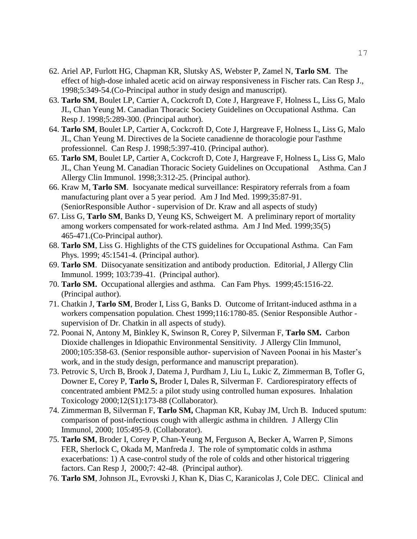- 62. Ariel AP, Furlott HG, Chapman KR, Slutsky AS, Webster P, Zamel N, **Tarlo SM**. The effect of high-dose inhaled acetic acid on airway responsiveness in Fischer rats. Can Resp J., 1998;5:349-54.(Co-Principal author in study design and manuscript).
- 63. **Tarlo SM**, Boulet LP, Cartier A, Cockcroft D, Cote J, Hargreave F, Holness L, Liss G, Malo JL, Chan Yeung M. Canadian Thoracic Society Guidelines on Occupational Asthma. Can Resp J. 1998;5:289-300. (Principal author).
- 64. **Tarlo SM**, Boulet LP, Cartier A, Cockcroft D, Cote J, Hargreave F, Holness L, Liss G, Malo JL, Chan Yeung M. Directives de la Societe canadienne de thoracologie pour l'asthme professionnel. Can Resp J. 1998;5:397-410. (Principal author).
- 65. **Tarlo SM**, Boulet LP, Cartier A, Cockcroft D, Cote J, Hargreave F, Holness L, Liss G, Malo JL, Chan Yeung M. Canadian Thoracic Society Guidelines on Occupational Asthma. Can J Allergy Clin Immunol. 1998;3:312-25. (Principal author).
- 66. Kraw M, **Tarlo SM**. Isocyanate medical surveillance: Respiratory referrals from a foam manufacturing plant over a 5 year period. Am J Ind Med. 1999;35:87-91. (SeniorResponsible Author - supervision of Dr. Kraw and all aspects of study)
- 67. Liss G, **Tarlo SM**, Banks D, Yeung KS, Schweigert M. A preliminary report of mortality among workers compensated for work-related asthma. Am J Ind Med. 1999;35(5) 465-471.(Co-Principal author).
- 68. **Tarlo SM**, Liss G. Highlights of the CTS guidelines for Occupational Asthma. Can Fam Phys. 1999; 45:1541-4. (Principal author).
- 69. **Tarlo SM**. Diisocyanate sensitization and antibody production. Editorial, J Allergy Clin Immunol. 1999; 103:739-41. (Principal author).
- 70. **Tarlo SM.** Occupational allergies and asthma. Can Fam Phys. 1999;45:1516-22. (Principal author).
- 71. Chatkin J, **Tarlo SM**, Broder I, Liss G, Banks D. Outcome of Irritant-induced asthma in a workers compensation population. Chest 1999;116:1780-85. (Senior Responsible Author supervision of Dr. Chatkin in all aspects of study).
- 72. Poonai N, Antony M, Binkley K, Swinson R, Corey P, Silverman F, **Tarlo SM.** Carbon Dioxide challenges in Idiopathic Environmental Sensitivity. J Allergy Clin Immunol, 2000;105:358-63. (Senior responsible author- supervision of Naveen Poonai in his Master's work, and in the study design, performance and manuscript preparation).
- 73. Petrovic S, Urch B, Brook J, Datema J, Purdham J, Liu L, Lukic Z, Zimmerman B, Tofler G, Downer E, Corey P, **Tarlo S,** Broder I, Dales R, Silverman F. Cardiorespiratory effects of concentrated ambient PM2.5: a pilot study using controlled human exposures. Inhalation Toxicology 2000;12(S1):173-88 (Collaborator).
- 74. Zimmerman B, Silverman F, **Tarlo SM,** Chapman KR, Kubay JM, Urch B. Induced sputum: comparison of post-infectious cough with allergic asthma in children. J Allergy Clin Immunol, 2000; 105:495-9. (Collaborator).
- 75. **Tarlo SM**, Broder I, Corey P, Chan-Yeung M, Ferguson A, Becker A, Warren P, Simons FER, Sherlock C, Okada M, Manfreda J. The role of symptomatic colds in asthma exacerbations: 1) A case-control study of the role of colds and other historical triggering factors. Can Resp J, 2000;7: 42-48. (Principal author).
- 76. **Tarlo SM**, Johnson JL, Evrovski J, Khan K, Dias C, Karanicolas J, Cole DEC. Clinical and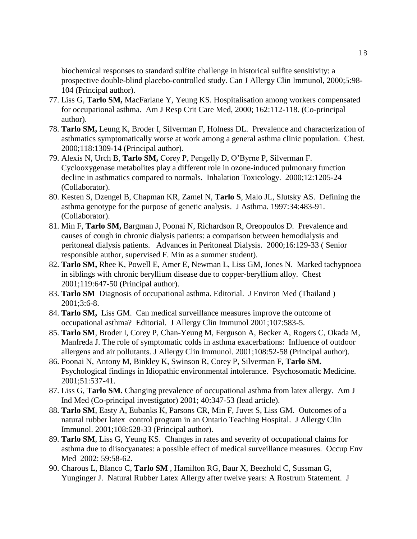biochemical responses to standard sulfite challenge in historical sulfite sensitivity: a prospective double-blind placebo-controlled study. Can J Allergy Clin Immunol, 2000;5:98- 104 (Principal author).

- 77. Liss G, **Tarlo SM,** MacFarlane Y, Yeung KS. Hospitalisation among workers compensated for occupational asthma. Am J Resp Crit Care Med, 2000; 162:112-118. (Co-principal author).
- 78. **Tarlo SM,** Leung K, Broder I, Silverman F, Holness DL. Prevalence and characterization of asthmatics symptomatically worse at work among a general asthma clinic population. Chest. 2000;118:1309-14 (Principal author).
- 79. Alexis N, Urch B, **Tarlo SM,** Corey P, Pengelly D, O'Byrne P, Silverman F. Cyclooxygenase metabolites play a different role in ozone-induced pulmonary function decline in asthmatics compared to normals. Inhalation Toxicology. 2000;12:1205-24 (Collaborator).
- 80. Kesten S, Dzengel B, Chapman KR, Zamel N, **Tarlo S**, Malo JL, Slutsky AS. Defining the asthma genotype for the purpose of genetic analysis. J Asthma. 1997:34:483-91. (Collaborator).
- 81. Min F, **Tarlo SM,** Bargman J, Poonai N, Richardson R, Oreopoulos D. Prevalence and causes of cough in chronic dialysis patients: a comparison between hemodialysis and peritoneal dialysis patients. Advances in Peritoneal Dialysis. 2000;16:129-33 ( Senior responsible author, supervised F. Min as a summer student).
- 82. **Tarlo SM,** Rhee K, Powell E, Amer E, Newman L, Liss GM, Jones N. Marked tachypnoea in siblings with chronic beryllium disease due to copper-beryllium alloy. Chest 2001;119:647-50 (Principal author).
- 83. **Tarlo SM** Diagnosis of occupational asthma. Editorial. J Environ Med (Thailand ) 2001;3:6-8.
- 84. **Tarlo SM,** Liss GM. Can medical surveillance measures improve the outcome of occupational asthma? Editorial. J Allergy Clin Immunol 2001;107:583-5.
- 85. **Tarlo SM**, Broder I, Corey P, Chan-Yeung M, Ferguson A, Becker A, Rogers C, Okada M, Manfreda J. The role of symptomatic colds in asthma exacerbations: Influence of outdoor allergens and air pollutants. J Allergy Clin Immunol. 2001;108:52-58 (Principal author).
- 86. Poonai N, Antony M, Binkley K, Swinson R, Corey P, Silverman F, **Tarlo SM.**  Psychological findings in Idiopathic environmental intolerance. Psychosomatic Medicine. 2001;51:537-41.
- 87. Liss G, **Tarlo SM.** Changing prevalence of occupational asthma from latex allergy. Am J Ind Med (Co-principal investigator) 2001; 40:347-53 (lead article).
- 88. **Tarlo SM**, Easty A, Eubanks K, Parsons CR, Min F, Juvet S, Liss GM. Outcomes of a natural rubber latex control program in an Ontario Teaching Hospital. J Allergy Clin Immunol. 2001;108:628-33 (Principal author).
- 89. **Tarlo SM**, Liss G, Yeung KS. Changes in rates and severity of occupational claims for asthma due to diisocyanates: a possible effect of medical surveillance measures. Occup Env Med 2002: 59:58-62.
- 90. Charous L, Blanco C, **Tarlo SM** , Hamilton RG, Baur X, Beezhold C, Sussman G, Yunginger J. Natural Rubber Latex Allergy after twelve years: A Rostrum Statement. J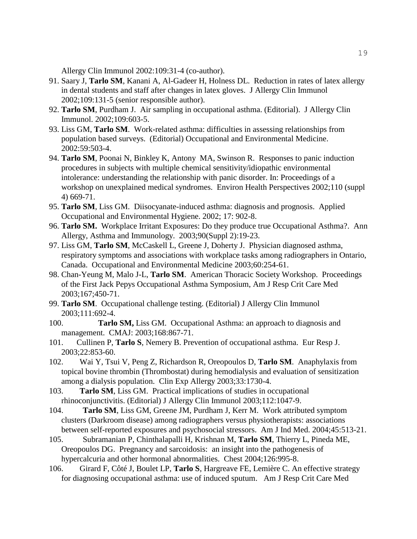Allergy Clin Immunol 2002:109:31-4 (co-author).

- 91. Saary J, **Tarlo SM**, Kanani A, Al-Gadeer H, Holness DL. Reduction in rates of latex allergy in dental students and staff after changes in latex gloves. J Allergy Clin Immunol 2002;109:131-5 (senior responsible author).
- 92. **Tarlo SM**, Purdham J. Air sampling in occupational asthma. (Editorial). J Allergy Clin Immunol. 2002;109:603-5.
- 93. Liss GM, **Tarlo SM**. Work-related asthma: difficulties in assessing relationships from population based surveys. (Editorial) Occupational and Environmental Medicine. 2002:59:503-4.
- 94. **Tarlo SM**, Poonai N, Binkley K, Antony MA, Swinson R. Responses to panic induction procedures in subjects with multiple chemical sensitivity/idiopathic environmental intolerance: understanding the relationship with panic disorder. In: Proceedings of a workshop on unexplained medical syndromes. Environ Health Perspectives 2002;110 (suppl 4) 669-71.
- 95. **Tarlo SM**, Liss GM. Diisocyanate-induced asthma: diagnosis and prognosis. Applied Occupational and Environmental Hygiene. 2002; 17: 902-8.
- 96. **Tarlo SM.** Workplace Irritant Exposures: Do they produce true Occupational Asthma?. Ann Allergy, Asthma and Immunology. 2003;90(Suppl 2):19-23.
- 97. Liss GM, **Tarlo SM**, McCaskell L, Greene J, Doherty J. Physician diagnosed asthma, respiratory symptoms and associations with workplace tasks among radiographers in Ontario, Canada. Occupational and Environmental Medicine 2003;60:254-61.
- 98. Chan-Yeung M, Malo J-L, **Tarlo SM**. American Thoracic Society Workshop. Proceedings of the First Jack Pepys Occupational Asthma Symposium, Am J Resp Crit Care Med 2003;167;450-71.
- 99. **Tarlo SM**. Occupational challenge testing. (Editorial) J Allergy Clin Immunol 2003;111:692-4.
- 100. **Tarlo SM,** Liss GM. Occupational Asthma: an approach to diagnosis and management. CMAJ: 2003;168:867-71.
- 101. Cullinen P, **Tarlo S**, Nemery B. Prevention of occupational asthma. Eur Resp J. 2003;22:853-60.
- 102. Wai Y, Tsui V, Peng Z, Richardson R, Oreopoulos D, **Tarlo SM**. Anaphylaxis from topical bovine thrombin (Thrombostat) during hemodialysis and evaluation of sensitization among a dialysis population. Clin Exp Allergy 2003;33:1730-4.
- 103. **Tarlo SM**, Liss GM. Practical implications of studies in occupational rhinoconjunctivitis. (Editorial) J Allergy Clin Immunol 2003;112:1047-9.
- 104. **Tarlo SM**, Liss GM, Greene JM, Purdham J, Kerr M. Work attributed symptom clusters (Darkroom disease) among radiographers versus physiotherapists: associations between self-reported exposures and psychosocial stressors. Am J Ind Med. 2004;45:513-21.
- 105. Subramanian P, Chinthalapalli H, Krishnan M, **Tarlo SM**, Thierry L, Pineda ME, Oreopoulos DG. Pregnancy and sarcoidosis: an insight into the pathogenesis of hypercalcuria and other hormonal abnormalities. Chest 2004;126:995-8.
- 106. Girard F, Côté J, Boulet LP, **Tarlo S**, Hargreave FE, Lemière C. An effective strategy for diagnosing occupational asthma: use of induced sputum. Am J Resp Crit Care Med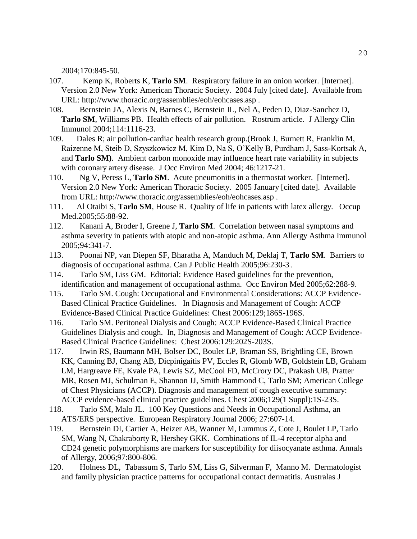2004;170:845-50.

- 107. Kemp K, Roberts K, **Tarlo SM**. Respiratory failure in an onion worker. [Internet]. Version 2.0 New York: American Thoracic Society. 2004 July [cited date]. Available from URL: http://www.thoracic.org/assemblies/eoh/eohcases.asp .
- 108. Bernstein JA, Alexis N, Barnes C, Bernstein IL, Nel A, Peden D, Diaz-Sanchez D, **Tarlo SM**, Williams PB. Health effects of air pollution. Rostrum article. J Allergy Clin Immunol 2004;114:1116-23.
- 109. Dales R; air pollution-cardiac health research group.(Brook J, Burnett R, Franklin M, Raizenne M, Steib D, Szyszkowicz M, Kim D, Na S, O'Kelly B, Purdham J, Sass-Kortsak A, and **Tarlo SM)**. Ambient carbon monoxide may influence heart rate variability in subjects with coronary artery disease. J Occ Environ Med 2004; 46:1217-21.
- 110. Ng V, Peress L, **Tarlo SM**. Acute pneumonitis in a thermostat worker. [Internet]. Version 2.0 New York: American Thoracic Society. 2005 January [cited date]. Available from URL: http://www.thoracic.org/assemblies/eoh/eohcases.asp .
- 111. Al Otaibi S, **Tarlo SM**, House R. Quality of life in patients with latex allergy. Occup Med.2005;55:88-92.
- 112. Kanani A, Broder I, Greene J, **Tarlo SM**. Correlation between nasal symptoms and asthma severity in patients with atopic and non-atopic asthma. Ann Allergy Asthma Immunol 2005;94:341-7.
- 113. Poonai NP, van Diepen SF, Bharatha A, Manduch M, Deklaj T, **Tarlo SM**. Barriers to diagnosis of occupational asthma. Can J Public Health 2005;96:230-3.
- 114. Tarlo SM, Liss GM. Editorial: Evidence Based guidelines for the prevention, identification and management of occupational asthma. Occ Environ Med 2005;62:288-9.
- 115. Tarlo SM. Cough: Occupational and Environmental Considerations: ACCP Evidence-Based Clinical Practice Guidelines. In Diagnosis and Management of Cough: ACCP Evidence-Based Clinical Practice Guidelines: Chest 2006:129;186S-196S.
- 116. Tarlo SM. Peritoneal Dialysis and Cough: ACCP Evidence-Based Clinical Practice Guidelines Dialysis and cough. In, Diagnosis and Management of Cough: ACCP Evidence-Based Clinical Practice Guidelines: Chest 2006:129:202S-203S.
- 117. Irwin RS, Baumann MH, Bolser DC, Boulet LP, Braman SS, Brightling CE, Brown KK, Canning BJ, Chang AB, Dicpinigaitis PV, Eccles R, Glomb WB, Goldstein LB, Graham LM, Hargreave FE, Kvale PA, Lewis SZ, McCool FD, McCrory DC, Prakash UB, Pratter MR, Rosen MJ, Schulman E, Shannon JJ, Smith Hammond C, Tarlo SM; American College of Chest Physicians (ACCP). Diagnosis and management of cough executive summary: ACCP evidence-based clinical practice guidelines. Chest 2006;129(1 Suppl):1S-23S.
- 118. Tarlo SM, Malo JL. 100 Key Questions and Needs in Occupational Asthma, an ATS/ERS perspective. European Respiratory Journal 2006; 27:607-14.
- 119. Bernstein DI, Cartier A, Heizer AB, Wanner M, Lummus Z, Cote J, Boulet LP, Tarlo SM, Wang N, Chakraborty R, Hershey GKK. Combinations of IL-4 receptor alpha and CD24 genetic polymorphisms are markers for susceptibility for diisocyanate asthma. Annals of Allergy, 2006;97:800-806.
- 120. Holness DL, Tabassum S, Tarlo SM, Liss G, Silverman F, Manno M. Dermatologist and family physician practice patterns for occupational contact dermatitis. Australas J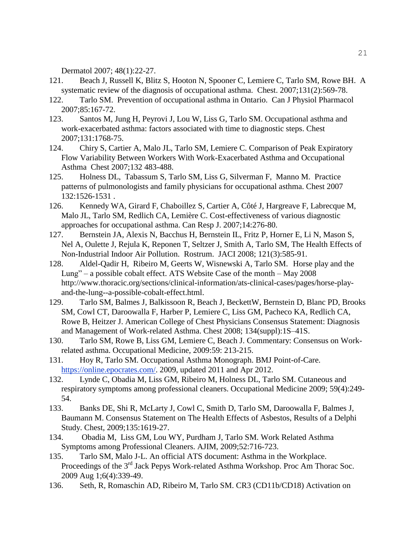Dermatol 2007; 48(1):22-27.

- 121. Beach J, Russell K, Blitz S, Hooton N, Spooner C, Lemiere C, Tarlo SM, Rowe BH. A systematic review of the diagnosis of occupational asthma. Chest. 2007;131(2):569-78.
- 122. Tarlo SM. Prevention of occupational asthma in Ontario. Can J Physiol Pharmacol 2007;85:167-72.
- 123. Santos M, Jung H, Peyrovi J, Lou W, Liss G, Tarlo SM. Occupational asthma and work-exacerbated asthma: factors associated with time to diagnostic steps. Chest 2007;131:1768-75.
- 124. Chiry S, Cartier A, Malo JL, Tarlo SM, Lemiere C. Comparison of Peak Expiratory Flow Variability Between Workers With Work-Exacerbated Asthma and Occupational Asthma Chest 2007;132 483-488.
- 125. Holness DL, Tabassum S, Tarlo SM, Liss G, Silverman F, Manno M. Practice patterns of pulmonologists and family physicians for occupational asthma. Chest 2007 132:1526-1531 .
- 126. Kennedy WA, Girard F, Chaboillez S, Cartier A, Côté J, Hargreave F, Labrecque M, Malo JL, Tarlo SM, Redlich CA, Lemière C. Cost-effectiveness of various diagnostic approaches for occupational asthma. Can Resp J. 2007;14:276-80.
- 127. Bernstein JA, Alexis N, Bacchus H, Bernstein IL, Fritz P, Horner E, Li N, Mason S, Nel A, Oulette J, Rejula K, Reponen T, Seltzer J, Smith A, Tarlo SM, The Health Effects of Non-Industrial Indoor Air Pollution. Rostrum. JACI 2008; 121(3):585-91.
- 128. Aldel-Qadir H, Ribeiro M, Geerts W, Wisnewski A, Tarlo SM. Horse play and the Lung" – a possible cobalt effect. ATS Website Case of the month – May 2008 http://www.thoracic.org/sections/clinical-information/ats-clinical-cases/pages/horse-playand-the-lung--a-possible-cobalt-effect.html.
- 129. Tarlo SM, Balmes J, Balkissoon R, Beach J, BeckettW, Bernstein D, Blanc PD, Brooks SM, Cowl CT, Daroowalla F, Harber P, Lemiere C, Liss GM, Pacheco KA, Redlich CA, Rowe B, Heitzer J. American College of Chest Physicians Consensus Statement: Diagnosis and Management of Work-related Asthma. Chest 2008; 134(suppl):1S–41S.
- 130. Tarlo SM, Rowe B, Liss GM, Lemiere C, Beach J. Commentary: Consensus on Workrelated asthma. Occupational Medicine, 2009:59: 213-215.
- 131. Hoy R, Tarlo SM. Occupational Asthma Monograph. BMJ Point-of-Care. [https://online.epocrates.com/.](https://online.epocrates.com/) 2009, updated 2011 and Apr 2012.
- 132. Lynde C, Obadia M, Liss GM, Ribeiro M, Holness DL, Tarlo SM. Cutaneous and respiratory symptoms among professional cleaners. Occupational Medicine 2009; 59(4):249- 54.
- 133. Banks DE, Shi R, McLarty J, Cowl C, Smith D, Tarlo SM, Daroowalla F, Balmes J, Baumann M. Consensus Statement on The Health Effects of Asbestos, Results of a Delphi Study. Chest, 2009;135:1619-27.
- 134. Obadia M, Liss GM, Lou WY, Purdham J, Tarlo SM. Work Related Asthma Symptoms among Professional Cleaners. AJIM, 2009;52:716-723.
- 135. Tarlo SM, Malo J-L. An official ATS document: Asthma in the Workplace. Proceedings of the 3<sup>rd</sup> Jack Pepys Work-related Asthma Workshop. Proc Am Thorac Soc. 2009 Aug 1;6(4):339-49.
- 136. Seth, R, Romaschin AD, Ribeiro M, Tarlo SM. CR3 (CD11b/CD18) Activation on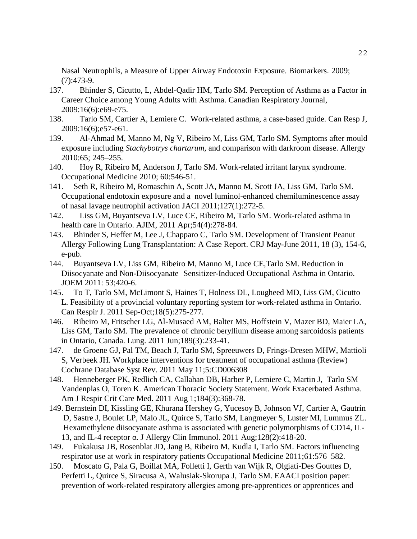Nasal Neutrophils, a Measure of Upper Airway Endotoxin Exposure. Biomarkers. 2009; (7):473-9.

- 137. Bhinder S, Cicutto, L, Abdel-Qadir HM, Tarlo SM. Perception of Asthma as a Factor in Career Choice among Young Adults with Asthma. Canadian Respiratory Journal, 2009:16(6):e69-e75.
- 138. Tarlo SM, Cartier A, Lemiere C. Work-related asthma, a case-based guide. Can Resp J, 2009:16(6);e57-e61.
- 139. Al-Ahmad M, Manno M, Ng V, Ribeiro M, Liss GM, Tarlo SM. Symptoms after mould exposure including *Stachybotrys chartarum,* and comparison with darkroom disease. Allergy 2010:65; 245–255.
- 140. Hoy R, Ribeiro M, Anderson J, Tarlo SM. Work-related irritant larynx syndrome. Occupational Medicine 2010; 60:546-51.
- 141. Seth R, Ribeiro M, Romaschin A, Scott JA, Manno M, Scott JA, Liss GM, Tarlo SM. Occupational endotoxin exposure and a novel luminol-enhanced chemiluminescence assay of nasal lavage neutrophil activation JACI 2011;127(1):272-5.
- 142. Liss GM, Buyantseva LV, Luce CE, Ribeiro M, Tarlo SM. Work-related asthma in health care in Ontario. AJIM, 2011 Apr;54(4):278-84.
- 143. Bhinder S, Heffer M, Lee J, Chapparo C, Tarlo SM. Development of Transient Peanut Allergy Following Lung Transplantation: A Case Report. CRJ May-June 2011, 18 (3), 154-6, e-pub.
- 144. Buyantseva LV, Liss GM, Ribeiro M, Manno M, Luce CE,Tarlo SM. Reduction in Diisocyanate and Non-Diisocyanate Sensitizer-Induced Occupational Asthma in Ontario. JOEM 2011: 53;420-6.
- 145. To T, Tarlo SM, McLimont S, Haines T, Holness DL, Lougheed MD, Liss GM, Cicutto L. Feasibility of a provincial voluntary reporting system for work-related asthma in Ontario. Can Respir J. 2011 Sep-Oct;18(5):275-277.
- 146. Ribeiro M, Fritscher LG, Al-Musaed AM, Balter MS, Hoffstein V, Mazer BD, Maier LA, Liss GM, Tarlo SM. The prevalence of chronic beryllium disease among sarcoidosis patients in Ontario, Canada. Lung. 2011 Jun;189(3):233-41.
- 147. de Groene GJ, Pal TM, Beach J, Tarlo SM, Spreeuwers D, Frings-Dresen MHW, Mattioli S, Verbeek JH. Workplace interventions for treatment of occupational asthma (Review) Cochrane Database Syst Rev. 2011 May 11;5:CD006308
- 148. Henneberger PK, Redlich CA, Callahan DB, Harber P, Lemiere C, Martin J, Tarlo SM Vandenplas O, Toren K. American Thoracic Society Statement. Work Exacerbated Asthma. Am J Respir Crit Care Med. 2011 Aug 1;184(3):368-78.
- 149. Bernstein DI, Kissling GE, Khurana Hershey G, Yucesoy B, Johnson VJ, Cartier A, Gautrin D, Sastre J, Boulet LP, Malo JL, Quirce S, Tarlo SM, Langmeyer S, Luster MI, Lummus ZL. Hexamethylene diisocyanate asthma is associated with genetic polymorphisms of CD14, IL- 13, and IL-4 receptor α. J Allergy Clin Immunol. 2011 Aug;128(2):418-20.
- 149. Fukakusa JB, Rosenblat JD, Jang B, Ribeiro M, Kudla I, Tarlo SM. Factors influencing respirator use at work in respiratory patients Occupational Medicine 2011;61:576–582.
- 150. Moscato G, Pala G, Boillat MA, Folletti I, Gerth van Wijk R, Olgiati-Des Gouttes D, Perfetti L, Quirce S, Siracusa A, Walusiak-Skorupa J, Tarlo SM. EAACI position paper: prevention of work-related respiratory allergies among pre-apprentices or apprentices and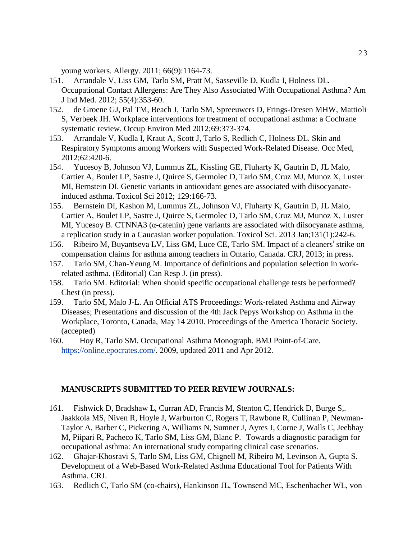young workers. Allergy. 2011; 66(9):1164-73.

- 151. Arrandale V, Liss GM, Tarlo SM, Pratt M, Sasseville D, Kudla I, Holness DL. Occupational Contact Allergens: Are They Also Associated With Occupational Asthma? Am J Ind Med. 2012; 55(4):353-60.
- 152. de Groene GJ, Pal TM, Beach J, Tarlo SM, Spreeuwers D, Frings-Dresen MHW, Mattioli S, Verbeek JH. Workplace interventions for treatment of occupational asthma: a Cochrane systematic review. Occup Environ Med 2012;69:373-374.
- 153. Arrandale V, Kudla I, Kraut A, Scott J, Tarlo S, Redlich C, Holness DL. Skin and Respiratory Symptoms among Workers with Suspected Work-Related Disease. Occ Med, 2012;62:420-6.
- 154. Yucesoy B, Johnson VJ, Lummus ZL, Kissling GE, Fluharty K, Gautrin D, JL Malo, Cartier A, Boulet LP, Sastre J, Quirce S, Germolec D, Tarlo SM, Cruz MJ, Munoz X, Luster MI, Bernstein DI. Genetic variants in antioxidant genes are associated with diisocyanateinduced asthma. Toxicol Sci 2012; 129:166-73.
- 155. Bernstein DI, Kashon M, Lummus ZL, Johnson VJ, Fluharty K, Gautrin D, JL Malo, Cartier A, Boulet LP, Sastre J, Quirce S, Germolec D, Tarlo SM, Cruz MJ, Munoz X, Luster MI, Yucesoy B. CTNNA3 (α-catenin) gene variants are associated with diisocyanate asthma, a replication study in a Caucasian worker population. Toxicol Sci. 2013 Jan;131(1):242-6.
- 156. Ribeiro M, Buyantseva LV, Liss GM, Luce CE, Tarlo SM. Impact of a cleaners' strike on compensation claims for asthma among teachers in Ontario, Canada. CRJ, 2013; in press.
- 157. Tarlo SM, Chan-Yeung M. Importance of definitions and population selection in workrelated asthma. (Editorial) Can Resp J. (in press).
- 158. Tarlo SM. Editorial: When should specific occupational challenge tests be performed? Chest (in press).
- 159. Tarlo SM, Malo J-L. An Official ATS Proceedings: Work-related Asthma and Airway Diseases; Presentations and discussion of the 4th Jack Pepys Workshop on Asthma in the Workplace, Toronto, Canada, May 14 2010. Proceedings of the America Thoracic Society. (accepted)
- 160. Hoy R, Tarlo SM. Occupational Asthma Monograph. BMJ Point-of-Care. [https://online.epocrates.com/.](https://online.epocrates.com/) 2009, updated 2011 and Apr 2012.

#### **MANUSCRIPTS SUBMITTED TO PEER REVIEW JOURNALS:**

- 161. Fishwick D, Bradshaw L, Curran AD, Francis M, Stenton C, Hendrick D, Burge S,. Jaakkola MS, Niven R, Hoyle J, Warburton C, Rogers T, Rawbone R, Cullinan P, Newman-Taylor A, Barber C, Pickering A, Williams N, Sumner J, Ayres J, Corne J, Walls C, Jeebhay M, Piipari R, Pacheco K, Tarlo SM, Liss GM, Blanc P. Towards a diagnostic paradigm for occupational asthma: An international study comparing clinical case scenarios.
- 162. Ghajar-Khosravi S, Tarlo SM, Liss GM, Chignell M, Ribeiro M, Levinson A, Gupta S. Development of a Web-Based Work-Related Asthma Educational Tool for Patients With Asthma. CRJ.
- 163. Redlich C, Tarlo SM (co-chairs), Hankinson JL, Townsend MC, Eschenbacher WL, von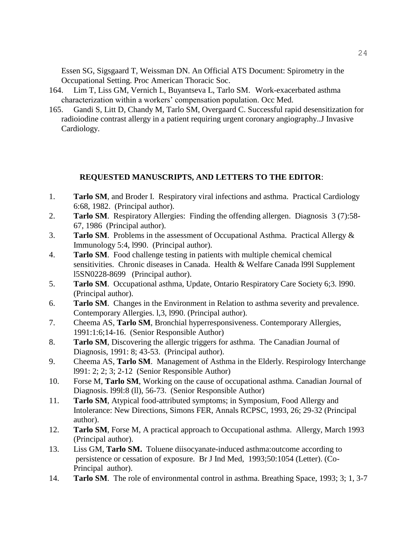Essen SG, Sigsgaard T, Weissman DN. An Official ATS Document: Spirometry in the Occupational Setting. Proc American Thoracic Soc.

- 164. Lim T, Liss GM, Vernich L, Buyantseva L, Tarlo SM. Work-exacerbated asthma characterization within a workers' compensation population. Occ Med.
- 165. Gandi S, Litt D, Chandy M, Tarlo SM, Overgaard C. Successful rapid desensitization for radioiodine contrast allergy in a patient requiring urgent coronary angiography..J Invasive Cardiology.

#### **REQUESTED MANUSCRIPTS, AND LETTERS TO THE EDITOR**:

- 1. **Tarlo SM**, and Broder I. Respiratory viral infections and asthma. Practical Cardiology 6:68, 1982. (Principal author).
- 2. **Tarlo SM**. Respiratory Allergies: Finding the offending allergen. Diagnosis 3 (7):58- 67, 1986 (Principal author).
- 3. **Tarlo SM**. Problems in the assessment of Occupational Asthma. Practical Allergy & Immunology 5:4, l990. (Principal author).
- 4. **Tarlo SM**. Food challenge testing in patients with multiple chemical chemical sensitivities. Chronic diseases in Canada. Health & Welfare Canada 1991 Supplement l5SN0228-8699 (Principal author).
- 5. **Tarlo SM**. Occupational asthma, Update, Ontario Respiratory Care Society 6;3. l990. (Principal author).
- 6. **Tarlo SM**. Changes in the Environment in Relation to asthma severity and prevalence. Contemporary Allergies. l,3, l990. (Principal author).
- 7. Cheema AS, **Tarlo SM**, Bronchial hyperresponsiveness. Contemporary Allergies, 1991:1:6;14-16. (Senior Responsible Author)
- 8. **Tarlo SM**, Discovering the allergic triggers for asthma. The Canadian Journal of Diagnosis, 1991: 8; 43-53. (Principal author).
- 9. Cheema AS, **Tarlo SM**. Management of Asthma in the Elderly. Respirology Interchange l991: 2; 2; 3; 2-12 (Senior Responsible Author)
- 10. Forse M, **Tarlo SM**, Working on the cause of occupational asthma. Canadian Journal of Diagnosis. l99l:8 (ll), 56-73. (Senior Responsible Author)
- 11. **Tarlo SM**, Atypical food-attributed symptoms; in Symposium, Food Allergy and Intolerance: New Directions, Simons FER, Annals RCPSC, 1993, 26; 29-32 (Principal author).
- 12. **Tarlo SM**, Forse M, A practical approach to Occupational asthma. Allergy, March 1993 (Principal author).
- 13. Liss GM, **Tarlo SM.** Toluene diisocyanate-induced asthma:outcome according to persistence or cessation of exposure. Br J Ind Med, 1993;50:1054 (Letter). (Co-Principal author).
- 14. **Tarlo SM**. The role of environmental control in asthma. Breathing Space, 1993; 3; 1, 3-7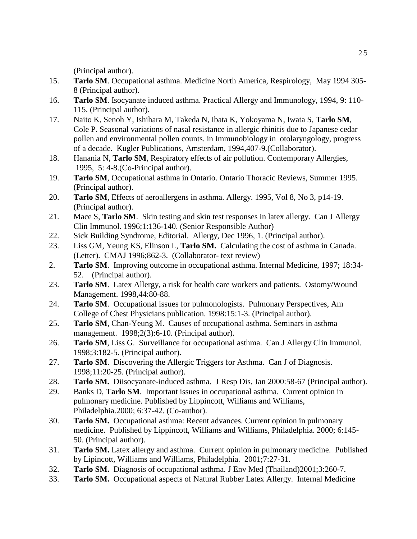(Principal author).

- 15. **Tarlo SM**. Occupational asthma. Medicine North America, Respirology, May 1994 305- 8 (Principal author).
- 16. **Tarlo SM**. Isocyanate induced asthma. Practical Allergy and Immunology, 1994, 9: 110- 115. (Principal author).
- 17. Naito K, Senoh Y, Ishihara M, Takeda N, Ibata K, Yokoyama N, Iwata S, **Tarlo SM**, Cole P. Seasonal variations of nasal resistance in allergic rhinitis due to Japanese cedar pollen and environmental pollen counts. in Immunobiology in otolaryngology, progress of a decade. Kugler Publications, Amsterdam, 1994,407-9.(Collaborator).
- 18. Hanania N, **Tarlo SM**, Respiratory effects of air pollution. Contemporary Allergies, 1995, 5: 4-8.(Co-Principal author).
- 19. **Tarlo SM**, Occupational asthma in Ontario. Ontario Thoracic Reviews, Summer 1995. (Principal author).
- 20. **Tarlo SM**, Effects of aeroallergens in asthma. Allergy. 1995, Vol 8, No 3, p14-19. (Principal author).
- 21. Mace S, **Tarlo SM**. Skin testing and skin test responses in latex allergy. Can J Allergy Clin Immunol. 1996;1:136-140. (Senior Responsible Author)
- 22. Sick Building Syndrome, Editorial. Allergy, Dec 1996, 1. (Principal author).
- 23. Liss GM, Yeung KS, Elinson L, **Tarlo SM.** Calculating the cost of asthma in Canada. (Letter). CMAJ 1996;862-3. (Collaborator- text review)
- 2. **Tarlo SM**. Improving outcome in occupational asthma. Internal Medicine, 1997; 18:34- 52. (Principal author).
- 23. **Tarlo SM**. Latex Allergy, a risk for health care workers and patients. Ostomy/Wound Management. 1998,44:80-88.
- 24. **Tarlo SM**. Occupational issues for pulmonologists. Pulmonary Perspectives, Am College of Chest Physicians publication. 1998:15:1-3. (Principal author).
- 25. **Tarlo SM**, Chan-Yeung M. Causes of occupational asthma. Seminars in asthma management. 1998;2(3):6-10. (Principal author).
- 26. **Tarlo SM**, Liss G. Surveillance for occupational asthma. Can J Allergy Clin Immunol. 1998;3:182-5. (Principal author).
- 27. **Tarlo SM**. Discovering the Allergic Triggers for Asthma. Can J of Diagnosis. 1998;11:20-25. (Principal author).
- 28. **Tarlo SM.** Diisocyanate-induced asthma. J Resp Dis, Jan 2000:58-67 (Principal author).
- 29. Banks D, **Tarlo SM**. Important issues in occupational asthma. Current opinion in pulmonary medicine. Published by Lippincott, Williams and Williams, Philadelphia.2000; 6:37-42. (Co-author).
- 30. **Tarlo SM.** Occupational asthma: Recent advances. Current opinion in pulmonary medicine. Published by Lippincott, Williams and Williams, Philadelphia. 2000; 6:145- 50. (Principal author).
- 31. **Tarlo SM.** Latex allergy and asthma. Current opinion in pulmonary medicine. Published by Lipincott, Williams and Williams, Philadelphia. 2001;7:27-31.
- 32. **Tarlo SM.** Diagnosis of occupational asthma. J Env Med (Thailand)2001;3:260-7.
- 33. **Tarlo SM.** Occupational aspects of Natural Rubber Latex Allergy. Internal Medicine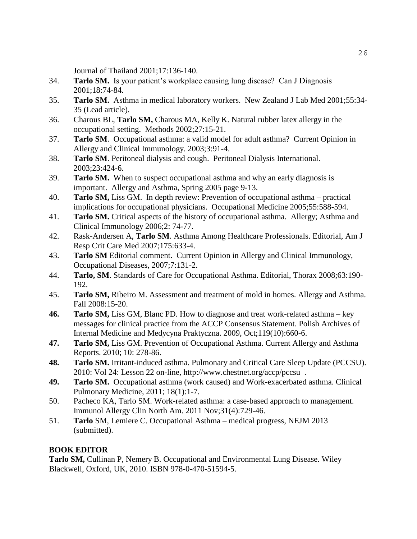Journal of Thailand 2001;17:136-140.

- 34. **Tarlo SM.** Is your patient's workplace causing lung disease? Can J Diagnosis 2001;18:74-84.
- 35. **Tarlo SM.** Asthma in medical laboratory workers. New Zealand J Lab Med 2001;55:34- 35 (Lead article).
- 36. Charous BL, **Tarlo SM,** Charous MA, Kelly K. Natural rubber latex allergy in the occupational setting. Methods 2002;27:15-21.
- 37. **Tarlo SM**. Occupational asthma: a valid model for adult asthma? Current Opinion in Allergy and Clinical Immunology. 2003;3:91-4.
- 38. **Tarlo SM**. Peritoneal dialysis and cough. Peritoneal Dialysis International. 2003;23:424-6.
- 39. **Tarlo SM.** When to suspect occupational asthma and why an early diagnosis is important. Allergy and Asthma, Spring 2005 page 9-13.
- 40. **Tarlo SM,** Liss GM. In depth review: Prevention of occupational asthma practical implications for occupational physicians. Occupational Medicine 2005;55:588-594.
- 41. **Tarlo SM.** Critical aspects of the history of occupational asthma. Allergy; Asthma and Clinical Immunology 2006;2: 74-77.
- 42. Rask-Andersen A, **Tarlo SM**. Asthma Among Healthcare Professionals. Editorial, Am J Resp Crit Care Med 2007;175:633-4.
- 43. **Tarlo SM** Editorial comment. Current Opinion in Allergy and Clinical Immunology, Occupational Diseases, 2007;7:131-2.
- 44. **Tarlo, SM**. Standards of Care for Occupational Asthma. Editorial, Thorax 2008;63:190- 192.
- 45. **Tarlo SM,** Ribeiro M. Assessment and treatment of mold in homes. Allergy and Asthma. Fall 2008:15-20.
- **46. Tarlo SM,** Liss GM, Blanc PD. How to diagnose and treat work-related asthma key messages for clinical practice from the ACCP Consensus Statement. Polish Archives of Internal Medicine and Medycyna Praktyczna. 2009, Oct;119(10):660-6.
- **47. Tarlo SM,** Liss GM. Prevention of Occupational Asthma. Current Allergy and Asthma Reports. 2010; 10: 278-86.
- **48. Tarlo SM.** Irritant-induced asthma. Pulmonary and Critical Care Sleep Update (PCCSU). 2010: Vol 24: Lesson 22 on-line, http://www.chestnet.org/accp/pccsu .
- **49. Tarlo SM.** Occupational asthma (work caused) and Work-exacerbated asthma. Clinical Pulmonary Medicine, 2011; 18(1):1-7.
- 50. Pacheco KA, Tarlo SM. Work-related asthma: a case-based approach to management. Immunol Allergy Clin North Am. 2011 Nov;31(4):729-46.
- 51. **Tarlo** SM, Lemiere C. Occupational Asthma medical progress, NEJM 2013 (submitted).

# **BOOK EDITOR**

**Tarlo SM,** Cullinan P, Nemery B. Occupational and Environmental Lung Disease. Wiley Blackwell, Oxford, UK, 2010. ISBN 978-0-470-51594-5.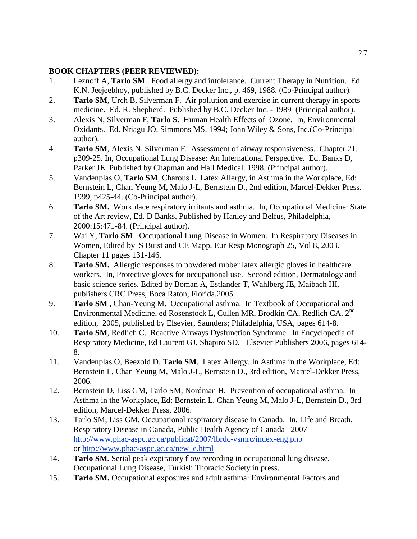# **BOOK CHAPTERS (PEER REVIEWED):**

- 1. Leznoff A, **Tarlo SM**. Food allergy and intolerance. Current Therapy in Nutrition. Ed. K.N. Jeejeebhoy, published by B.C. Decker Inc., p. 469, 1988. (Co-Principal author).
- 2. **Tarlo SM**, Urch B, Silverman F. Air pollution and exercise in current therapy in sports medicine. Ed. R. Shepherd. Published by B.C. Decker Inc. - 1989 (Principal author).
- 3. Alexis N, Silverman F, **Tarlo S**. Human Health Effects of Ozone. In, Environmental Oxidants. Ed. Nriagu JO, Simmons MS. 1994; John Wiley & Sons, Inc.(Co-Principal author).
- 4. **Tarlo SM**, Alexis N, Silverman F. Assessment of airway responsiveness. Chapter 21, p309-25. In, Occupational Lung Disease: An International Perspective. Ed. Banks D, Parker JE. Published by Chapman and Hall Medical. 1998. (Principal author).
- 5. Vandenplas O, **Tarlo SM**, Charous L. Latex Allergy, in Asthma in the Workplace, Ed: Bernstein L, Chan Yeung M, Malo J-L, Bernstein D., 2nd edition, Marcel-Dekker Press. 1999, p425-44. (Co-Principal author).
- 6. **Tarlo SM.** Workplace respiratory irritants and asthma. In, Occupational Medicine: State of the Art review, Ed. D Banks, Published by Hanley and Belfus, Philadelphia, 2000:15:471-84. (Principal author).
- 7. Wai Y, **Tarlo SM**. Occupational Lung Disease in Women. In Respiratory Diseases in Women, Edited by S Buist and CE Mapp, Eur Resp Monograph 25, Vol 8, 2003. Chapter 11 pages 131-146.
- 8. **Tarlo SM.** Allergic responses to powdered rubber latex allergic gloves in healthcare workers. In, Protective gloves for occupational use. Second edition, Dermatology and basic science series. Edited by Boman A, Estlander T, Wahlberg JE, Maibach HI, publishers CRC Press, Boca Raton, Florida.2005.
- 9. **Tarlo SM** , Chan-Yeung M. Occupational asthma. In Textbook of Occupational and Environmental Medicine, ed Rosenstock L, Cullen MR, Brodkin CA, Redlich CA. 2<sup>nd</sup> edition, 2005, published by Elsevier, Saunders; Philadelphia, USA, pages 614-8.
- 10. **Tarlo SM**, Redlich C. Reactive Airways Dysfunction Syndrome. In Encyclopedia of Respiratory Medicine, Ed Laurent GJ, Shapiro SD. Elsevier Publishers 2006, pages 614- 8.
- 11. Vandenplas O, Beezold D, **Tarlo SM**. Latex Allergy. In Asthma in the Workplace, Ed: Bernstein L, Chan Yeung M, Malo J-L, Bernstein D., 3rd edition, Marcel-Dekker Press, 2006.
- 12. Bernstein D, Liss GM, Tarlo SM, Nordman H. Prevention of occupational asthma. In Asthma in the Workplace, Ed: Bernstein L, Chan Yeung M, Malo J-L, Bernstein D., 3rd edition, Marcel-Dekker Press, 2006.
- 13. Tarlo SM, Liss GM. Occupational respiratory disease in Canada. In, Life and Breath, Respiratory Disease in Canada, Public Health Agency of Canada –2007 <http://www.phac-aspc.gc.ca/publicat/2007/lbrdc-vsmrc/index-eng.php> or [http://www.phac-aspc.gc.ca/new\\_e.html](http://www.phac-aspc.gc.ca/new_e.html)
- 14. **Tarlo SM.** Serial peak expiratory flow recording in occupational lung disease. Occupational Lung Disease, Turkish Thoracic Society in press.
- 15. **Tarlo SM.** Occupational exposures and adult asthma: Environmental Factors and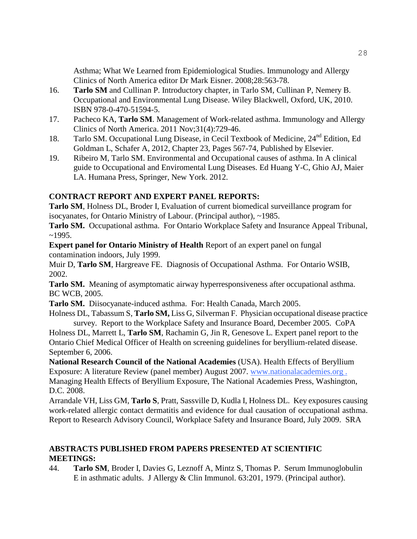Asthma; What We Learned from Epidemiological Studies. Immunology and Allergy Clinics of North America editor Dr Mark Eisner. 2008;28:563-78.

- 16. **Tarlo SM** and Cullinan P. Introductory chapter, in Tarlo SM, Cullinan P, Nemery B. Occupational and Environmental Lung Disease. Wiley Blackwell, Oxford, UK, 2010. ISBN 978-0-470-51594-5.
- 17. Pacheco KA, **Tarlo SM**. Management of Work-related asthma. Immunology and Allergy Clinics of North America. 2011 Nov;31(4):729-46.
- 18. Tarlo SM. Occupational Lung Disease, in Cecil Textbook of Medicine, 24<sup>nd</sup> Edition, Ed Goldman L, Schafer A, 2012, Chapter 23, Pages 567-74, Published by Elsevier.
- 19. Ribeiro M, Tarlo SM. Environmental and Occupational causes of asthma. In A clinical guide to Occupational and Enviromental Lung Diseases. Ed Huang Y-C, Ghio AJ, Maier LA. Humana Press, Springer, New York. 2012.

# **CONTRACT REPORT AND EXPERT PANEL REPORTS:**

**Tarlo SM**, Holness DL, Broder I, Evaluation of current biomedical surveillance program for isocyanates, for Ontario Ministry of Labour. (Principal author), ~1985.

**Tarlo SM.** Occupational asthma. For Ontario Workplace Safety and Insurance Appeal Tribunal,  $~1995.$ 

**Expert panel for Ontario Ministry of Health** Report of an expert panel on fungal contamination indoors, July 1999.

Muir D, **Tarlo SM**, Hargreave FE. Diagnosis of Occupational Asthma. For Ontario WSIB, 2002.

**Tarlo SM.** Meaning of asymptomatic airway hyperresponsiveness after occupational asthma. BC WCB, 2005.

**Tarlo SM.** Diisocyanate-induced asthma. For: Health Canada, March 2005.

Holness DL, Tabassum S, **Tarlo SM,** Liss G, Silverman F. Physician occupational disease practice survey. Report to the Workplace Safety and Insurance Board, December 2005. CoPA

Holness DL, Marrett L, **Tarlo SM**, Rachamin G, Jin R, Genesove L. Expert panel report to the Ontario Chief Medical Officer of Health on screening guidelines for beryllium-related disease. September 6, 2006.

**National Research Council of the National Academies** (USA). Health Effects of Beryllium Exposure: A literature Review (panel member) August 2007. [www.nationala](http://www.national/)cademies.org . Managing Health Effects of Beryllium Exposure, The National Academies Press, Washington, D.C. 2008.

Arrandale VH, Liss GM, **Tarlo S**, Pratt, Sassville D, Kudla I, Holness DL. Key exposures causing work-related allergic contact dermatitis and evidence for dual causation of occupational asthma. Report to Research Advisory Council, Workplace Safety and Insurance Board, July 2009. SRA

# **ABSTRACTS PUBLISHED FROM PAPERS PRESENTED AT SCIENTIFIC MEETINGS:**

44. **Tarlo SM**, Broder I, Davies G, Leznoff A, Mintz S, Thomas P. Serum Immunoglobulin E in asthmatic adults. J Allergy & Clin Immunol. 63:201, 1979. (Principal author).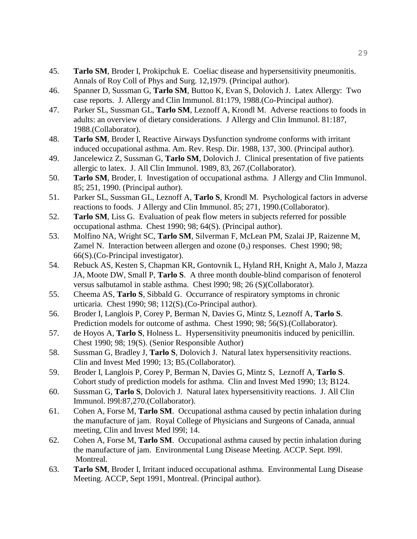- 45. **Tarlo SM**, Broder I, Prokipchuk E. Coeliac disease and hypersensitivity pneumonitis. Annals of Roy Coll of Phys and Surg. 12,1979. (Principal author).
- 46. Spanner D, Sussman G, **Tarlo SM**, Buttoo K, Evan S, Dolovich J. Latex Allergy: Two case reports. J. Allergy and Clin Immunol. 81:179, 1988.(Co-Principal author).
- 47. Parker SL, Sussman GL, **Tarlo SM**, Leznoff A, Krondl M. Adverse reactions to foods in adults: an overview of dietary considerations. J Allergy and Clin Immunol. 81:187, 1988.(Collaborator).
- 48. **Tarlo SM**, Broder I, Reactive Airways Dysfunction syndrome conforms with irritant induced occupational asthma. Am. Rev. Resp. Dir. 1988, 137, 300. (Principal author).
- 49. Jancelewicz Z, Sussman G, **Tarlo SM**, Dolovich J. Clinical presentation of five patients allergic to latex. J. All Clin Immunol. 1989, 83, 267.(Collaborator).
- 50. **Tarlo SM**, Broder, I. Investigation of occupational asthma. J Allergy and Clin Immunol. 85; 251, 1990. (Principal author).
- 51. Parker SL, Sussman GL, Leznoff A, **Tarlo S**, Krondl M. Psychological factors in adverse reactions to foods. J Allergy and Clin Immunol. 85; 271, 1990.(Collaborator).
- 52. **Tarlo SM**, Liss G. Evaluation of peak flow meters in subjects referred for possible occupational asthma. Chest 1990; 98; 64(S). (Principal author).
- 53. Molfino NA, Wright SC, **Tarlo SM**, Silverman F, McLean PM, Szalai JP, Raizenne M, Zamel N. Interaction between allergen and ozone  $(0<sub>3</sub>)$  responses. Chest 1990; 98; 66(S).(Co-Principal investigator).
- 54. Rebuck AS, Kesten S, Chapman KR, Gontovnik L, Hyland RH, Knight A, Malo J, Mazza JA, Moote DW, Small P, **Tarlo S**. A three month double-blind comparison of fenoterol versus salbutamol in stable asthma. Chest l990; 98; 26 (S)(Collaborator).
- 55. Cheema AS, **Tarlo S**, Sibbald G. Occurrance of respiratory symptoms in chronic urticaria. Chest 1990; 98; 112(S).(Co-Principal author).
- 56. Broder I, Langlois P, Corey P, Berman N, Davies G, Mintz S, Leznoff A, **Tarlo S**. Prediction models for outcome of asthma. Chest 1990; 98; 56(S).(Collaborator).
- 57. de Hoyos A, **Tarlo S**, Holness L. Hypersensitivity pneumonitis induced by penicillin. Chest 1990; 98; 19(S). (Senior Responsible Author)
- 58. Sussman G, Bradley J, **Tarlo S**, Dolovich J. Natural latex hypersensitivity reactions. Clin and Invest Med 1990; 13; B5.(Collaborator).
- 59. Broder I, Langlois P, Corey P, Berman N, Davies G, Mintz S, Leznoff A, **Tarlo S**. Cohort study of prediction models for asthma. Clin and Invest Med 1990; 13; B124.
- 60. Sussman G, **Tarlo S**, Dolovich J. Natural latex hypersensitivity reactions. J. All Clin Immunol. l99l:87,270.(Collaborator).
- 61. Cohen A, Forse M, **Tarlo SM**. Occupational asthma caused by pectin inhalation during the manufacture of jam. Royal College of Physicians and Surgeons of Canada, annual meeting, Clin and Invest Med l99l; 14.
- 62. Cohen A, Forse M, **Tarlo SM**. Occupational asthma caused by pectin inhalation during the manufacture of jam. Environmental Lung Disease Meeting. ACCP. Sept. l99l. Montreal.
- 63. **Tarlo SM**, Broder I, Irritant induced occupational asthma. Environmental Lung Disease Meeting. ACCP, Sept 1991, Montreal. (Principal author).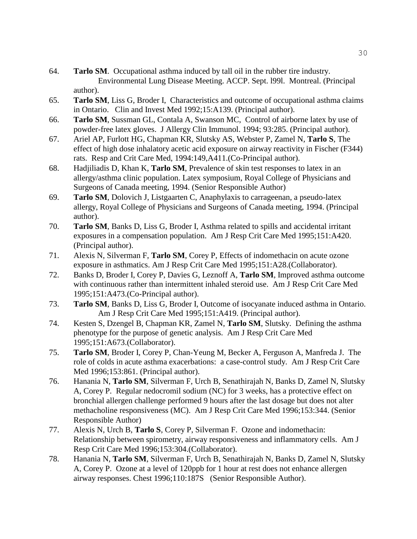- 64. **Tarlo SM**. Occupational asthma induced by tall oil in the rubber tire industry. Environmental Lung Disease Meeting. ACCP. Sept. l99l. Montreal. (Principal author).
- 65. **Tarlo SM**, Liss G, Broder I, Characteristics and outcome of occupational asthma claims in Ontario. Clin and Invest Med 1992;15:A139. (Principal author).
- 66. **Tarlo SM**, Sussman GL, Contala A, Swanson MC, Control of airborne latex by use of powder-free latex gloves. J Allergy Clin Immunol. 1994; 93:285. (Principal author).
- 67. Ariel AP, Furlott HG, Chapman KR, Slutsky AS, Webster P, Zamel N, **Tarlo S**, The effect of high dose inhalatory acetic acid exposure on airway reactivity in Fischer (F344) rats. Resp and Crit Care Med, 1994:149,A411.(Co-Principal author).
- 68. Hadjiliadis D, Khan K, **Tarlo SM**, Prevalence of skin test responses to latex in an allergy/asthma clinic population. Latex symposium, Royal College of Physicians and Surgeons of Canada meeting, 1994. (Senior Responsible Author)
- 69. **Tarlo SM**, Dolovich J, Listgaarten C, Anaphylaxis to carrageenan, a pseudo-latex allergy, Royal College of Physicians and Surgeons of Canada meeting, 1994. (Principal author).
- 70. **Tarlo SM**, Banks D, Liss G, Broder I, Asthma related to spills and accidental irritant exposures in a compensation population. Am J Resp Crit Care Med 1995;151:A420. (Principal author).
- 71. Alexis N, Silverman F, **Tarlo SM**, Corey P, Effects of indomethacin on acute ozone exposure in asthmatics. Am J Resp Crit Care Med 1995;151:A28.(Collaborator).
- 72. Banks D, Broder I, Corey P, Davies G, Leznoff A, **Tarlo SM**, Improved asthma outcome with continuous rather than intermittent inhaled steroid use. Am J Resp Crit Care Med 1995;151:A473.(Co-Principal author).
- 73. **Tarlo SM**, Banks D, Liss G, Broder I, Outcome of isocyanate induced asthma in Ontario. Am J Resp Crit Care Med 1995;151:A419. (Principal author).
- 74. Kesten S, Dzengel B, Chapman KR, Zamel N, **Tarlo SM**, Slutsky. Defining the asthma phenotype for the purpose of genetic analysis. Am J Resp Crit Care Med 1995;151:A673.(Collaborator).
- 75. **Tarlo SM**, Broder I, Corey P, Chan-Yeung M, Becker A, Ferguson A, Manfreda J. The role of colds in acute asthma exacerbations: a case-control study. Am J Resp Crit Care Med 1996;153:861. (Principal author).
- 76. Hanania N, **Tarlo SM**, Silverman F, Urch B, Senathirajah N, Banks D, Zamel N, Slutsky A, Corey P. Regular nedocromil sodium (NC) for 3 weeks, has a protective effect on bronchial allergen challenge performed 9 hours after the last dosage but does not alter methacholine responsiveness (MC). Am J Resp Crit Care Med 1996;153:344. (Senior Responsible Author)
- 77. Alexis N, Urch B, **Tarlo S**, Corey P, Silverman F. Ozone and indomethacin: Relationship between spirometry, airway responsiveness and inflammatory cells. Am J Resp Crit Care Med 1996;153:304.(Collaborator).
- 78. Hanania N, **Tarlo SM**, Silverman F, Urch B, Senathirajah N, Banks D, Zamel N, Slutsky A, Corey P. Ozone at a level of 120ppb for 1 hour at rest does not enhance allergen airway responses. Chest 1996;110:187S (Senior Responsible Author).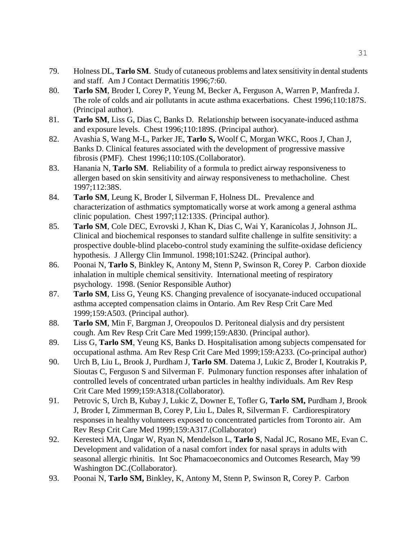- 79. Holness DL, **Tarlo SM**. Study of cutaneous problems and latex sensitivity in dental students and staff. Am J Contact Dermatitis 1996;7:60.
- 80. **Tarlo SM**, Broder I, Corey P, Yeung M, Becker A, Ferguson A, Warren P, Manfreda J. The role of colds and air pollutants in acute asthma exacerbations. Chest 1996;110:187S. (Principal author).
- 81. **Tarlo SM**, Liss G, Dias C, Banks D. Relationship between isocyanate-induced asthma and exposure levels. Chest 1996;110:189S. (Principal author).
- 82. Avashia S, Wang M-L, Parker JE, **Tarlo S,** Woolf C, Morgan WKC, Roos J, Chan J, Banks D. Clinical features associated with the development of progressive massive fibrosis (PMF). Chest 1996;110:10S.(Collaborator).
- 83. Hanania N, **Tarlo SM**. Reliability of a formula to predict airway responsiveness to allergen based on skin sensitivity and airway responsiveness to methacholine. Chest 1997;112:38S.
- 84. **Tarlo SM**, Leung K, Broder I, Silverman F, Holness DL. Prevalence and characterization of asthmatics symptomatically worse at work among a general asthma clinic population. Chest 1997;112:133S. (Principal author).
- 85. **Tarlo SM**, Cole DEC, Evrovski J, Khan K, Dias C, Wai Y, Karanicolas J, Johnson JL. Clinical and biochemical responses to standard sulfite challenge in sulfite sensitivity: a prospective double-blind placebo-control study examining the sulfite-oxidase deficiency hypothesis. J Allergy Clin Immunol. 1998;101:S242. (Principal author).
- 86. Poonai N, **Tarlo S**, Binkley K, Antony M, Stenn P, Swinson R, Corey P. Carbon dioxide inhalation in multiple chemical sensitivity. International meeting of respiratory psychology. 1998. (Senior Responsible Author)
- 87. **Tarlo SM**, Liss G, Yeung KS. Changing prevalence of isocyanate-induced occupational asthma accepted compensation claims in Ontario. Am Rev Resp Crit Care Med 1999;159:A503. (Principal author).
- 88. **Tarlo SM**, Min F, Bargman J, Oreopoulos D. Peritoneal dialysis and dry persistent cough. Am Rev Resp Crit Care Med 1999;159:A830. (Principal author).
- 89. Liss G, **Tarlo SM**, Yeung KS, Banks D. Hospitalisation among subjects compensated for occupational asthma. Am Rev Resp Crit Care Med 1999;159:A233. (Co-principal author)
- 90. Urch B, Liu L, Brook J, Purdham J, **Tarlo SM**. Datema J, Lukic Z, Broder I, Koutrakis P, Sioutas C, Ferguson S and Silverman F. Pulmonary function responses after inhalation of controlled levels of concentrated urban particles in healthy individuals. Am Rev Resp Crit Care Med 1999;159:A318.(Collaborator).
- 91. Petrovic S, Urch B, Kubay J, Lukic Z, Downer E, Tofler G, **Tarlo SM,** Purdham J, Brook J, Broder I, Zimmerman B, Corey P, Liu L, Dales R, Silverman F. Cardiorespiratory responses in healthy volunteers exposed to concentrated particles from Toronto air. Am Rev Resp Crit Care Med 1999;159:A317.(Collaborator)
- 92. Keresteci MA, Ungar W, Ryan N, Mendelson L, **Tarlo S**, Nadal JC, Rosano ME, Evan C. Development and validation of a nasal comfort index for nasal sprays in adults with seasonal allergic rhinitis. Int Soc Phamacoeconomics and Outcomes Research, May '99 Washington DC.(Collaborator).
- 93. Poonai N, **Tarlo SM,** Binkley, K, Antony M, Stenn P, Swinson R, Corey P. Carbon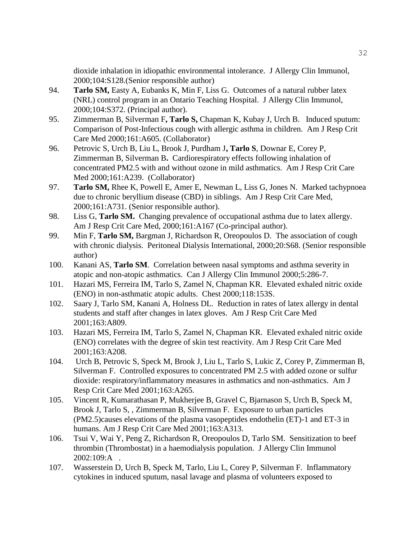dioxide inhalation in idiopathic environmental intolerance. J Allergy Clin Immunol, 2000;104:S128.(Senior responsible author)

- 94. **Tarlo SM,** Easty A, Eubanks K, Min F, Liss G. Outcomes of a natural rubber latex (NRL) control program in an Ontario Teaching Hospital. J Allergy Clin Immunol, 2000;104:S372. (Principal author).
- 95. Zimmerman B, Silverman F**, Tarlo S,** Chapman K, Kubay J, Urch B. Induced sputum: Comparison of Post-Infectious cough with allergic asthma in children. Am J Resp Crit Care Med 2000;161:A605. (Collaborator)
- 96. Petrovic S, Urch B, Liu L, Brook J, Purdham J**, Tarlo S**, Downar E, Corey P, Zimmerman B, Silverman B**.** Cardiorespiratory effects following inhalation of concentrated PM2.5 with and without ozone in mild asthmatics. Am J Resp Crit Care Med 2000;161:A239. (Collaborator)
- 97. **Tarlo SM,** Rhee K, Powell E, Amer E, Newman L, Liss G, Jones N. Marked tachypnoea due to chronic beryllium disease (CBD) in siblings. Am J Resp Crit Care Med, 2000;161:A731. (Senior responsible author).
- 98. Liss G, **Tarlo SM.** Changing prevalence of occupational asthma due to latex allergy. Am J Resp Crit Care Med, 2000;161:A167 (Co-principal author).
- 99. Min F, **Tarlo SM,** Bargman J, Richardson R, Oreopoulos D. The association of cough with chronic dialysis. Peritoneal Dialysis International, 2000;20:S68. (Senior responsible author)
- 100. Kanani AS, **Tarlo SM**. Correlation between nasal symptoms and asthma severity in atopic and non-atopic asthmatics. Can J Allergy Clin Immunol 2000;5:286-7.
- 101. Hazari MS, Ferreira IM, Tarlo S, Zamel N, Chapman KR. Elevated exhaled nitric oxide (ENO) in non-asthmatic atopic adults. Chest 2000;118:153S.
- 102. Saary J, Tarlo SM, Kanani A, Holness DL. Reduction in rates of latex allergy in dental students and staff after changes in latex gloves. Am J Resp Crit Care Med 2001;163:A809.
- 103. Hazari MS, Ferreira IM, Tarlo S, Zamel N, Chapman KR. Elevated exhaled nitric oxide (ENO) correlates with the degree of skin test reactivity. Am J Resp Crit Care Med 2001;163:A208.
- 104. Urch B, Petrovic S, Speck M, Brook J, Liu L, Tarlo S, Lukic Z, Corey P, Zimmerman B, Silverman F. Controlled exposures to concentrated PM 2.5 with added ozone or sulfur dioxide: respiratory/inflammatory measures in asthmatics and non-asthmatics. Am J Resp Crit Care Med 2001;163:A265.
- 105. Vincent R, Kumarathasan P, Mukherjee B, Gravel C, Bjarnason S, Urch B, Speck M, Brook J, Tarlo S, , Zimmerman B, Silverman F. Exposure to urban particles (PM2.5)causes elevations of the plasma vasopeptides endothelin (ET)-1 and ET-3 in humans. Am J Resp Crit Care Med 2001;163:A313.
- 106. Tsui V, Wai Y, Peng Z, Richardson R, Oreopoulos D, Tarlo SM. Sensitization to beef thrombin (Thrombostat) in a haemodialysis population. J Allergy Clin Immunol 2002:109:A .
- 107. Wasserstein D, Urch B, Speck M, Tarlo, Liu L, Corey P, Silverman F. Inflammatory cytokines in induced sputum, nasal lavage and plasma of volunteers exposed to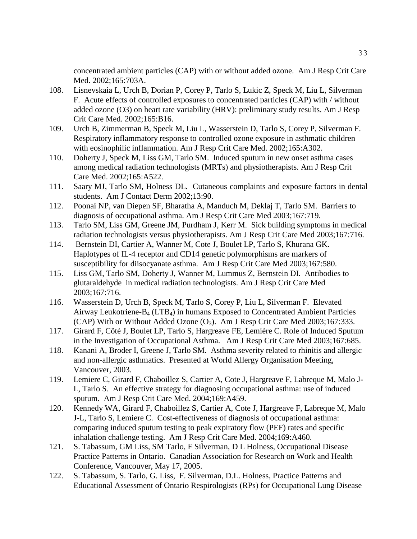concentrated ambient particles (CAP) with or without added ozone. Am J Resp Crit Care Med. 2002;165:703A.

- 108. Lisnevskaia L, Urch B, Dorian P, Corey P, Tarlo S, Lukic Z, Speck M, Liu L, Silverman F. Acute effects of controlled exposures to concentrated particles (CAP) with / without added ozone (O3) on heart rate variability (HRV): preliminary study results. Am J Resp Crit Care Med. 2002;165:B16.
- 109. Urch B, Zimmerman B, Speck M, Liu L, Wasserstein D, Tarlo S, Corey P, Silverman F. Respiratory inflammatory response to controlled ozone exposure in asthmatic children with eosinophilic inflammation. Am J Resp Crit Care Med. 2002;165:A302.
- 110. Doherty J, Speck M, Liss GM, Tarlo SM. Induced sputum in new onset asthma cases among medical radiation technologists (MRTs) and physiotherapists. Am J Resp Crit Care Med. 2002;165:A522.
- 111. Saary MJ, Tarlo SM, Holness DL. Cutaneous complaints and exposure factors in dental students. Am J Contact Derm 2002;13:90.
- 112. Poonai NP, van Diepen SF, Bharatha A, Manduch M, Deklaj T, Tarlo SM. Barriers to diagnosis of occupational asthma. Am J Resp Crit Care Med 2003;167:719.
- 113. Tarlo SM, Liss GM, Greene JM, Purdham J, Kerr M. Sick building symptoms in medical radiation technologists versus physiotherapists. Am J Resp Crit Care Med 2003;167:716.
- 114. Bernstein DI, Cartier A, Wanner M, Cote J, Boulet LP, Tarlo S, Khurana GK. Haplotypes of IL-4 receptor and CD14 genetic polymorphisms are markers of susceptibility for diisocyanate asthma. Am J Resp Crit Care Med 2003;167:580.
- 115. Liss GM, Tarlo SM, Doherty J, Wanner M, Lummus Z, Bernstein DI. Antibodies to glutaraldehyde in medical radiation technologists. Am J Resp Crit Care Med 2003;167:716.
- 116. Wasserstein D, Urch B, Speck M, Tarlo S, Corey P, Liu L, Silverman F. Elevated Airway Leukotriene- $B_4$  (LTB<sub>4</sub>) in humans Exposed to Concentrated Ambient Particles (CAP) With or Without Added Ozone  $(O_3)$ . Am J Resp Crit Care Med 2003;167:333.
- 117. Girard F, Côté J, Boulet LP, Tarlo S, Hargreave FE, Lemière C. Role of Induced Sputum in the Investigation of Occupational Asthma. Am J Resp Crit Care Med 2003;167:685.
- 118. Kanani A, Broder I, Greene J, Tarlo SM. Asthma severity related to rhinitis and allergic and non-allergic asthmatics. Presented at World Allergy Organisation Meeting, Vancouver, 2003.
- 119. Lemiere C, Girard F, Chaboillez S, Cartier A, Cote J, Hargreave F, Labreque M, Malo J-L, Tarlo S. An effective strategy for diagnosing occupational asthma: use of induced sputum. Am J Resp Crit Care Med. 2004;169:A459.
- 120. Kennedy WA, Girard F, Chaboillez S, Cartier A, Cote J, Hargreave F, Labreque M, Malo J-L, Tarlo S, Lemiere C. Cost-effectiveness of diagnosis of occupational asthma: comparing induced sputum testing to peak expiratory flow (PEF) rates and specific inhalation challenge testing. Am J Resp Crit Care Med. 2004;169:A460.
- 121. S. Tabassum, GM Liss, SM Tarlo, F Silverman, D L Holness, Occupational Disease Practice Patterns in Ontario. Canadian Association for Research on Work and Health Conference, Vancouver, May 17, 2005.
- 122. S. Tabassum, S. Tarlo, G. Liss, F. Silverman, D.L. Holness, Practice Patterns and Educational Assessment of Ontario Respirologists (RPs) for Occupational Lung Disease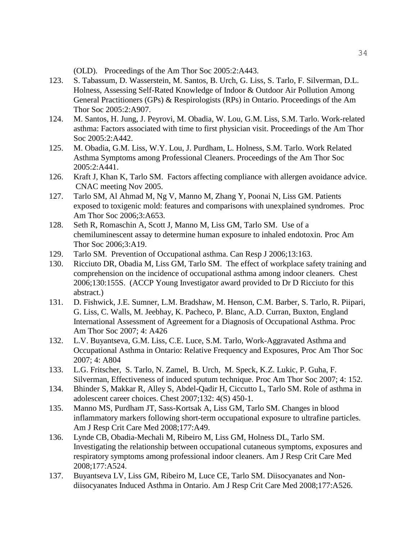(OLD). Proceedings of the Am Thor Soc 2005:2:A443.

- 123. S. Tabassum, D. Wasserstein, M. Santos, B. Urch, G. Liss, S. Tarlo, F. Silverman, D.L. Holness, Assessing Self-Rated Knowledge of Indoor & Outdoor Air Pollution Among General Practitioners (GPs) & Respirologists (RPs) in Ontario. Proceedings of the Am Thor Soc 2005:2:A907.
- 124. M. Santos, H. Jung, J. Peyrovi, M. Obadia, W. Lou, G.M. Liss, S.M. Tarlo. Work-related asthma: Factors associated with time to first physician visit. Proceedings of the Am Thor Soc 2005:2:A442.
- 125. M. Obadia, G.M. Liss, W.Y. Lou, J. Purdham, L. Holness, S.M. Tarlo. Work Related Asthma Symptoms among Professional Cleaners. Proceedings of the Am Thor Soc 2005:2:A441.
- 126. Kraft J, Khan K, Tarlo SM. Factors affecting compliance with allergen avoidance advice. CNAC meeting Nov 2005.
- 127. Tarlo SM, Al Ahmad M, Ng V, Manno M, Zhang Y, Poonai N, Liss GM. Patients exposed to toxigenic mold: features and comparisons with unexplained syndromes. Proc Am Thor Soc 2006;3:A653.
- 128. Seth R, Romaschin A, Scott J, Manno M, Liss GM, Tarlo SM. Use of a chemiluminescent assay to determine human exposure to inhaled endotoxin. Proc Am Thor Soc 2006;3:A19.
- 129. Tarlo SM. Prevention of Occupational asthma. Can Resp J 2006;13:163.
- 130. Ricciuto DR, Obadia M, Liss GM, Tarlo SM. The effect of workplace safety training and comprehension on the incidence of occupational asthma among indoor cleaners. Chest 2006;130:155S. (ACCP Young Investigator award provided to Dr D Ricciuto for this abstract.)
- 131. D. Fishwick, J.E. Sumner, L.M. Bradshaw, M. Henson, C.M. Barber, S. Tarlo, R. Piipari, G. Liss, C. Walls, M. Jeebhay, K. Pacheco, P. Blanc, A.D. Curran, Buxton, England International Assessment of Agreement for a Diagnosis of Occupational Asthma. Proc Am Thor Soc 2007; 4: A426
- 132. L.V. Buyantseva, G.M. Liss, C.E. Luce, S.M. Tarlo, Work-Aggravated Asthma and Occupational Asthma in Ontario: Relative Frequency and Exposures, Proc Am Thor Soc 2007; 4: A804
- 133. L.G. Fritscher, S. Tarlo, N. Zamel, B. Urch, M. Speck, K.Z. Lukic, P. Guha, F. Silverman, Effectiveness of induced sputum technique. Proc Am Thor Soc 2007; 4: 152.
- 134. Bhinder S, Makkar R, Alley S, Abdel-Qadir H, Ciccutto L, Tarlo SM. Role of asthma in adolescent career choices. Chest 2007;132: 4(S) 450-1.
- 135. Manno MS, Purdham JT, Sass-Kortsak A, Liss GM, Tarlo SM. Changes in blood inflammatory markers following short-term occupational exposure to ultrafine particles. Am J Resp Crit Care Med 2008;177:A49.
- 136. Lynde CB, Obadia-Mechali M, Ribeiro M, Liss GM, Holness DL, Tarlo SM. Investigating the relationship between occupational cutaneous symptoms, exposures and respiratory symptoms among professional indoor cleaners. Am J Resp Crit Care Med 2008;177:A524.
- 137. Buyantseva LV, Liss GM, Ribeiro M, Luce CE, Tarlo SM. Diisocyanates and Nondiisocyanates Induced Asthma in Ontario. Am J Resp Crit Care Med 2008;177:A526.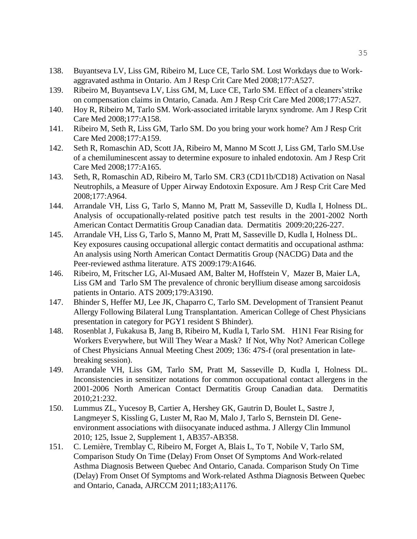- 138. Buyantseva LV, Liss GM, Ribeiro M, Luce CE, Tarlo SM. Lost Workdays due to Workaggravated asthma in Ontario. Am J Resp Crit Care Med 2008;177:A527.
- 139. Ribeiro M, Buyantseva LV, Liss GM, M, Luce CE, Tarlo SM. Effect of a cleaners'strike on compensation claims in Ontario, Canada. Am J Resp Crit Care Med 2008;177:A527.
- 140. Hoy R, Ribeiro M, Tarlo SM. Work-associated irritable larynx syndrome. Am J Resp Crit Care Med 2008;177:A158.
- 141. Ribeiro M, Seth R, Liss GM, Tarlo SM. Do you bring your work home? Am J Resp Crit Care Med 2008;177:A159.
- 142. Seth R, Romaschin AD, Scott JA, Ribeiro M, Manno M Scott J, Liss GM, Tarlo SM.Use of a chemiluminescent assay to determine exposure to inhaled endotoxin. Am J Resp Crit Care Med 2008;177:A165.
- 143. Seth, R, Romaschin AD, Ribeiro M, Tarlo SM. CR3 (CD11b/CD18) Activation on Nasal Neutrophils, a Measure of Upper Airway Endotoxin Exposure. Am J Resp Crit Care Med 2008;177:A964.
- 144. Arrandale VH, Liss G, Tarlo S, Manno M, Pratt M, Sasseville D, Kudla I, Holness DL. Analysis of occupationally-related positive patch test results in the 2001-2002 North American Contact Dermatitis Group Canadian data. Dermatitis 2009:20;226-227.
- 145. Arrandale VH, Liss G, Tarlo S, Manno M, Pratt M, Sasseville D, Kudla I, Holness DL. Key exposures causing occupational allergic contact dermatitis and occupational asthma: An analysis using North American Contact Dermatitis Group (NACDG) Data and the Peer-reviewed asthma literature. ATS 2009:179:A1646.
- 146. Ribeiro, M, Fritscher LG, Al-Musaed AM, Balter M, Hoffstein V, Mazer B, Maier LA, Liss GM and Tarlo SM The prevalence of chronic beryllium disease among sarcoidosis patients in Ontario. ATS 2009;179:A3190.
- 147. Bhinder S, Heffer MJ, Lee JK, Chaparro C, Tarlo SM. Development of Transient Peanut Allergy Following Bilateral Lung Transplantation. American College of Chest Physicians presentation in category for PGY1 resident S Bhinder).
- 148. Rosenblat J, Fukakusa B, Jang B, Ribeiro M, Kudla I, Tarlo SM. H1N1 Fear Rising for Workers Everywhere, but Will They Wear a Mask? If Not, Why Not? American College of Chest Physicians Annual Meeting Chest 2009; 136: 47S-f (oral presentation in latebreaking session).
- 149. Arrandale VH, Liss GM, Tarlo SM, Pratt M, Sasseville D, Kudla I, Holness DL. Inconsistencies in sensitizer notations for common occupational contact allergens in the 2001-2006 North American Contact Dermatitis Group Canadian data. Dermatitis 2010;21:232.
- 150. Lummus ZL, Yucesoy B, Cartier A, Hershey GK, Gautrin D, Boulet L, Sastre J, Langmeyer S, Kissling G, Luster M, Rao M, Malo J, Tarlo S, Bernstein DI. Geneenvironment associations with diisocyanate induced asthma. J Allergy Clin Immunol 2010; 125, Issue 2, Supplement 1, AB357-AB358.
- 151. C. Lemière, Tremblay C, Ribeiro M, Forget A, Blais L, To T, Nobile V, Tarlo SM, Comparison Study On Time (Delay) From Onset Of Symptoms And Work-related Asthma Diagnosis Between Quebec And Ontario, Canada. Comparison Study On Time (Delay) From Onset Of Symptoms and Work-related Asthma Diagnosis Between Quebec and Ontario, Canada, AJRCCM 2011;183;A1176.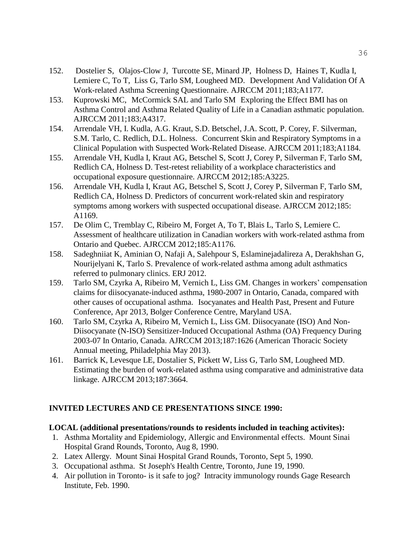- 152. Dostelier S, Olajos-Clow J, Turcotte SE, Minard JP, Holness D, Haines T, Kudla I, Lemiere C, To T, Liss G, Tarlo SM, Lougheed MD. Development And Validation Of A Work-related Asthma Screening Questionnaire. AJRCCM 2011;183;A1177.
- 153. Kuprowski MC, McCormick SAL and Tarlo SM Exploring the Effect BMI has on Asthma Control and Asthma Related Quality of Life in a Canadian asthmatic population. AJRCCM 2011;183;A4317.
- 154. Arrendale VH, I. Kudla, A.G. Kraut, S.D. Betschel, J.A. Scott, P. Corey, F. Silverman, S.M. Tarlo, C. Redlich, D.L. Holness. Concurrent Skin and Respiratory Symptoms in a Clinical Population with Suspected Work-Related Disease. AJRCCM 2011;183;A1184.
- 155. Arrendale VH, Kudla I, Kraut AG, Betschel S, Scott J, Corey P, Silverman F, Tarlo SM, Redlich CA, Holness D. Test-retest reliability of a workplace characteristics and occupational exposure questionnaire. AJRCCM 2012;185:A3225.
- 156. Arrendale VH, Kudla I, Kraut AG, Betschel S, Scott J, Corey P, Silverman F, Tarlo SM, Redlich CA, Holness D. Predictors of concurrent work-related skin and respiratory symptoms among workers with suspected occupational disease. AJRCCM 2012;185: A1169.
- 157. De Olim C, Tremblay C, Ribeiro M, Forget A, To T, Blais L, Tarlo S, Lemiere C. Assessment of healthcare utilization in Canadian workers with work-related asthma from Ontario and Quebec. AJRCCM 2012;185:A1176.
- 158. Sadeghniiat K, Aminian O, Nafaji A, Salehpour S, Eslaminejadalireza A, Derakhshan G, Nourijelyani K, Tarlo S. Prevalence of work-related asthma among adult asthmatics referred to pulmonary clinics. ERJ 2012.
- 159. Tarlo SM, Czyrka A, Ribeiro M, Vernich L, Liss GM. Changes in workers' compensation claims for diisocyanate-induced asthma, 1980-2007 in Ontario, Canada, compared with other causes of occupational asthma. Isocyanates and Health Past, Present and Future Conference, Apr 2013, Bolger Conference Centre, Maryland USA.
- 160. Tarlo SM, Czyrka A, Ribeiro M, Vernich L, Liss GM. Diisocyanate (ISO) And Non-Diisocyanate (N-ISO) Sensitizer-Induced Occupational Asthma (OA) Frequency During 2003-07 In Ontario, Canada. AJRCCM 2013;187:1626 (American Thoracic Society Annual meeting, Philadelphia May 2013).
- 161. Barrick K, Levesque LE, Dostalier S, Pickett W, Liss G, Tarlo SM, Lougheed MD. Estimating the burden of work-related asthma using comparative and administrative data linkage. AJRCCM 2013;187:3664.

# **INVITED LECTURES AND CE PRESENTATIONS SINCE 1990:**

# **LOCAL (additional presentations/rounds to residents included in teaching activites):**

- 1. Asthma Mortality and Epidemiology, Allergic and Environmental effects. Mount Sinai Hospital Grand Rounds, Toronto, Aug 8, 1990.
- 2. Latex Allergy. Mount Sinai Hospital Grand Rounds, Toronto, Sept 5, 1990.
- 3. Occupational asthma. St Joseph's Health Centre, Toronto, June 19, 1990.
- 4. Air pollution in Toronto- is it safe to jog? Intracity immunology rounds Gage Research Institute, Feb. 1990.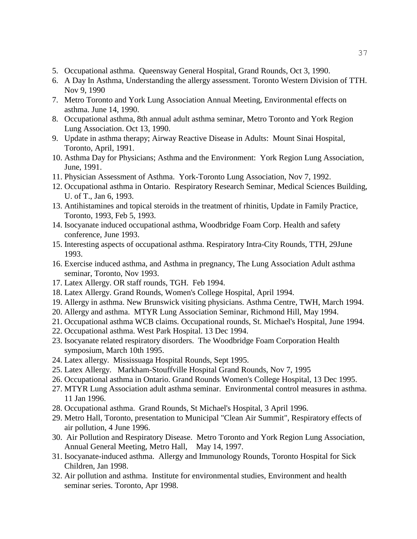- 5. Occupational asthma. Queensway General Hospital, Grand Rounds, Oct 3, 1990.
- 6. A Day In Asthma, Understanding the allergy assessment. Toronto Western Division of TTH. Nov 9, 1990
- 7. Metro Toronto and York Lung Association Annual Meeting, Environmental effects on asthma. June 14, 1990.
- 8. Occupational asthma, 8th annual adult asthma seminar, Metro Toronto and York Region Lung Association. Oct 13, 1990.
- 9. Update in asthma therapy; Airway Reactive Disease in Adults: Mount Sinai Hospital, Toronto, April, 1991.
- 10. Asthma Day for Physicians; Asthma and the Environment: York Region Lung Association, June, 1991.
- 11. Physician Assessment of Asthma. York-Toronto Lung Association, Nov 7, 1992.
- 12. Occupational asthma in Ontario. Respiratory Research Seminar, Medical Sciences Building, U. of T., Jan 6, 1993.
- 13. Antihistamines and topical steroids in the treatment of rhinitis, Update in Family Practice, Toronto, 1993, Feb 5, 1993.
- 14. Isocyanate induced occupational asthma, Woodbridge Foam Corp. Health and safety conference, June 1993.
- 15. Interesting aspects of occupational asthma. Respiratory Intra-City Rounds, TTH, 29June 1993.
- 16. Exercise induced asthma, and Asthma in pregnancy, The Lung Association Adult asthma seminar, Toronto, Nov 1993.
- 17. Latex Allergy. OR staff rounds, TGH. Feb 1994.
- 18. Latex Allergy. Grand Rounds, Women's College Hospital, April 1994.
- 19. Allergy in asthma. New Brunswick visiting physicians. Asthma Centre, TWH, March 1994.
- 20. Allergy and asthma. MTYR Lung Association Seminar, Richmond Hill, May 1994.
- 21. Occupational asthma WCB claims. Occupational rounds, St. Michael's Hospital, June 1994.
- 22. Occupational asthma. West Park Hospital. 13 Dec 1994.
- 23. Isocyanate related respiratory disorders. The Woodbridge Foam Corporation Health symposium, March 10th 1995.
- 24. Latex allergy. Mississuaga Hospital Rounds, Sept 1995.
- 25. Latex Allergy. Markham-Stouffville Hospital Grand Rounds, Nov 7, 1995
- 26. Occupational asthma in Ontario. Grand Rounds Women's College Hospital, 13 Dec 1995.
- 27. MTYR Lung Association adult asthma seminar. Environmental control measures in asthma. 11 Jan 1996.
- 28. Occupational asthma. Grand Rounds, St Michael's Hospital, 3 April 1996.
- 29. Metro Hall, Toronto, presentation to Municipal "Clean Air Summit", Respiratory effects of air pollution, 4 June 1996.
- 30. Air Pollution and Respiratory Disease. Metro Toronto and York Region Lung Association, Annual General Meeting, Metro Hall, May 14, 1997.
- 31. Isocyanate-induced asthma. Allergy and Immunology Rounds, Toronto Hospital for Sick Children, Jan 1998.
- 32. Air pollution and asthma. Institute for environmental studies, Environment and health seminar series. Toronto, Apr 1998.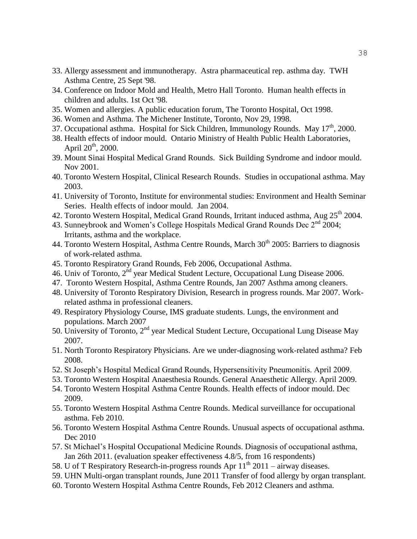- 33. Allergy assessment and immunotherapy. Astra pharmaceutical rep. asthma day. TWH Asthma Centre, 25 Sept '98.
- 34. Conference on Indoor Mold and Health, Metro Hall Toronto. Human health effects in children and adults. 1st Oct '98.
- 35. Women and allergies. A public education forum, The Toronto Hospital, Oct 1998.
- 36. Women and Asthma. The Michener Institute, Toronto, Nov 29, 1998.
- 37. Occupational asthma. Hospital for Sick Children, Immunology Rounds. May  $17<sup>th</sup>$ , 2000.
- 38. Health effects of indoor mould. Ontario Ministry of Health Public Health Laboratories, April  $20^{th}$ ,  $2000$ .
- 39. Mount Sinai Hospital Medical Grand Rounds. Sick Building Syndrome and indoor mould. Nov 2001.
- 40. Toronto Western Hospital, Clinical Research Rounds. Studies in occupational asthma. May 2003.
- 41. University of Toronto, Institute for environmental studies: Environment and Health Seminar Series. Health effects of indoor mould. Jan 2004.
- 42. Toronto Western Hospital, Medical Grand Rounds, Irritant induced asthma, Aug 25<sup>th</sup> 2004.
- 43. Sunneybrook and Women's College Hospitals Medical Grand Rounds Dec 2<sup>nd</sup> 2004; Irritants, asthma and the workplace.
- 44. Toronto Western Hospital, Asthma Centre Rounds, March  $30<sup>th</sup>$  2005: Barriers to diagnosis of work-related asthma.
- 45. Toronto Respiratory Grand Rounds, Feb 2006, Occupational Asthma.
- 46. Univ of Toronto, 2<sup>nd</sup> year Medical Student Lecture, Occupational Lung Disease 2006.
- 47. Toronto Western Hospital, Asthma Centre Rounds, Jan 2007 Asthma among cleaners.
- 48. University of Toronto Respiratory Division, Research in progress rounds. Mar 2007. Workrelated asthma in professional cleaners.
- 49. Respiratory Physiology Course, IMS graduate students. Lungs, the environment and populations. March 2007
- 50. University of Toronto, 2<sup>nd</sup> year Medical Student Lecture, Occupational Lung Disease May 2007.
- 51. North Toronto Respiratory Physicians. Are we under-diagnosing work-related asthma? Feb 2008.
- 52. St Joseph's Hospital Medical Grand Rounds, Hypersensitivity Pneumonitis. April 2009.
- 53. Toronto Western Hospital Anaesthesia Rounds. General Anaesthetic Allergy. April 2009.
- 54. Toronto Western Hospital Asthma Centre Rounds. Health effects of indoor mould. Dec 2009.
- 55. Toronto Western Hospital Asthma Centre Rounds. Medical surveillance for occupational asthma. Feb 2010.
- 56. Toronto Western Hospital Asthma Centre Rounds. Unusual aspects of occupational asthma. Dec 2010
- 57. St Michael's Hospital Occupational Medicine Rounds. Diagnosis of occupational asthma, Jan 26th 2011. (evaluation speaker effectiveness 4.8/5, from 16 respondents)
- 58. U of T Respiratory Research-in-progress rounds Apr  $11^{th}$  2011 airway diseases.
- 59. UHN Multi-organ transplant rounds, June 2011 Transfer of food allergy by organ transplant.
- 60. Toronto Western Hospital Asthma Centre Rounds, Feb 2012 Cleaners and asthma.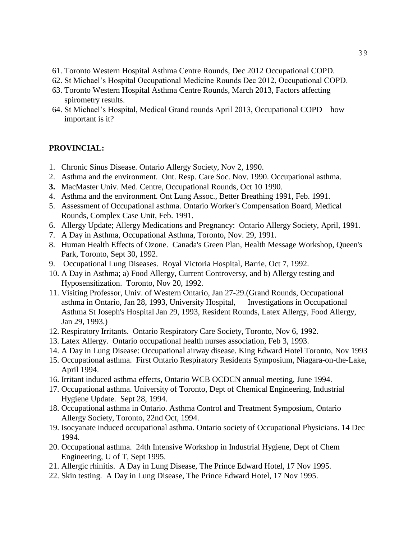- 61. Toronto Western Hospital Asthma Centre Rounds, Dec 2012 Occupational COPD.
- 62. St Michael's Hospital Occupational Medicine Rounds Dec 2012, Occupational COPD.
- 63. Toronto Western Hospital Asthma Centre Rounds, March 2013, Factors affecting spirometry results.
- 64. St Michael's Hospital, Medical Grand rounds April 2013, Occupational COPD how important is it?

#### **PROVINCIAL:**

- 1. Chronic Sinus Disease. Ontario Allergy Society, Nov 2, 1990.
- 2. Asthma and the environment. Ont. Resp. Care Soc. Nov. 1990. Occupational asthma.
- **3.** MacMaster Univ. Med. Centre, Occupational Rounds, Oct 10 1990.
- 4. Asthma and the environment. Ont Lung Assoc., Better Breathing 1991, Feb. 1991.
- 5. Assessment of Occupational asthma. Ontario Worker's Compensation Board, Medical Rounds, Complex Case Unit, Feb. 1991.
- 6. Allergy Update; Allergy Medications and Pregnancy: Ontario Allergy Society, April, 1991.
- 7. A Day in Asthma, Occupational Asthma, Toronto, Nov. 29, 1991.
- 8. Human Health Effects of Ozone. Canada's Green Plan, Health Message Workshop, Queen's Park, Toronto, Sept 30, 1992.
- 9. Occupational Lung Diseases. Royal Victoria Hospital, Barrie, Oct 7, 1992.
- 10. A Day in Asthma; a) Food Allergy, Current Controversy, and b) Allergy testing and Hyposensitization. Toronto, Nov 20, 1992.
- 11. Visiting Professor, Univ. of Western Ontario, Jan 27-29.(Grand Rounds, Occupational asthma in Ontario, Jan 28, 1993, University Hospital, Investigations in Occupational Asthma St Joseph's Hospital Jan 29, 1993, Resident Rounds, Latex Allergy, Food Allergy, Jan 29, 1993.)
- 12. Respiratory Irritants. Ontario Respiratory Care Society, Toronto, Nov 6, 1992.
- 13. Latex Allergy. Ontario occupational health nurses association, Feb 3, 1993.
- 14. A Day in Lung Disease: Occupational airway disease. King Edward Hotel Toronto, Nov 1993
- 15. Occupational asthma. First Ontario Respiratory Residents Symposium, Niagara-on-the-Lake, April 1994.
- 16. Irritant induced asthma effects, Ontario WCB OCDCN annual meeting, June 1994.
- 17. Occupational asthma. University of Toronto, Dept of Chemical Engineering, Industrial Hygiene Update. Sept 28, 1994.
- 18. Occupational asthma in Ontario. Asthma Control and Treatment Symposium, Ontario Allergy Society, Toronto, 22nd Oct, 1994.
- 19. Isocyanate induced occupational asthma. Ontario society of Occupational Physicians. 14 Dec 1994.
- 20. Occupational asthma. 24th Intensive Workshop in Industrial Hygiene, Dept of Chem Engineering, U of T, Sept 1995.
- 21. Allergic rhinitis. A Day in Lung Disease, The Prince Edward Hotel, 17 Nov 1995.
- 22. Skin testing. A Day in Lung Disease, The Prince Edward Hotel, 17 Nov 1995.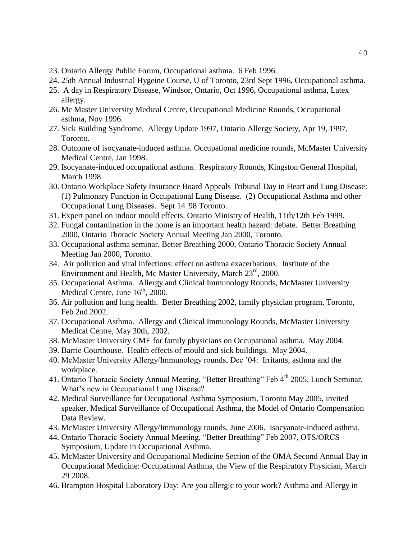- 23. Ontario Allergy Public Forum, Occupational asthma. 6 Feb 1996.
- 24. 25th Annual Industrial Hygeine Course, U of Toronto, 23rd Sept 1996, Occupational asthma.
- 25. A day in Respiratory Disease, Windsor, Ontario, Oct 1996, Occupational asthma, Latex allergy.
- 26. Mc Master University Medical Centre, Occupational Medicine Rounds, Occupational asthma, Nov 1996.
- 27. Sick Building Syndrome. Allergy Update 1997, Ontario Allergy Society, Apr 19, 1997, Toronto.
- 28. Outcome of isocyanate-induced asthma. Occupational medicine rounds, McMaster University Medical Centre, Jan 1998.
- 29. Isocyanate-induced occupational asthma. Respiratory Rounds, Kingston General Hospital, March 1998.
- 30. Ontario Workplace Safety Insurance Board Appeals Tribunal Day in Heart and Lung Disease: (1) Pulmonary Function in Occupational Lung Disease. (2) Occupational Asthma and other Occupational Lung Diseases. Sept 14 '98 Toronto.
- 31. Expert panel on indoor mould effects. Ontario Ministry of Health, 11th/12th Feb 1999.
- 32. Fungal contamination in the home is an important health hazard: debate. Better Breathing 2000, Ontario Thoracic Society Annual Meeting Jan 2000, Toronto.
- 33. Occupational asthma seminar. Better Breathing 2000, Ontario Thoracic Society Annual Meeting Jan 2000, Toronto.
- 34. Air pollution and viral infections: effect on asthma exacerbations. Institute of the Environment and Health, Mc Master University, March 23<sup>rd</sup>, 2000.
- 35. Occupational Asthma. Allergy and Clinical Immunology Rounds, McMaster University Medical Centre, June  $16<sup>th</sup>$ , 2000.
- 36. Air pollution and lung health. Better Breathing 2002, family physician program, Toronto, Feb 2nd 2002.
- 37. Occupational Asthma. Allergy and Clinical Immunology Rounds, McMaster University Medical Centre, May 30th, 2002.
- 38. McMaster University CME for family physicians on Occupational asthma. May 2004.
- 39. Barrie Courthouse. Health effects of mould and sick buildings. May 2004.
- 40. McMaster University Allergy/Immunology rounds, Dec '04: Irritants, asthma and the workplace.
- 41. Ontario Thoracic Society Annual Meeting, "Better Breathing" Feb 4<sup>th</sup> 2005, Lunch Seminar, What's new in Occupational Lung Disease?
- 42. Medical Surveillance for Occupational Asthma Symposium, Toronto May 2005, invited speaker, Medical Surveillance of Occupational Asthma, the Model of Ontario Compensation Data Review.
- 43. McMaster University Allergy/Immunology rounds, June 2006. Isocyanate-induced asthma.
- 44. Ontario Thoracic Society Annual Meeting, "Better Breathing" Feb 2007, OTS/ORCS Symposium, Update in Occupational Asthma.
- 45. McMaster University and Occupational Medicine Section of the OMA Second Annual Day in Occupational Medicine: Occupational Asthma, the View of the Respiratory Physician, March 29 2008.
- 46. Brampton Hospital Laboratory Day: Are you allergic to your work? Asthma and Allergy in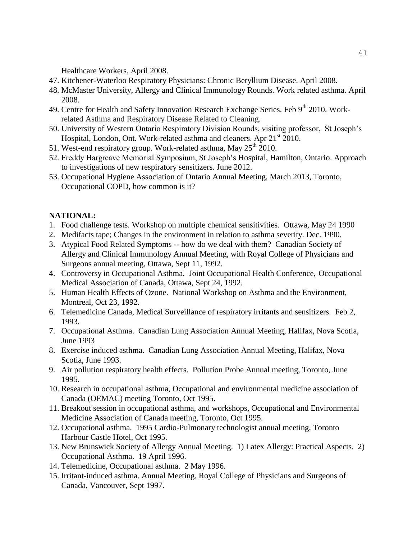Healthcare Workers, April 2008.

- 47. Kitchener-Waterloo Respiratory Physicians: Chronic Beryllium Disease. April 2008.
- 48. McMaster University, Allergy and Clinical Immunology Rounds. Work related asthma. April 2008.
- 49. Centre for Health and Safety Innovation Research Exchange Series. Feb 9<sup>th</sup> 2010. Workrelated Asthma and Respiratory Disease Related to Cleaning.
- 50. University of Western Ontario Respiratory Division Rounds, visiting professor, St Joseph's Hospital, London, Ont. Work-related asthma and cleaners. Apr  $21<sup>st</sup> 2010$ .
- 51. West-end respiratory group. Work-related asthma, May  $25<sup>th</sup>$  2010.
- 52. Freddy Hargreave Memorial Symposium, St Joseph's Hospital, Hamilton, Ontario. Approach to investigations of new respiratory sensitizers. June 2012.
- 53. Occupational Hygiene Association of Ontario Annual Meeting, March 2013, Toronto, Occupational COPD, how common is it?

# **NATIONAL:**

- 1. Food challenge tests. Workshop on multiple chemical sensitivities. Ottawa, May 24 1990
- 2. Medifacts tape; Changes in the environment in relation to asthma severity. Dec. 1990.
- 3. Atypical Food Related Symptoms -- how do we deal with them? Canadian Society of Allergy and Clinical Immunology Annual Meeting, with Royal College of Physicians and Surgeons annual meeting, Ottawa, Sept 11, 1992.
- 4. Controversy in Occupational Asthma. Joint Occupational Health Conference, Occupational Medical Association of Canada, Ottawa, Sept 24, 1992.
- 5. Human Health Effects of Ozone. National Workshop on Asthma and the Environment, Montreal, Oct 23, 1992.
- 6. Telemedicine Canada, Medical Surveillance of respiratory irritants and sensitizers. Feb 2, 1993.
- 7. Occupational Asthma. Canadian Lung Association Annual Meeting, Halifax, Nova Scotia, June 1993
- 8. Exercise induced asthma. Canadian Lung Association Annual Meeting, Halifax, Nova Scotia, June 1993.
- 9. Air pollution respiratory health effects. Pollution Probe Annual meeting, Toronto, June 1995.
- 10. Research in occupational asthma, Occupational and environmental medicine association of Canada (OEMAC) meeting Toronto, Oct 1995.
- 11. Breakout session in occupational asthma, and workshops, Occupational and Environmental Medicine Association of Canada meeting, Toronto, Oct 1995.
- 12. Occupational asthma. 1995 Cardio-Pulmonary technologist annual meeting, Toronto Harbour Castle Hotel, Oct 1995.
- 13. New Brunswick Society of Allergy Annual Meeting. 1) Latex Allergy: Practical Aspects. 2) Occupational Asthma. 19 April 1996.
- 14. Telemedicine, Occupational asthma. 2 May 1996.
- 15. Irritant-induced asthma. Annual Meeting, Royal College of Physicians and Surgeons of Canada, Vancouver, Sept 1997.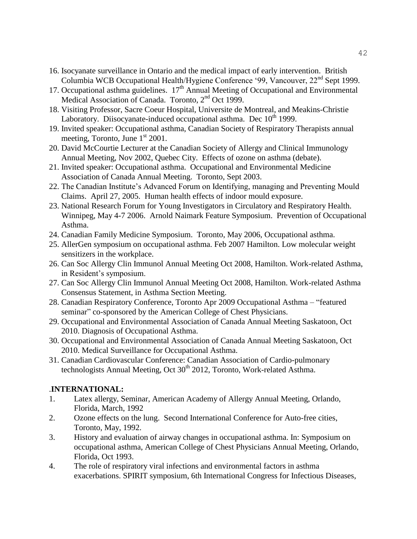- 16. Isocyanate surveillance in Ontario and the medical impact of early intervention. British Columbia WCB Occupational Health/Hygiene Conference '99, Vancouver, 22<sup>nd</sup> Sept 1999.
- 17. Occupational asthma guidelines.  $17<sup>th</sup>$  Annual Meeting of Occupational and Environmental Medical Association of Canada. Toronto, 2<sup>nd</sup> Oct 1999.
- 18. Visiting Professor, Sacre Coeur Hospital, Universite de Montreal, and Meakins-Christie Laboratory. Diisocyanate-induced occupational asthma. Dec  $10<sup>th</sup>$  1999.
- 19. Invited speaker: Occupational asthma, Canadian Society of Respiratory Therapists annual meeting, Toronto, June  $1<sup>st</sup> 2001$ .
- 20. David McCourtie Lecturer at the Canadian Society of Allergy and Clinical Immunology Annual Meeting, Nov 2002, Quebec City. Effects of ozone on asthma (debate).
- 21. Invited speaker: Occupational asthma. Occupational and Environmental Medicine Association of Canada Annual Meeting. Toronto, Sept 2003.
- 22. The Canadian Institute's Advanced Forum on Identifying, managing and Preventing Mould Claims. April 27, 2005. Human health effects of indoor mould exposure.
- 23. National Research Forum for Young Investigators in Circulatory and Respiratory Health. Winnipeg, May 4-7 2006. Arnold Naimark Feature Symposium. Prevention of Occupational Asthma.
- 24. Canadian Family Medicine Symposium. Toronto, May 2006, Occupational asthma.
- 25. AllerGen symposium on occupational asthma. Feb 2007 Hamilton. Low molecular weight sensitizers in the workplace.
- 26. Can Soc Allergy Clin Immunol Annual Meeting Oct 2008, Hamilton. Work-related Asthma, in Resident's symposium.
- 27. Can Soc Allergy Clin Immunol Annual Meeting Oct 2008, Hamilton. Work-related Asthma Consensus Statement, in Asthma Section Meeting.
- 28. Canadian Respiratory Conference, Toronto Apr 2009 Occupational Asthma "featured seminar" co-sponsored by the American College of Chest Physicians.
- 29. Occupational and Environmental Association of Canada Annual Meeting Saskatoon, Oct 2010. Diagnosis of Occupational Asthma.
- 30. Occupational and Environmental Association of Canada Annual Meeting Saskatoon, Oct 2010. Medical Surveillance for Occupational Asthma.
- 31. Canadian Cardiovascular Conference: Canadian Association of Cardio-pulmonary technologists Annual Meeting, Oct  $30<sup>th</sup>$  2012, Toronto, Work-related Asthma.

# .**INTERNATIONAL:**

- 1. Latex allergy, Seminar, American Academy of Allergy Annual Meeting, Orlando, Florida, March, 1992
- 2. Ozone effects on the lung. Second International Conference for Auto-free cities, Toronto, May, 1992.
- 3. History and evaluation of airway changes in occupational asthma. In: Symposium on occupational asthma, American College of Chest Physicians Annual Meeting, Orlando, Florida, Oct 1993.
- 4. The role of respiratory viral infections and environmental factors in asthma exacerbations. SPIRIT symposium, 6th International Congress for Infectious Diseases,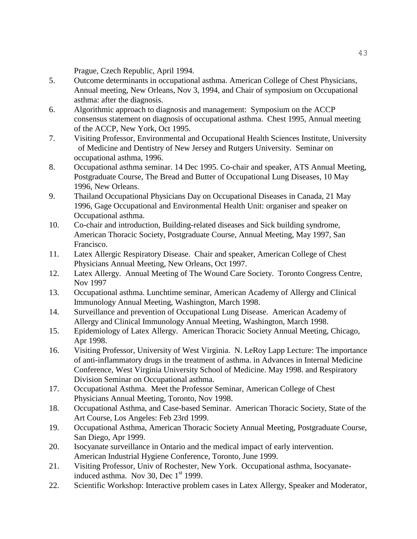Prague, Czech Republic, April 1994.

- 5. Outcome determinants in occupational asthma. American College of Chest Physicians, Annual meeting, New Orleans, Nov 3, 1994, and Chair of symposium on Occupational asthma: after the diagnosis.
- 6. Algorithmic approach to diagnosis and management: Symposium on the ACCP consensus statement on diagnosis of occupational asthma. Chest 1995, Annual meeting of the ACCP, New York, Oct 1995.
- 7. Visiting Professor, Environmental and Occupational Health Sciences Institute, University of Medicine and Dentistry of New Jersey and Rutgers University. Seminar on occupational asthma, 1996.
- 8. Occupational asthma seminar. 14 Dec 1995. Co-chair and speaker, ATS Annual Meeting, Postgraduate Course, The Bread and Butter of Occupational Lung Diseases, 10 May 1996, New Orleans.
- 9. Thailand Occupational Physicians Day on Occupational Diseases in Canada, 21 May 1996, Gage Occupational and Environmental Health Unit: organiser and speaker on Occupational asthma.
- 10. Co-chair and introduction, Building-related diseases and Sick building syndrome, American Thoracic Society, Postgraduate Course, Annual Meeting, May 1997, San Francisco.
- 11. Latex Allergic Respiratory Disease. Chair and speaker, American College of Chest Physicians Annual Meeting, New Orleans, Oct 1997.
- 12. Latex Allergy. Annual Meeting of The Wound Care Society. Toronto Congress Centre, Nov 1997
- 13. Occupational asthma. Lunchtime seminar, American Academy of Allergy and Clinical Immunology Annual Meeting, Washington, March 1998.
- 14. Surveillance and prevention of Occupational Lung Disease. American Academy of Allergy and Clinical Immunology Annual Meeting, Washington, March 1998.
- 15. Epidemiology of Latex Allergy. American Thoracic Society Annual Meeting, Chicago, Apr 1998.
- 16. Visiting Professor, University of West Virginia. N. LeRoy Lapp Lecture: The importance of anti-inflammatory drugs in the treatment of asthma. in Advances in Internal Medicine Conference, West Virginia University School of Medicine. May 1998. and Respiratory Division Seminar on Occupational asthma.
- 17. Occupational Asthma. Meet the Professor Seminar, American College of Chest Physicians Annual Meeting, Toronto, Nov 1998.
- 18. Occupational Asthma, and Case-based Seminar. American Thoracic Society, State of the Art Course, Los Angeles: Feb 23rd 1999.
- 19. Occupational Asthma, American Thoracic Society Annual Meeting, Postgraduate Course, San Diego, Apr 1999.
- 20. Isocyanate surveillance in Ontario and the medical impact of early intervention. American Industrial Hygiene Conference, Toronto, June 1999.
- 21. Visiting Professor, Univ of Rochester, New York. Occupational asthma, Isocyanateinduced asthma. Nov 30, Dec  $1<sup>st</sup>$  1999.
- 22. Scientific Workshop: Interactive problem cases in Latex Allergy, Speaker and Moderator,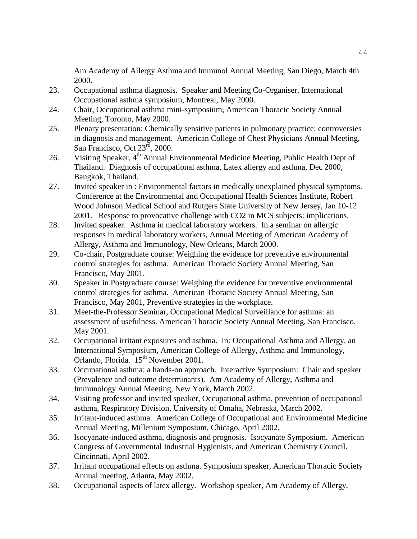Am Academy of Allergy Asthma and Immunol Annual Meeting, San Diego, March 4th 2000.

- 23. Occupational asthma diagnosis. Speaker and Meeting Co-Organiser, International Occupational asthma symposium, Montreal, May 2000.
- 24. Chair, Occupational asthma mini-symposium, American Thoracic Society Annual Meeting, Toronto, May 2000.
- 25. Plenary presentation: Chemically sensitive patients in pulmonary practice: controversies in diagnosis and management. American College of Chest Physicians Annual Meeting, San Francisco, Oct 23<sup>rd</sup>, 2000.
- 26. Visiting Speaker,  $4<sup>th</sup>$  Annual Environmental Medicine Meeting, Public Health Dept of Thailand. Diagnosis of occupational asthma, Latex allergy and asthma, Dec 2000, Bangkok, Thailand.
- 27. Invited speaker in : Environmental factors in medically unexplained physical symptoms. Conference at the Environmental and Occupational Health Sciences Institute, Robert Wood Johnson Medical School and Rutgers State University of New Jersey, Jan 10-12 2001. Response to provocative challenge with CO2 in MCS subjects: implications.
- 28. Invited speaker. Asthma in medical laboratory workers. In a seminar on allergic responses in medical laboratory workers, Annual Meeting of American Academy of Allergy, Asthma and Immunology, New Orleans, March 2000.
- 29. Co-chair, Postgraduate course: Weighing the evidence for preventive environmental control strategies for asthma. American Thoracic Society Annual Meeting, San Francisco, May 2001.
- 30. Speaker in Postgraduate course: Weighing the evidence for preventive environmental control strategies for asthma. American Thoracic Society Annual Meeting, San Francisco, May 2001, Preventive strategies in the workplace.
- 31. Meet-the-Professor Seminar, Occupational Medical Surveillance for asthma: an assessment of usefulness. American Thoracic Society Annual Meeting, San Francisco, May 2001.
- 32. Occupational irritant exposures and asthma. In: Occupational Asthma and Allergy, an International Symposium, American College of Allergy, Asthma and Immunology, Orlando, Florida. 15<sup>th</sup> November 2001.
- 33. Occupational asthma: a hands-on approach. Interactive Symposium: Chair and speaker (Prevalence and outcome determinants). Am Academy of Allergy, Asthma and Immunology Annual Meeting, New York, March 2002.
- 34. Visiting professor and invited speaker, Occupational asthma, prevention of occupational asthma, Respiratory Division, University of Omaha, Nebraska, March 2002.
- 35. Irritant-induced asthma. American College of Occupational and Environmental Medicine Annual Meeting, Millenium Symposium, Chicago, April 2002.
- 36. Isocyanate-induced asthma, diagnosis and prognosis. Isocyanate Symposium. American Congress of Governmental Industrial Hygienists, and American Chemistry Council. Cincinnati, April 2002.
- 37. Irritant occupational effects on asthma. Symposium speaker, American Thoracic Society Annual meeting, Atlanta, May 2002.
- 38. Occupational aspects of latex allergy. Workshop speaker, Am Academy of Allergy,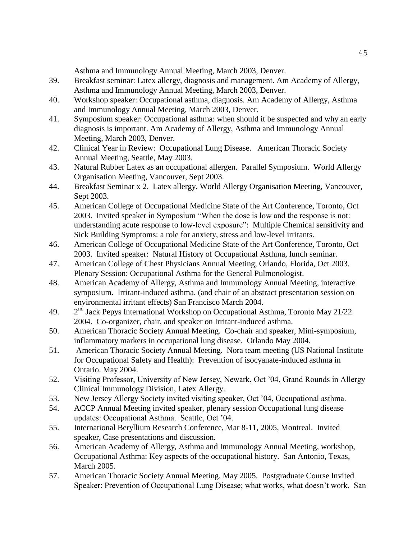Asthma and Immunology Annual Meeting, March 2003, Denver.

- 39. Breakfast seminar: Latex allergy, diagnosis and management. Am Academy of Allergy, Asthma and Immunology Annual Meeting, March 2003, Denver.
- 40. Workshop speaker: Occupational asthma, diagnosis. Am Academy of Allergy, Asthma and Immunology Annual Meeting, March 2003, Denver.
- 41. Symposium speaker: Occupational asthma: when should it be suspected and why an early diagnosis is important. Am Academy of Allergy, Asthma and Immunology Annual Meeting, March 2003, Denver.
- 42. Clinical Year in Review: Occupational Lung Disease. American Thoracic Society Annual Meeting, Seattle, May 2003.
- 43. Natural Rubber Latex as an occupational allergen. Parallel Symposium. World Allergy Organisation Meeting, Vancouver, Sept 2003.
- 44. Breakfast Seminar x 2. Latex allergy. World Allergy Organisation Meeting, Vancouver, Sept 2003.
- 45. American College of Occupational Medicine State of the Art Conference, Toronto, Oct 2003. Invited speaker in Symposium "When the dose is low and the response is not: understanding acute response to low-level exposure": Multiple Chemical sensitivity and Sick Building Symptoms: a role for anxiety, stress and low-level irritants.
- 46. American College of Occupational Medicine State of the Art Conference, Toronto, Oct 2003. Invited speaker: Natural History of Occupational Asthma, lunch seminar.
- 47. American College of Chest Physicians Annual Meeting, Orlando, Florida, Oct 2003. Plenary Session: Occupational Asthma for the General Pulmonologist.
- 48. American Academy of Allergy, Asthma and Immunology Annual Meeting, interactive symposium. Irritant-induced asthma. (and chair of an abstract presentation session on environmental irritant effects) San Francisco March 2004.
- 49. 2  $2<sup>nd</sup>$  Jack Pepys International Workshop on Occupational Asthma, Toronto May 21/22 2004. Co-organizer, chair, and speaker on Irritant-induced asthma.
- 50. American Thoracic Society Annual Meeting. Co-chair and speaker, Mini-symposium, inflammatory markers in occupational lung disease. Orlando May 2004.
- 51. American Thoracic Society Annual Meeting. Nora team meeting (US National Institute for Occupational Safety and Health): Prevention of isocyanate-induced asthma in Ontario. May 2004.
- 52. Visiting Professor, University of New Jersey, Newark, Oct '04, Grand Rounds in Allergy Clinical Immunology Division, Latex Allergy.
- 53. New Jersey Allergy Society invited visiting speaker, Oct '04, Occupational asthma.
- 54. ACCP Annual Meeting invited speaker, plenary session Occupational lung disease updates: Occupational Asthma. Seattle, Oct '04.
- 55. International Beryllium Research Conference, Mar 8-11, 2005, Montreal. Invited speaker, Case presentations and discussion.
- 56. American Academy of Allergy, Asthma and Immunology Annual Meeting, workshop, Occupational Asthma: Key aspects of the occupational history. San Antonio, Texas, March 2005.
- 57. American Thoracic Society Annual Meeting, May 2005. Postgraduate Course Invited Speaker: Prevention of Occupational Lung Disease; what works, what doesn't work. San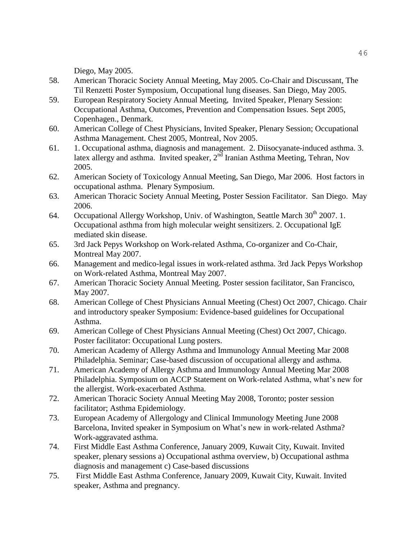Diego, May 2005.

- 58. American Thoracic Society Annual Meeting, May 2005. Co-Chair and Discussant, The Til Renzetti Poster Symposium, Occupational lung diseases. San Diego, May 2005.
- 59. European Respiratory Society Annual Meeting, Invited Speaker, Plenary Session: Occupational Asthma, Outcomes, Prevention and Compensation Issues. Sept 2005, Copenhagen., Denmark.
- 60. American College of Chest Physicians, Invited Speaker, Plenary Session; Occupational Asthma Management. Chest 2005, Montreal, Nov 2005.
- 61. 1. Occupational asthma, diagnosis and management. 2. Diisocyanate-induced asthma. 3. latex allergy and asthma. Invited speaker, 2<sup>nd</sup> Iranian Asthma Meeting, Tehran, Nov 2005.
- 62. American Society of Toxicology Annual Meeting, San Diego, Mar 2006. Host factors in occupational asthma. Plenary Symposium.
- 63. American Thoracic Society Annual Meeting, Poster Session Facilitator. San Diego. May 2006.
- 64. Occupational Allergy Workshop, Univ. of Washington, Seattle March  $30<sup>th</sup> 2007$ . 1. Occupational asthma from high molecular weight sensitizers. 2. Occupational IgE mediated skin disease.
- 65. 3rd Jack Pepys Workshop on Work-related Asthma, Co-organizer and Co-Chair, Montreal May 2007.
- 66. Management and medico-legal issues in work-related asthma. 3rd Jack Pepys Workshop on Work-related Asthma, Montreal May 2007.
- 67. American Thoracic Society Annual Meeting. Poster session facilitator, San Francisco, May 2007.
- 68. American College of Chest Physicians Annual Meeting (Chest) Oct 2007, Chicago. Chair and introductory speaker Symposium: Evidence-based guidelines for Occupational Asthma.
- 69. American College of Chest Physicians Annual Meeting (Chest) Oct 2007, Chicago. Poster facilitator: Occupational Lung posters.
- 70. American Academy of Allergy Asthma and Immunology Annual Meeting Mar 2008 Philadelphia. Seminar; Case-based discussion of occupational allergy and asthma.
- 71. American Academy of Allergy Asthma and Immunology Annual Meeting Mar 2008 Philadelphia. Symposium on ACCP Statement on Work-related Asthma, what's new for the allergist. Work-exacerbated Asthma.
- 72. American Thoracic Society Annual Meeting May 2008, Toronto; poster session facilitator; Asthma Epidemiology.
- 73. European Academy of Allergology and Clinical Immunology Meeting June 2008 Barcelona, Invited speaker in Symposium on What's new in work-related Asthma? Work-aggravated asthma.
- 74. First Middle East Asthma Conference, January 2009, Kuwait City, Kuwait. Invited speaker, plenary sessions a) Occupational asthma overview, b) Occupational asthma diagnosis and management c) Case-based discussions
- 75. First Middle East Asthma Conference, January 2009, Kuwait City, Kuwait. Invited speaker, Asthma and pregnancy.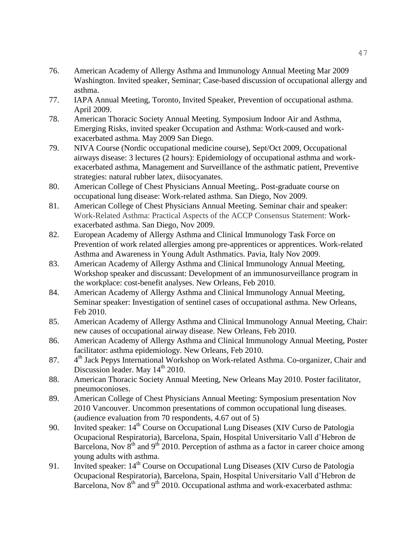- 76. American Academy of Allergy Asthma and Immunology Annual Meeting Mar 2009 Washington. Invited speaker, Seminar; Case-based discussion of occupational allergy and asthma.
- 77. IAPA Annual Meeting, Toronto, Invited Speaker, Prevention of occupational asthma. April 2009.
- 78. American Thoracic Society Annual Meeting. Symposium Indoor Air and Asthma, Emerging Risks, invited speaker Occupation and Asthma: Work-caused and workexacerbated asthma. May 2009 San Diego.
- 79. NIVA Course (Nordic occupational medicine course), Sept/Oct 2009, Occupational airways disease: 3 lectures (2 hours): Epidemiology of occupational asthma and workexacerbated asthma, Management and Surveillance of the asthmatic patient, Preventive strategies: natural rubber latex, diisocyanates.
- 80. American College of Chest Physicians Annual Meeting,. Post-graduate course on occupational lung disease: Work-related asthma. San Diego, Nov 2009.
- 81. American College of Chest Physicians Annual Meeting. Seminar chair and speaker: Work-Related Asthma: Practical Aspects of the ACCP Consensus Statement: Workexacerbated asthma. San Diego, Nov 2009.
- 82. European Academy of Allergy Asthma and Clinical Immunology Task Force on Prevention of work related allergies among pre-apprentices or apprentices. Work-related Asthma and Awareness in Young Adult Asthmatics. Pavia, Italy Nov 2009.
- 83. American Academy of Allergy Asthma and Clinical Immunology Annual Meeting, Workshop speaker and discussant: Development of an immunosurveillance program in the workplace: cost-benefit analyses. New Orleans, Feb 2010.
- 84. American Academy of Allergy Asthma and Clinical Immunology Annual Meeting, Seminar speaker: Investigation of sentinel cases of occupational asthma. New Orleans, Feb 2010.
- 85. American Academy of Allergy Asthma and Clinical Immunology Annual Meeting, Chair: new causes of occupational airway disease. New Orleans, Feb 2010.
- 86. American Academy of Allergy Asthma and Clinical Immunology Annual Meeting, Poster facilitator: asthma epidemiology. New Orleans, Feb 2010.
- 87. 4 4<sup>th</sup> Jack Pepys International Workshop on Work-related Asthma. Co-organizer, Chair and Discussion leader. May  $14<sup>th</sup>$  2010.
- 88. American Thoracic Society Annual Meeting, New Orleans May 2010. Poster facilitator, pneumoconioses.
- 89. American College of Chest Physicians Annual Meeting: Symposium presentation Nov 2010 Vancouver. Uncommon presentations of common occupational lung diseases. (audience evaluation from 70 respondents, 4.67 out of 5)
- 90. Invited speaker: 14<sup>th</sup> Course on Occupational Lung Diseases (XIV Curso de Patologia Ocupacional Respiratoria), Barcelona, Spain, Hospital Universitario Vall d'Hebron de Barcelona, Nov  $8<sup>th</sup>$  and  $9<sup>th</sup>$  2010. Perception of asthma as a factor in career choice among young adults with asthma.
- 91. Invited speaker:  $14<sup>th</sup>$  Course on Occupational Lung Diseases (XIV Curso de Patologia Ocupacional Respiratoria), Barcelona, Spain, Hospital Universitario Vall d'Hebron de Barcelona, Nov  $8<sup>th</sup>$  and  $9<sup>th</sup>$  2010. Occupational asthma and work-exacerbated asthma: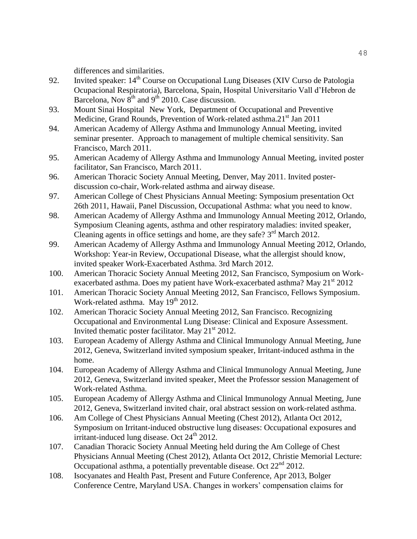differences and similarities.

- 92. Invited speaker:  $14<sup>th</sup>$  Course on Occupational Lung Diseases (XIV Curso de Patologia Ocupacional Respiratoria), Barcelona, Spain, Hospital Universitario Vall d'Hebron de Barcelona, Nov  $8<sup>th</sup>$  and  $9<sup>th</sup>$  2010. Case discussion.
- 93. Mount Sinai Hospital New York, Department of Occupational and Preventive Medicine, Grand Rounds, Prevention of Work-related asthma.21<sup>st</sup> Jan 2011
- 94. American Academy of Allergy Asthma and Immunology Annual Meeting, invited seminar presenter. Approach to management of multiple chemical sensitivity. San Francisco, March 2011.
- 95. American Academy of Allergy Asthma and Immunology Annual Meeting, invited poster facilitator, San Francisco, March 2011.
- 96. American Thoracic Society Annual Meeting, Denver, May 2011. Invited posterdiscussion co-chair, Work-related asthma and airway disease.
- 97. American College of Chest Physicians Annual Meeting: Symposium presentation Oct 26th 2011, Hawaii, Panel Discussion, Occupational Asthma: what you need to know.
- 98. American Academy of Allergy Asthma and Immunology Annual Meeting 2012, Orlando, Symposium Cleaning agents, asthma and other respiratory maladies: invited speaker, Cleaning agents in office settings and home, are they safe?  $3<sup>rd</sup>$  March 2012.
- 99. American Academy of Allergy Asthma and Immunology Annual Meeting 2012, Orlando, Workshop: Year-in Review, Occupational Disease, what the allergist should know, invited speaker Work-Exacerbated Asthma. 3rd March 2012.
- 100. American Thoracic Society Annual Meeting 2012, San Francisco, Symposium on Workexacerbated asthma. Does my patient have Work-exacerbated asthma? May  $21^{st}$  2012
- 101. American Thoracic Society Annual Meeting 2012, San Francisco, Fellows Symposium. Work-related asthma. May 19<sup>th</sup> 2012.
- 102. American Thoracic Society Annual Meeting 2012, San Francisco. Recognizing Occupational and Environmental Lung Disease: Clinical and Exposure Assessment. Invited thematic poster facilitator. May  $21<sup>st</sup> 2012$ .
- 103. European Academy of Allergy Asthma and Clinical Immunology Annual Meeting, June 2012, Geneva, Switzerland invited symposium speaker, Irritant-induced asthma in the home.
- 104. European Academy of Allergy Asthma and Clinical Immunology Annual Meeting, June 2012, Geneva, Switzerland invited speaker, Meet the Professor session Management of Work-related Asthma.
- 105. European Academy of Allergy Asthma and Clinical Immunology Annual Meeting, June 2012, Geneva, Switzerland invited chair, oral abstract session on work-related asthma.
- 106. Am College of Chest Physicians Annual Meeting (Chest 2012), Atlanta Oct 2012, Symposium on Irritant-induced obstructive lung diseases: Occupational exposures and irritant-induced lung disease. Oct 24<sup>th</sup> 2012.
- 107. Canadian Thoracic Society Annual Meeting held during the Am College of Chest Physicians Annual Meeting (Chest 2012), Atlanta Oct 2012, Christie Memorial Lecture: Occupational asthma, a potentially preventable disease. Oct 22<sup>nd</sup> 2012.
- 108. Isocyanates and Health Past, Present and Future Conference, Apr 2013, Bolger Conference Centre, Maryland USA. Changes in workers' compensation claims for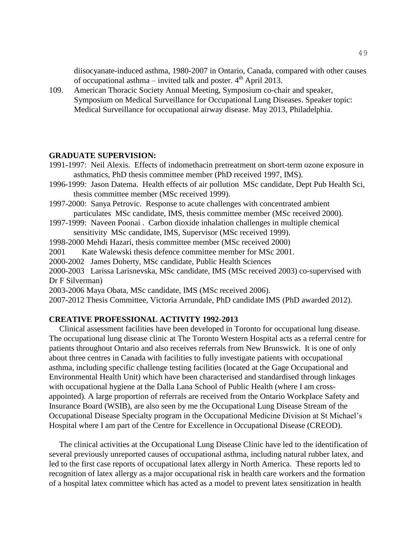diisocyanate-induced asthma, 1980-2007 in Ontario, Canada, compared with other causes of occupational asthma – invited talk and poster.  $4<sup>th</sup>$  April 2013.

109. American Thoracic Society Annual Meeting, Symposium co-chair and speaker, Symposium on Medical Surveillance for Occupational Lung Diseases. Speaker topic: Medical Surveillance for occupational airway disease. May 2013, Philadelphia.

#### **GRADUATE SUPERVISION:**

- 1991-1997: Neil Alexis. Effects of indomethacin pretreatment on short-term ozone exposure in asthmatics, PhD thesis committee member (PhD received 1997, IMS).
- 1996-1999: Jason Datema. Health effects of air pollution MSc candidate, Dept Pub Health Sci, thesis committee member (MSc received 1999).
- 1997-2000: Sanya Petrovic. Response to acute challenges with concentrated ambient particulates MSc candidate, IMS, thesis committee member (MSc received 2000).
- 1997-1999: Naveen Poonai . Carbon dioxide inhalation challenges in multiple chemical sensitivity MSc candidate, IMS, Supervisor (MSc received 1999).
- 1998-2000 Mehdi Hazari, thesis committee member (MSc received 2000)
- 2001 Kate Walewski thesis defence committee member for MSc 2001.

2000-2002 James Doherty, MSc candidate, Public Health Sciences

2000-2003 Larissa Larisnevska, MSc candidate, IMS (MSc received 2003) co-supervised with Dr F Silverman)

2003-2006 Maya Obata, MSc candidate, IMS (MSc received 2006).

2007-2012 Thesis Committee, Victoria Arrundale, PhD candidate IMS (PhD awarded 2012).

#### **CREATIVE PROFESSIONAL ACTIVITY 1992-2013**

 Clinical assessment facilities have been developed in Toronto for occupational lung disease. The occupational lung disease clinic at The Toronto Western Hospital acts as a referral centre for patients throughout Ontario and also receives referrals from New Brunswick. It is one of only about three centres in Canada with facilities to fully investigate patients with occupational asthma, including specific challenge testing facilities (located at the Gage Occupational and Environmental Health Unit) which have been characterised and standardised through linkages with occupational hygiene at the Dalla Lana School of Public Health (where I am crossappointed). A large proportion of referrals are received from the Ontario Workplace Safety and Insurance Board (WSIB), are also seen by me the Occupational Lung Disease Stream of the Occupational Disease Specialty program in the Occupational Medicine Division at St Michael's Hospital where I am part of the Centre for Excellence in Occupational Disease (CREOD).

 The clinical activities at the Occupational Lung Disease Clinic have led to the identification of several previously unreported causes of occupational asthma, including natural rubber latex, and led to the first case reports of occupational latex allergy in North America. These reports led to recognition of latex allergy as a major occupational risk in health care workers and the formation of a hospital latex committee which has acted as a model to prevent latex sensitization in health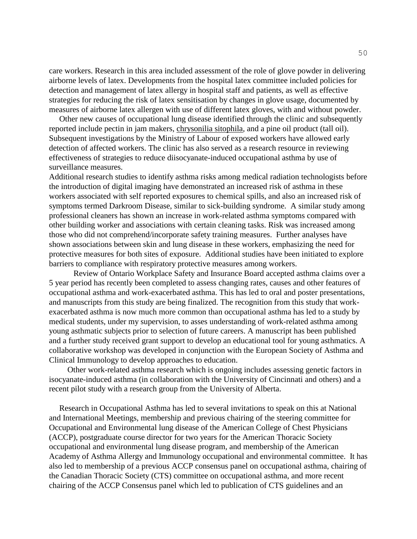care workers. Research in this area included assessment of the role of glove powder in delivering airborne levels of latex. Developments from the hospital latex committee included policies for detection and management of latex allergy in hospital staff and patients, as well as effective strategies for reducing the risk of latex sensitisation by changes in glove usage, documented by measures of airborne latex allergen with use of different latex gloves, with and without powder.

 Other new causes of occupational lung disease identified through the clinic and subsequently reported include pectin in jam makers, chrysonilia sitophila, and a pine oil product (tall oil). Subsequent investigations by the Ministry of Labour of exposed workers have allowed early detection of affected workers. The clinic has also served as a research resource in reviewing effectiveness of strategies to reduce diisocyanate-induced occupational asthma by use of surveillance measures.

Additional research studies to identify asthma risks among medical radiation technologists before the introduction of digital imaging have demonstrated an increased risk of asthma in these workers associated with self reported exposures to chemical spills, and also an increased risk of symptoms termed Darkroom Disease, similar to sick-building syndrome. A similar study among professional cleaners has shown an increase in work-related asthma symptoms compared with other building worker and associations with certain cleaning tasks. Risk was increased among those who did not comprehend/incorporate safety training measures. Further analyses have shown associations between skin and lung disease in these workers, emphasizing the need for protective measures for both sites of exposure. Additional studies have been initiated to explore barriers to compliance with respiratory protective measures among workers.

Review of Ontario Workplace Safety and Insurance Board accepted asthma claims over a 5 year period has recently been completed to assess changing rates, causes and other features of occupational asthma and work-exacerbated asthma. This has led to oral and poster presentations, and manuscripts from this study are being finalized. The recognition from this study that workexacerbated asthma is now much more common than occupational asthma has led to a study by medical students, under my supervision, to asses understanding of work-related asthma among young asthmatic subjects prior to selection of future careers. A manuscript has been published and a further study received grant support to develop an educational tool for young asthmatics. A collaborative workshop was developed in conjunction with the European Society of Asthma and Clinical Immunology to develop approaches to education.

 Other work-related asthma research which is ongoing includes assessing genetic factors in isocyanate-induced asthma (in collaboration with the University of Cincinnati and others) and a recent pilot study with a research group from the University of Alberta.

 Research in Occupational Asthma has led to several invitations to speak on this at National and International Meetings, membership and previous chairing of the steering committee for Occupational and Environmental lung disease of the American College of Chest Physicians (ACCP), postgraduate course director for two years for the American Thoracic Society occupational and environmental lung disease program, and membership of the American Academy of Asthma Allergy and Immunology occupational and environmental committee. It has also led to membership of a previous ACCP consensus panel on occupational asthma, chairing of the Canadian Thoracic Society (CTS) committee on occupational asthma, and more recent chairing of the ACCP Consensus panel which led to publication of CTS guidelines and an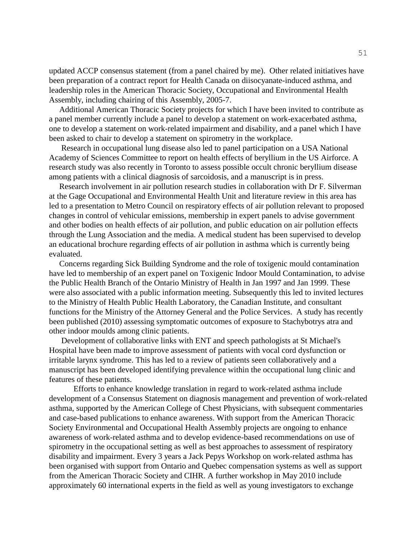updated ACCP consensus statement (from a panel chaired by me). Other related initiatives have been preparation of a contract report for Health Canada on diisocyanate-induced asthma, and leadership roles in the American Thoracic Society, Occupational and Environmental Health Assembly, including chairing of this Assembly, 2005-7.

 Additional American Thoracic Society projects for which I have been invited to contribute as a panel member currently include a panel to develop a statement on work-exacerbated asthma, one to develop a statement on work-related impairment and disability, and a panel which I have been asked to chair to develop a statement on spirometry in the workplace.

 Research in occupational lung disease also led to panel participation on a USA National Academy of Sciences Committee to report on health effects of beryllium in the US Airforce. A research study was also recently in Toronto to assess possible occult chronic beryllium disease among patients with a clinical diagnosis of sarcoidosis, and a manuscript is in press.

 Research involvement in air pollution research studies in collaboration with Dr F. Silverman at the Gage Occupational and Environmental Health Unit and literature review in this area has led to a presentation to Metro Council on respiratory effects of air pollution relevant to proposed changes in control of vehicular emissions, membership in expert panels to advise government and other bodies on health effects of air pollution, and public education on air pollution effects through the Lung Association and the media. A medical student has been supervised to develop an educational brochure regarding effects of air pollution in asthma which is currently being evaluated.

 Concerns regarding Sick Building Syndrome and the role of toxigenic mould contamination have led to membership of an expert panel on Toxigenic Indoor Mould Contamination, to advise the Public Health Branch of the Ontario Ministry of Health in Jan 1997 and Jan 1999. These were also associated with a public information meeting. Subsequently this led to invited lectures to the Ministry of Health Public Health Laboratory, the Canadian Institute, and consultant functions for the Ministry of the Attorney General and the Police Services. A study has recently been published (2010) assessing symptomatic outcomes of exposure to Stachybotrys atra and other indoor moulds among clinic patients.

 Development of collaborative links with ENT and speech pathologists at St Michael's Hospital have been made to improve assessment of patients with vocal cord dysfunction or irritable larynx syndrome. This has led to a review of patients seen collaboratively and a manuscript has been developed identifying prevalence within the occupational lung clinic and features of these patients.

Efforts to enhance knowledge translation in regard to work-related asthma include development of a Consensus Statement on diagnosis management and prevention of work-related asthma, supported by the American College of Chest Physicians, with subsequent commentaries and case-based publications to enhance awareness. With support from the American Thoracic Society Environmental and Occupational Health Assembly projects are ongoing to enhance awareness of work-related asthma and to develop evidence-based recommendations on use of spirometry in the occupational setting as well as best approaches to assessment of respiratory disability and impairment. Every 3 years a Jack Pepys Workshop on work-related asthma has been organised with support from Ontario and Quebec compensation systems as well as support from the American Thoracic Society and CIHR. A further workshop in May 2010 include approximately 60 international experts in the field as well as young investigators to exchange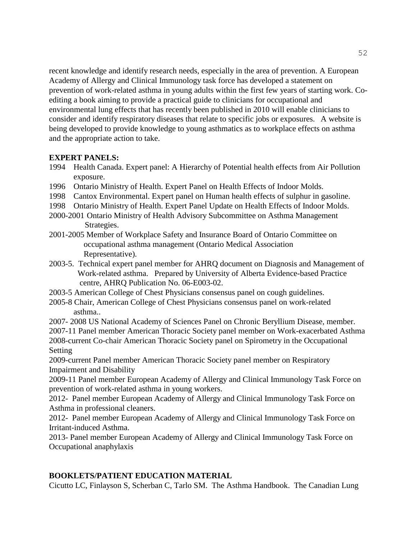recent knowledge and identify research needs, especially in the area of prevention. A European Academy of Allergy and Clinical Immunology task force has developed a statement on prevention of work-related asthma in young adults within the first few years of starting work. Coediting a book aiming to provide a practical guide to clinicians for occupational and environmental lung effects that has recently been published in 2010 will enable clinicians to consider and identify respiratory diseases that relate to specific jobs or exposures. A website is being developed to provide knowledge to young asthmatics as to workplace effects on asthma and the appropriate action to take.

# **EXPERT PANELS:**

- 1994 Health Canada. Expert panel: A Hierarchy of Potential health effects from Air Pollution exposure.
- 1996 Ontario Ministry of Health. Expert Panel on Health Effects of Indoor Molds.
- 1998 Cantox Environmental. Expert panel on Human health effects of sulphur in gasoline.
- 1998 Ontario Ministry of Health. Expert Panel Update on Health Effects of Indoor Molds.
- 2000-2001 Ontario Ministry of Health Advisory Subcommittee on Asthma Management Strategies.
- 2001-2005 Member of Workplace Safety and Insurance Board of Ontario Committee on occupational asthma management (Ontario Medical Association Representative).
- 2003-5. Technical expert panel member for AHRQ document on Diagnosis and Management of Work-related asthma. Prepared by University of Alberta Evidence-based Practice centre, AHRQ Publication No. 06-E003-02.
- 2003-5 American College of Chest Physicians consensus panel on cough guidelines.
- 2005-8 Chair, American College of Chest Physicians consensus panel on work-related asthma..

2007- 2008 US National Academy of Sciences Panel on Chronic Beryllium Disease, member.

2007-11 Panel member American Thoracic Society panel member on Work-exacerbated Asthma 2008-current Co-chair American Thoracic Society panel on Spirometry in the Occupational Setting

2009-current Panel member American Thoracic Society panel member on Respiratory Impairment and Disability

2009-11 Panel member European Academy of Allergy and Clinical Immunology Task Force on prevention of work-related asthma in young workers.

2012- Panel member European Academy of Allergy and Clinical Immunology Task Force on Asthma in professional cleaners.

2012- Panel member European Academy of Allergy and Clinical Immunology Task Force on Irritant-induced Asthma.

2013- Panel member European Academy of Allergy and Clinical Immunology Task Force on Occupational anaphylaxis

# **BOOKLETS/PATIENT EDUCATION MATERIAL**

Cicutto LC, Finlayson S, Scherban C, Tarlo SM. The Asthma Handbook. The Canadian Lung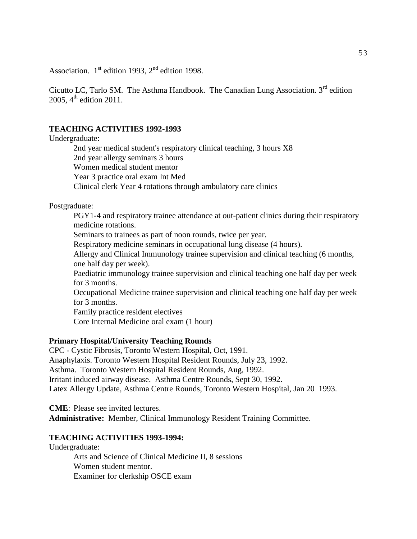Association.  $1<sup>st</sup>$  edition 1993,  $2<sup>nd</sup>$  edition 1998.

Cicutto LC, Tarlo SM. The Asthma Handbook. The Canadian Lung Association.  $3<sup>rd</sup>$  edition 2005,  $4^{\text{th}}$  edition 2011.

### **TEACHING ACTIVITIES 1992-1993**

Undergraduate:

2nd year medical student's respiratory clinical teaching, 3 hours X8 2nd year allergy seminars 3 hours Women medical student mentor Year 3 practice oral exam Int Med Clinical clerk Year 4 rotations through ambulatory care clinics

Postgraduate:

PGY1-4 and respiratory trainee attendance at out-patient clinics during their respiratory medicine rotations. Seminars to trainees as part of noon rounds, twice per year. Respiratory medicine seminars in occupational lung disease (4 hours). Allergy and Clinical Immunology trainee supervision and clinical teaching (6 months, one half day per week). Paediatric immunology trainee supervision and clinical teaching one half day per week for 3 months. Occupational Medicine trainee supervision and clinical teaching one half day per week for 3 months. Family practice resident electives Core Internal Medicine oral exam (1 hour)

#### **Primary Hospital/University Teaching Rounds**

CPC - Cystic Fibrosis, Toronto Western Hospital, Oct, 1991. Anaphylaxis. Toronto Western Hospital Resident Rounds, July 23, 1992. Asthma. Toronto Western Hospital Resident Rounds, Aug, 1992. Irritant induced airway disease. Asthma Centre Rounds, Sept 30, 1992. Latex Allergy Update, Asthma Centre Rounds, Toronto Western Hospital, Jan 20 1993.

**CME**: Please see invited lectures. **Administrative:** Member, Clinical Immunology Resident Training Committee.

#### **TEACHING ACTIVITIES 1993-1994:**

Undergraduate:

Arts and Science of Clinical Medicine II, 8 sessions Women student mentor. Examiner for clerkship OSCE exam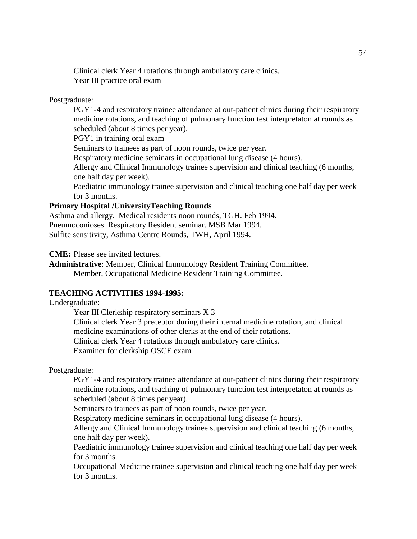Clinical clerk Year 4 rotations through ambulatory care clinics. Year III practice oral exam

#### Postgraduate:

PGY1-4 and respiratory trainee attendance at out-patient clinics during their respiratory medicine rotations, and teaching of pulmonary function test interpretaton at rounds as scheduled (about 8 times per year). PGY1 in training oral exam Seminars to trainees as part of noon rounds, twice per year. Respiratory medicine seminars in occupational lung disease (4 hours). Allergy and Clinical Immunology trainee supervision and clinical teaching (6 months, one half day per week). Paediatric immunology trainee supervision and clinical teaching one half day per week for 3 months.

# **Primary Hospital /UniversityTeaching Rounds**

Asthma and allergy. Medical residents noon rounds, TGH. Feb 1994. Pneumoconioses. Respiratory Resident seminar. MSB Mar 1994. Sulfite sensitivity, Asthma Centre Rounds, TWH, April 1994.

**CME:** Please see invited lectures.

**Administrative**: Member, Clinical Immunology Resident Training Committee. Member, Occupational Medicine Resident Training Committee.

#### **TEACHING ACTIVITIES 1994-1995:**

Undergraduate:

Year III Clerkship respiratory seminars X 3

Clinical clerk Year 3 preceptor during their internal medicine rotation, and clinical medicine examinations of other clerks at the end of their rotations.

Clinical clerk Year 4 rotations through ambulatory care clinics.

Examiner for clerkship OSCE exam

Postgraduate:

PGY1-4 and respiratory trainee attendance at out-patient clinics during their respiratory medicine rotations, and teaching of pulmonary function test interpretaton at rounds as scheduled (about 8 times per year).

Seminars to trainees as part of noon rounds, twice per year.

Respiratory medicine seminars in occupational lung disease (4 hours).

Allergy and Clinical Immunology trainee supervision and clinical teaching (6 months, one half day per week).

Paediatric immunology trainee supervision and clinical teaching one half day per week for 3 months.

Occupational Medicine trainee supervision and clinical teaching one half day per week for 3 months.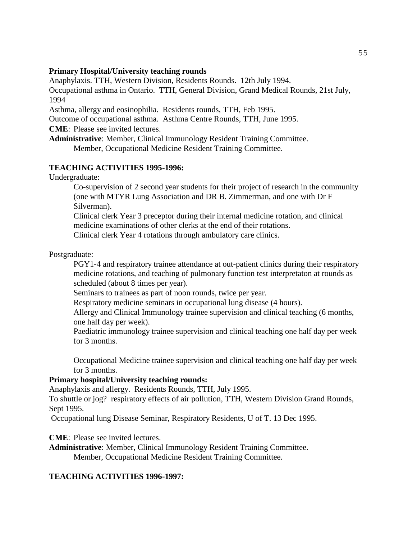#### **Primary Hospital/University teaching rounds**

Anaphylaxis. TTH, Western Division, Residents Rounds. 12th July 1994.

Occupational asthma in Ontario. TTH, General Division, Grand Medical Rounds, 21st July, 1994

Asthma, allergy and eosinophilia. Residents rounds, TTH, Feb 1995.

Outcome of occupational asthma. Asthma Centre Rounds, TTH, June 1995.

**CME**: Please see invited lectures.

**Administrative**: Member, Clinical Immunology Resident Training Committee. Member, Occupational Medicine Resident Training Committee.

#### **TEACHING ACTIVITIES 1995-1996:**

Undergraduate:

Co-supervision of 2 second year students for their project of research in the community (one with MTYR Lung Association and DR B. Zimmerman, and one with Dr F Silverman).

Clinical clerk Year 3 preceptor during their internal medicine rotation, and clinical medicine examinations of other clerks at the end of their rotations.

Clinical clerk Year 4 rotations through ambulatory care clinics.

Postgraduate:

PGY1-4 and respiratory trainee attendance at out-patient clinics during their respiratory medicine rotations, and teaching of pulmonary function test interpretaton at rounds as scheduled (about 8 times per year).

Seminars to trainees as part of noon rounds, twice per year.

Respiratory medicine seminars in occupational lung disease (4 hours).

Allergy and Clinical Immunology trainee supervision and clinical teaching (6 months, one half day per week).

Paediatric immunology trainee supervision and clinical teaching one half day per week for 3 months.

Occupational Medicine trainee supervision and clinical teaching one half day per week for 3 months.

#### **Primary hospital/University teaching rounds:**

Anaphylaxis and allergy. Residents Rounds, TTH, July 1995.

To shuttle or jog? respiratory effects of air pollution, TTH, Western Division Grand Rounds, Sept 1995.

Occupational lung Disease Seminar, Respiratory Residents, U of T. 13 Dec 1995.

**CME**: Please see invited lectures.

**Administrative**: Member, Clinical Immunology Resident Training Committee. Member, Occupational Medicine Resident Training Committee.

#### **TEACHING ACTIVITIES 1996-1997:**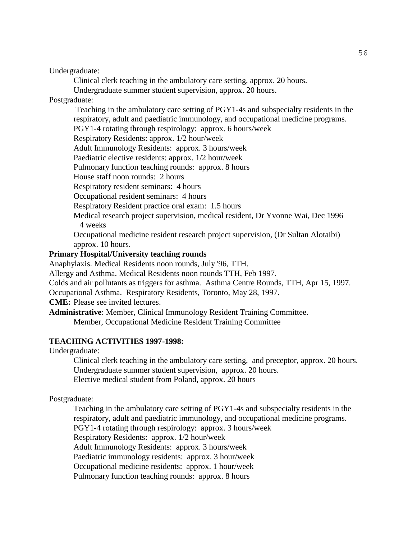Undergraduate:

Clinical clerk teaching in the ambulatory care setting, approx. 20 hours.

Undergraduate summer student supervision, approx. 20 hours.

#### Postgraduate:

Teaching in the ambulatory care setting of PGY1-4s and subspecialty residents in the respiratory, adult and paediatric immunology, and occupational medicine programs. PGY1-4 rotating through respirology: approx. 6 hours/week

Respiratory Residents: approx. 1/2 hour/week

Adult Immunology Residents: approx. 3 hours/week

Paediatric elective residents: approx. 1/2 hour/week

Pulmonary function teaching rounds: approx. 8 hours

House staff noon rounds: 2 hours

Respiratory resident seminars: 4 hours

Occupational resident seminars: 4 hours

Respiratory Resident practice oral exam: 1.5 hours

Medical research project supervision, medical resident, Dr Yvonne Wai, Dec 1996 4 weeks

Occupational medicine resident research project supervision, (Dr Sultan Alotaibi) approx. 10 hours.

#### **Primary Hospital/University teaching rounds**

Anaphylaxis. Medical Residents noon rounds, July '96, TTH.

Allergy and Asthma. Medical Residents noon rounds TTH, Feb 1997.

Colds and air pollutants as triggers for asthma. Asthma Centre Rounds, TTH, Apr 15, 1997.

Occupational Asthma. Respiratory Residents, Toronto, May 28, 1997.

**CME:** Please see invited lectures.

**Administrative**: Member, Clinical Immunology Resident Training Committee.

Member, Occupational Medicine Resident Training Committee

#### **TEACHING ACTIVITIES 1997-1998:**

Undergraduate:

Clinical clerk teaching in the ambulatory care setting, and preceptor, approx. 20 hours. Undergraduate summer student supervision, approx. 20 hours. Elective medical student from Poland, approx. 20 hours

#### Postgraduate:

Teaching in the ambulatory care setting of PGY1-4s and subspecialty residents in the respiratory, adult and paediatric immunology, and occupational medicine programs. PGY1-4 rotating through respirology: approx. 3 hours/week Respiratory Residents: approx. 1/2 hour/week Adult Immunology Residents: approx. 3 hours/week Paediatric immunology residents: approx. 3 hour/week Occupational medicine residents: approx. 1 hour/week Pulmonary function teaching rounds: approx. 8 hours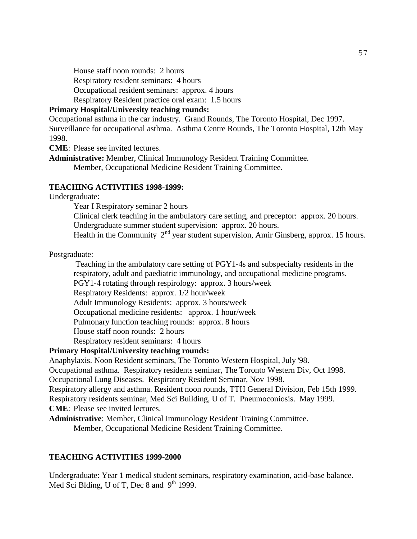House staff noon rounds: 2 hours

Respiratory resident seminars: 4 hours

Occupational resident seminars: approx. 4 hours

Respiratory Resident practice oral exam: 1.5 hours

# **Primary Hospital/University teaching rounds:**

Occupational asthma in the car industry. Grand Rounds, The Toronto Hospital, Dec 1997. Surveillance for occupational asthma. Asthma Centre Rounds, The Toronto Hospital, 12th May 1998.

**CME**: Please see invited lectures.

**Administrative:** Member, Clinical Immunology Resident Training Committee. Member, Occupational Medicine Resident Training Committee.

#### **TEACHING ACTIVITIES 1998-1999:**

Undergraduate:

Year I Respiratory seminar 2 hours

Clinical clerk teaching in the ambulatory care setting, and preceptor: approx. 20 hours. Undergraduate summer student supervision: approx. 20 hours.

Health in the Community  $2<sup>nd</sup>$  year student supervision, Amir Ginsberg, approx. 15 hours.

Postgraduate:

Teaching in the ambulatory care setting of PGY1-4s and subspecialty residents in the respiratory, adult and paediatric immunology, and occupational medicine programs. PGY1-4 rotating through respirology: approx. 3 hours/week

Respiratory Residents: approx. 1/2 hour/week

Adult Immunology Residents: approx. 3 hours/week

Occupational medicine residents: approx. 1 hour/week

Pulmonary function teaching rounds: approx. 8 hours

House staff noon rounds: 2 hours

Respiratory resident seminars: 4 hours

#### **Primary Hospital/University teaching rounds:**

Anaphylaxis. Noon Resident seminars, The Toronto Western Hospital, July '98.

Occupational asthma. Respiratory residents seminar, The Toronto Western Div, Oct 1998.

Occupational Lung Diseases. Respiratory Resident Seminar, Nov 1998.

Respiratory allergy and asthma. Resident noon rounds, TTH General Division, Feb 15th 1999.

Respiratory residents seminar, Med Sci Building, U of T. Pneumoconiosis. May 1999.

**CME**: Please see invited lectures.

**Administrative**: Member, Clinical Immunology Resident Training Committee.

Member, Occupational Medicine Resident Training Committee.

#### **TEACHING ACTIVITIES 1999-2000**

Undergraduate: Year 1 medical student seminars, respiratory examination, acid-base balance. Med Sci Blding, U of T, Dec 8 and  $9<sup>th</sup> 1999$ .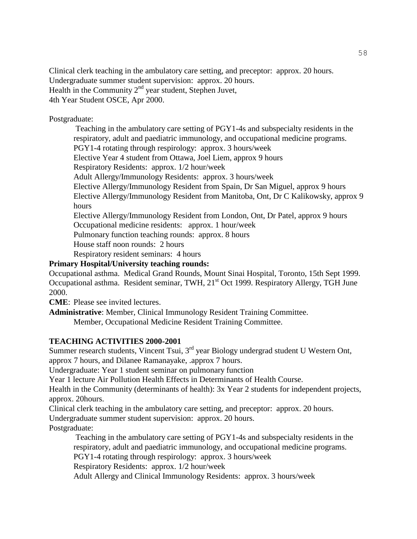Clinical clerk teaching in the ambulatory care setting, and preceptor: approx. 20 hours. Undergraduate summer student supervision: approx. 20 hours. Health in the Community  $2<sup>nd</sup>$  year student, Stephen Juvet, 4th Year Student OSCE, Apr 2000.

Postgraduate:

Teaching in the ambulatory care setting of PGY1-4s and subspecialty residents in the respiratory, adult and paediatric immunology, and occupational medicine programs. PGY1-4 rotating through respirology: approx. 3 hours/week

Elective Year 4 student from Ottawa, Joel Liem, approx 9 hours

Respiratory Residents: approx. 1/2 hour/week

Adult Allergy/Immunology Residents: approx. 3 hours/week

Elective Allergy/Immunology Resident from Spain, Dr San Miguel, approx 9 hours Elective Allergy/Immunology Resident from Manitoba, Ont, Dr C Kalikowsky, approx 9 hours

Elective Allergy/Immunology Resident from London, Ont, Dr Patel, approx 9 hours

Occupational medicine residents: approx. 1 hour/week

Pulmonary function teaching rounds: approx. 8 hours

House staff noon rounds: 2 hours

Respiratory resident seminars: 4 hours

# **Primary Hospital/University teaching rounds:**

Occupational asthma. Medical Grand Rounds, Mount Sinai Hospital, Toronto, 15th Sept 1999. Occupational asthma. Resident seminar, TWH, 21<sup>st</sup> Oct 1999. Respiratory Allergy, TGH June 2000.

**CME**: Please see invited lectures.

**Administrative**: Member, Clinical Immunology Resident Training Committee.

Member, Occupational Medicine Resident Training Committee.

#### **TEACHING ACTIVITIES 2000-2001**

Summer research students, Vincent Tsui, 3<sup>rd</sup> year Biology undergrad student U Western Ont, approx 7 hours, and Dilanee Ramanayake, .approx 7 hours.

Undergraduate: Year 1 student seminar on pulmonary function

Year 1 lecture Air Pollution Health Effects in Determinants of Health Course.

Health in the Community (determinants of health): 3x Year 2 students for independent projects, approx. 20hours.

Clinical clerk teaching in the ambulatory care setting, and preceptor: approx. 20 hours.

Undergraduate summer student supervision: approx. 20 hours.

Postgraduate:

Teaching in the ambulatory care setting of PGY1-4s and subspecialty residents in the respiratory, adult and paediatric immunology, and occupational medicine programs. PGY1-4 rotating through respirology: approx. 3 hours/week

Respiratory Residents: approx. 1/2 hour/week

Adult Allergy and Clinical Immunology Residents: approx. 3 hours/week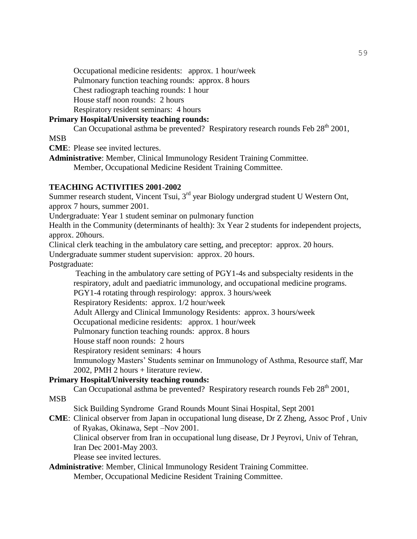Occupational medicine residents: approx. 1 hour/week

Pulmonary function teaching rounds: approx. 8 hours

Chest radiograph teaching rounds: 1 hour

House staff noon rounds: 2 hours

Respiratory resident seminars: 4 hours

#### **Primary Hospital/University teaching rounds:**

Can Occupational asthma be prevented? Respiratory research rounds Feb  $28<sup>th</sup> 2001$ ,

MSB

**CME**: Please see invited lectures.

**Administrative**: Member, Clinical Immunology Resident Training Committee. Member, Occupational Medicine Resident Training Committee.

#### **TEACHING ACTIVITIES 2001-2002**

Summer research student, Vincent Tsui,  $3<sup>rd</sup>$  year Biology undergrad student U Western Ont, approx 7 hours, summer 2001.

Undergraduate: Year 1 student seminar on pulmonary function

Health in the Community (determinants of health): 3x Year 2 students for independent projects, approx. 20hours.

Clinical clerk teaching in the ambulatory care setting, and preceptor: approx. 20 hours. Undergraduate summer student supervision: approx. 20 hours.

Postgraduate:

Teaching in the ambulatory care setting of PGY1-4s and subspecialty residents in the respiratory, adult and paediatric immunology, and occupational medicine programs.

PGY1-4 rotating through respirology: approx. 3 hours/week

Respiratory Residents: approx. 1/2 hour/week

Adult Allergy and Clinical Immunology Residents: approx. 3 hours/week

Occupational medicine residents: approx. 1 hour/week

Pulmonary function teaching rounds: approx. 8 hours

House staff noon rounds: 2 hours

Respiratory resident seminars: 4 hours

Immunology Masters' Students seminar on Immunology of Asthma, Resource staff, Mar 2002, PMH 2 hours + literature review.

#### **Primary Hospital/University teaching rounds:**

Can Occupational asthma be prevented? Respiratory research rounds Feb  $28<sup>th</sup> 2001$ ,

**MSB** 

Sick Building Syndrome Grand Rounds Mount Sinai Hospital, Sept 2001

**CME**: Clinical observer from Japan in occupational lung disease, Dr Z Zheng, Assoc Prof , Univ of Ryakas, Okinawa, Sept –Nov 2001.

Clinical observer from Iran in occupational lung disease, Dr J Peyrovi, Univ of Tehran, Iran Dec 2001-May 2003.

Please see invited lectures.

#### **Administrative**: Member, Clinical Immunology Resident Training Committee. Member, Occupational Medicine Resident Training Committee.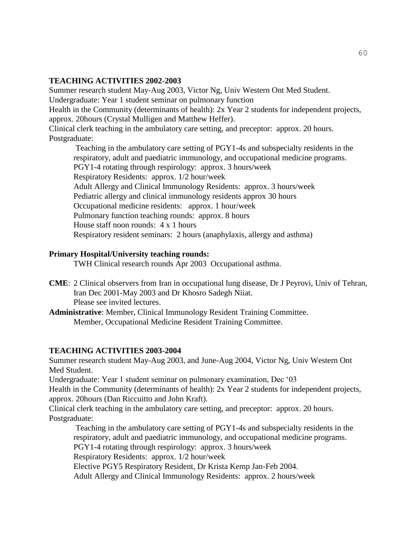#### **TEACHING ACTIVITIES 2002-2003**

Summer research student May-Aug 2003, Victor Ng, Univ Western Ont Med Student. Undergraduate: Year 1 student seminar on pulmonary function Health in the Community (determinants of health): 2x Year 2 students for independent projects, approx. 20hours (Crystal Mulligen and Matthew Heffer). Clinical clerk teaching in the ambulatory care setting, and preceptor: approx. 20 hours. Postgraduate: Teaching in the ambulatory care setting of PGY1-4s and subspecialty residents in the

respiratory, adult and paediatric immunology, and occupational medicine programs. PGY1-4 rotating through respirology: approx. 3 hours/week Respiratory Residents: approx. 1/2 hour/week Adult Allergy and Clinical Immunology Residents: approx. 3 hours/week Pediatric allergy and clinical immunology residents approx 30 hours Occupational medicine residents: approx. 1 hour/week Pulmonary function teaching rounds: approx. 8 hours House staff noon rounds: 4 x 1 hours Respiratory resident seminars: 2 hours (anaphylaxis, allergy and asthma)

#### **Primary Hospital/University teaching rounds:**

TWH Clinical research rounds Apr 2003 Occupational asthma.

- **CME**: 2 Clinical observers from Iran in occupational lung disease, Dr J Peyrovi, Univ of Tehran, Iran Dec 2001-May 2003 and Dr Khosro Sadegh Niiat. Please see invited lectures.
- **Administrative**: Member, Clinical Immunology Resident Training Committee. Member, Occupational Medicine Resident Training Committee.

#### **TEACHING ACTIVITIES 2003-2004**

Summer research student May-Aug 2003, and June-Aug 2004, Victor Ng, Univ Western Ont Med Student.

Undergraduate: Year 1 student seminar on pulmonary examination, Dec '03

Health in the Community (determinants of health): 2x Year 2 students for independent projects, approx. 20hours (Dan Riccuitto and John Kraft).

Clinical clerk teaching in the ambulatory care setting, and preceptor: approx. 20 hours. Postgraduate:

Teaching in the ambulatory care setting of PGY1-4s and subspecialty residents in the respiratory, adult and paediatric immunology, and occupational medicine programs. PGY1-4 rotating through respirology: approx. 3 hours/week Respiratory Residents: approx. 1/2 hour/week Elective PGY5 Respiratory Resident, Dr Krista Kemp Jan-Feb 2004. Adult Allergy and Clinical Immunology Residents: approx. 2 hours/week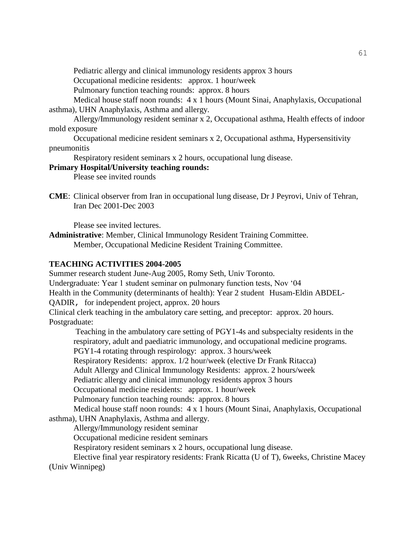Pediatric allergy and clinical immunology residents approx 3 hours

Occupational medicine residents: approx. 1 hour/week

Pulmonary function teaching rounds: approx. 8 hours

Medical house staff noon rounds: 4 x 1 hours (Mount Sinai, Anaphylaxis, Occupational asthma), UHN Anaphylaxis, Asthma and allergy.

Allergy/Immunology resident seminar x 2, Occupational asthma, Health effects of indoor mold exposure

Occupational medicine resident seminars x 2, Occupational asthma, Hypersensitivity pneumonitis

Respiratory resident seminars x 2 hours, occupational lung disease.

#### **Primary Hospital/University teaching rounds:**

Please see invited rounds

**CME**: Clinical observer from Iran in occupational lung disease, Dr J Peyrovi, Univ of Tehran, Iran Dec 2001-Dec 2003

Please see invited lectures.

**Administrative**: Member, Clinical Immunology Resident Training Committee. Member, Occupational Medicine Resident Training Committee.

#### **TEACHING ACTIVITIES 2004-2005**

Summer research student June-Aug 2005, Romy Seth, Univ Toronto. Undergraduate: Year 1 student seminar on pulmonary function tests, Nov '04 Health in the Community (determinants of health): Year 2 student Husam-Eldin ABDEL-QADIR, for independent project, approx. 20 hours Clinical clerk teaching in the ambulatory care setting, and preceptor: approx. 20 hours.

Postgraduate:

Teaching in the ambulatory care setting of PGY1-4s and subspecialty residents in the respiratory, adult and paediatric immunology, and occupational medicine programs. PGY1-4 rotating through respirology: approx. 3 hours/week

Respiratory Residents: approx. 1/2 hour/week (elective Dr Frank Ritacca)

Adult Allergy and Clinical Immunology Residents: approx. 2 hours/week

Pediatric allergy and clinical immunology residents approx 3 hours

Occupational medicine residents: approx. 1 hour/week

Pulmonary function teaching rounds: approx. 8 hours

Medical house staff noon rounds: 4 x 1 hours (Mount Sinai, Anaphylaxis, Occupational asthma), UHN Anaphylaxis, Asthma and allergy.

Allergy/Immunology resident seminar

Occupational medicine resident seminars

Respiratory resident seminars x 2 hours, occupational lung disease.

Elective final year respiratory residents: Frank Ricatta (U of T), 6weeks, Christine Macey (Univ Winnipeg)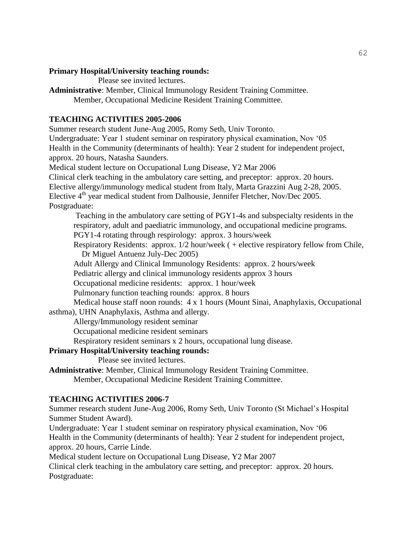# **Primary Hospital/University teaching rounds:**

Please see invited lectures.

**Administrative**: Member, Clinical Immunology Resident Training Committee. Member, Occupational Medicine Resident Training Committee.

# **TEACHING ACTIVITIES 2005-2006**

Summer research student June-Aug 2005, Romy Seth, Univ Toronto. Undergraduate: Year 1 student seminar on respiratory physical examination, Nov '05 Health in the Community (determinants of health): Year 2 student for independent project, approx. 20 hours, Natasha Saunders.

Medical student lecture on Occupational Lung Disease, Y2 Mar 2006 Clinical clerk teaching in the ambulatory care setting, and preceptor: approx. 20 hours. Elective allergy/immunology medical student from Italy, Marta Grazzini Aug 2-28, 2005. Elective  $4<sup>th</sup>$  year medical student from Dalhousie, Jennifer Fletcher, Nov/Dec 2005. Postgraduate:

Teaching in the ambulatory care setting of PGY1-4s and subspecialty residents in the respiratory, adult and paediatric immunology, and occupational medicine programs.

PGY1-4 rotating through respirology: approx. 3 hours/week

Respiratory Residents: approx. 1/2 hour/week ( + elective respiratory fellow from Chile, Dr Miguel Antuenz July-Dec 2005)

Adult Allergy and Clinical Immunology Residents: approx. 2 hours/week

Pediatric allergy and clinical immunology residents approx 3 hours

Occupational medicine residents: approx. 1 hour/week

Pulmonary function teaching rounds: approx. 8 hours

Medical house staff noon rounds: 4 x 1 hours (Mount Sinai, Anaphylaxis, Occupational asthma), UHN Anaphylaxis, Asthma and allergy.

Allergy/Immunology resident seminar

Occupational medicine resident seminars

Respiratory resident seminars x 2 hours, occupational lung disease.

# **Primary Hospital/University teaching rounds:**

Please see invited lectures.

**Administrative**: Member, Clinical Immunology Resident Training Committee. Member, Occupational Medicine Resident Training Committee.

# **TEACHING ACTIVITIES 2006-7**

Summer research student June-Aug 2006, Romy Seth, Univ Toronto (St Michael's Hospital Summer Student Award).

Undergraduate: Year 1 student seminar on respiratory physical examination, Nov '06 Health in the Community (determinants of health): Year 2 student for independent project, approx. 20 hours, Carrie Linde.

Medical student lecture on Occupational Lung Disease, Y2 Mar 2007

Clinical clerk teaching in the ambulatory care setting, and preceptor: approx. 20 hours. Postgraduate: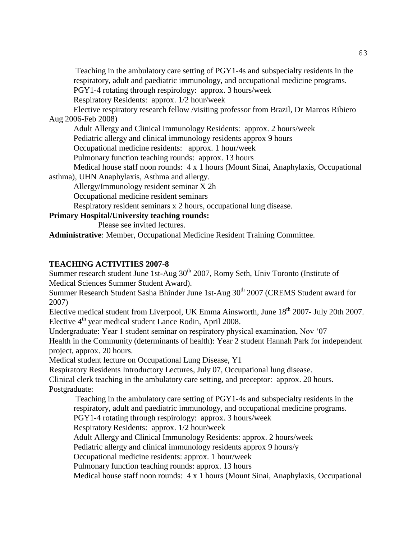Teaching in the ambulatory care setting of PGY1-4s and subspecialty residents in the respiratory, adult and paediatric immunology, and occupational medicine programs. PGY1-4 rotating through respirology: approx. 3 hours/week Respiratory Residents: approx. 1/2 hour/week Elective respiratory research fellow /visiting professor from Brazil, Dr Marcos Ribiero Aug 2006-Feb 2008) Adult Allergy and Clinical Immunology Residents: approx. 2 hours/week Pediatric allergy and clinical immunology residents approx 9 hours Occupational medicine residents: approx. 1 hour/week Pulmonary function teaching rounds: approx. 13 hours Medical house staff noon rounds: 4 x 1 hours (Mount Sinai, Anaphylaxis, Occupational asthma), UHN Anaphylaxis, Asthma and allergy. Allergy/Immunology resident seminar X 2h Occupational medicine resident seminars Respiratory resident seminars x 2 hours, occupational lung disease. **Primary Hospital/University teaching rounds:** Please see invited lectures.

**Administrative**: Member, Occupational Medicine Resident Training Committee.

# **TEACHING ACTIVITIES 2007-8**

Summer research student June 1st-Aug  $30<sup>th</sup>$  2007, Romy Seth, Univ Toronto (Institute of Medical Sciences Summer Student Award).

Summer Research Student Sasha Bhinder June 1st-Aug  $30<sup>th</sup>$  2007 (CREMS Student award for 2007)

Elective medical student from Liverpool, UK Emma Ainsworth, June  $18<sup>th</sup>$  2007- July 20th 2007. Elective  $4<sup>th</sup>$  year medical student Lance Rodin, April 2008.

Undergraduate: Year 1 student seminar on respiratory physical examination, Nov '07 Health in the Community (determinants of health): Year 2 student Hannah Park for independent project, approx. 20 hours.

Medical student lecture on Occupational Lung Disease, Y1

Respiratory Residents Introductory Lectures, July 07, Occupational lung disease.

Clinical clerk teaching in the ambulatory care setting, and preceptor: approx. 20 hours. Postgraduate:

Teaching in the ambulatory care setting of PGY1-4s and subspecialty residents in the respiratory, adult and paediatric immunology, and occupational medicine programs.

PGY1-4 rotating through respirology: approx. 3 hours/week

Respiratory Residents: approx. 1/2 hour/week

Adult Allergy and Clinical Immunology Residents: approx. 2 hours/week

Pediatric allergy and clinical immunology residents approx 9 hours/y

Occupational medicine residents: approx. 1 hour/week

Pulmonary function teaching rounds: approx. 13 hours

Medical house staff noon rounds: 4 x 1 hours (Mount Sinai, Anaphylaxis, Occupational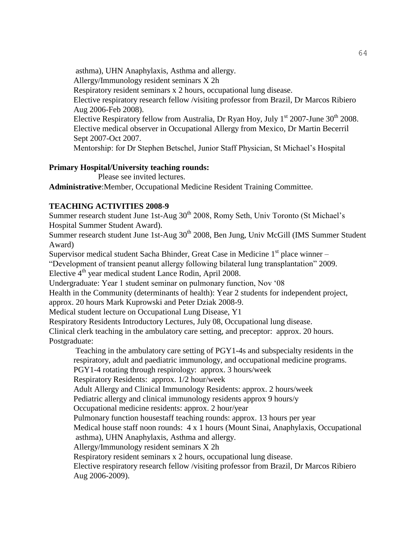asthma), UHN Anaphylaxis, Asthma and allergy. Allergy/Immunology resident seminars X 2h Respiratory resident seminars x 2 hours, occupational lung disease. Elective respiratory research fellow /visiting professor from Brazil, Dr Marcos Ribiero Aug 2006-Feb 2008). Elective Respiratory fellow from Australia, Dr Ryan Hoy, July  $1<sup>st</sup>$  2007-June 30<sup>th</sup> 2008. Elective medical observer in Occupational Allergy from Mexico, Dr Martin Becerril Sept 2007-Oct 2007. Mentorship: for Dr Stephen Betschel, Junior Staff Physician, St Michael's Hospital

#### **Primary Hospital/University teaching rounds:**

Please see invited lectures.

**Administrative**:Member, Occupational Medicine Resident Training Committee.

# **TEACHING ACTIVITIES 2008-9**

Summer research student June 1st-Aug 30<sup>th</sup> 2008, Romy Seth, Univ Toronto (St Michael's Hospital Summer Student Award).

Summer research student June 1st-Aug 30<sup>th</sup> 2008, Ben Jung, Univ McGill (IMS Summer Student Award)

Supervisor medical student Sacha Bhinder, Great Case in Medicine  $1<sup>st</sup>$  place winner –

"Development of transient peanut allergy following bilateral lung transplantation" 2009.

Elective 4<sup>th</sup> year medical student Lance Rodin, April 2008.

Undergraduate: Year 1 student seminar on pulmonary function, Nov '08

Health in the Community (determinants of health): Year 2 students for independent project,

approx. 20 hours Mark Kuprowski and Peter Dziak 2008-9.

Medical student lecture on Occupational Lung Disease, Y1

Respiratory Residents Introductory Lectures, July 08, Occupational lung disease.

Clinical clerk teaching in the ambulatory care setting, and preceptor: approx. 20 hours. Postgraduate:

Teaching in the ambulatory care setting of PGY1-4s and subspecialty residents in the respiratory, adult and paediatric immunology, and occupational medicine programs.

PGY1-4 rotating through respirology: approx. 3 hours/week

Respiratory Residents: approx. 1/2 hour/week

Adult Allergy and Clinical Immunology Residents: approx. 2 hours/week

Pediatric allergy and clinical immunology residents approx 9 hours/y

Occupational medicine residents: approx. 2 hour/year

Pulmonary function housestaff teaching rounds: approx. 13 hours per year

Medical house staff noon rounds: 4 x 1 hours (Mount Sinai, Anaphylaxis, Occupational

asthma), UHN Anaphylaxis, Asthma and allergy.

Allergy/Immunology resident seminars X 2h

Respiratory resident seminars x 2 hours, occupational lung disease.

Elective respiratory research fellow /visiting professor from Brazil, Dr Marcos Ribiero Aug 2006-2009).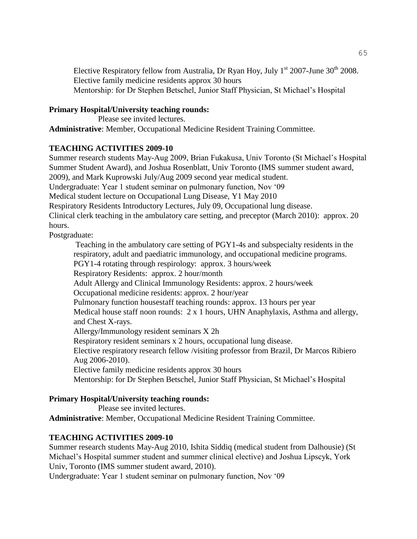Elective Respiratory fellow from Australia, Dr Ryan Hoy, July  $1<sup>st</sup>$  2007-June 30<sup>th</sup> 2008. Elective family medicine residents approx 30 hours Mentorship: for Dr Stephen Betschel, Junior Staff Physician, St Michael's Hospital

# **Primary Hospital/University teaching rounds:**

Please see invited lectures. **Administrative**: Member, Occupational Medicine Resident Training Committee.

# **TEACHING ACTIVITIES 2009-10**

Summer research students May-Aug 2009, Brian Fukakusa, Univ Toronto (St Michael's Hospital Summer Student Award), and Joshua Rosenblatt, Univ Toronto (IMS summer student award, 2009), and Mark Kuprowski July/Aug 2009 second year medical student. Undergraduate: Year 1 student seminar on pulmonary function, Nov '09 Medical student lecture on Occupational Lung Disease, Y1 May 2010 Respiratory Residents Introductory Lectures, July 09, Occupational lung disease. Clinical clerk teaching in the ambulatory care setting, and preceptor (March 2010): approx. 20 hours.

Postgraduate:

Teaching in the ambulatory care setting of PGY1-4s and subspecialty residents in the respiratory, adult and paediatric immunology, and occupational medicine programs. PGY1-4 rotating through respirology: approx. 3 hours/week Respiratory Residents: approx. 2 hour/month Adult Allergy and Clinical Immunology Residents: approx. 2 hours/week Occupational medicine residents: approx. 2 hour/year Pulmonary function housestaff teaching rounds: approx. 13 hours per year Medical house staff noon rounds: 2 x 1 hours, UHN Anaphylaxis, Asthma and allergy, and Chest X-rays. Allergy/Immunology resident seminars X 2h Respiratory resident seminars x 2 hours, occupational lung disease. Elective respiratory research fellow /visiting professor from Brazil, Dr Marcos Ribiero Aug 2006-2010). Elective family medicine residents approx 30 hours Mentorship: for Dr Stephen Betschel, Junior Staff Physician, St Michael's Hospital

# **Primary Hospital/University teaching rounds:**

Please see invited lectures.

**Administrative**: Member, Occupational Medicine Resident Training Committee.

# **TEACHING ACTIVITIES 2009-10**

Summer research students May-Aug 2010, Ishita Siddiq (medical student from Dalhousie) (St Michael's Hospital summer student and summer clinical elective) and Joshua Lipscyk, York Univ, Toronto (IMS summer student award, 2010).

Undergraduate: Year 1 student seminar on pulmonary function, Nov '09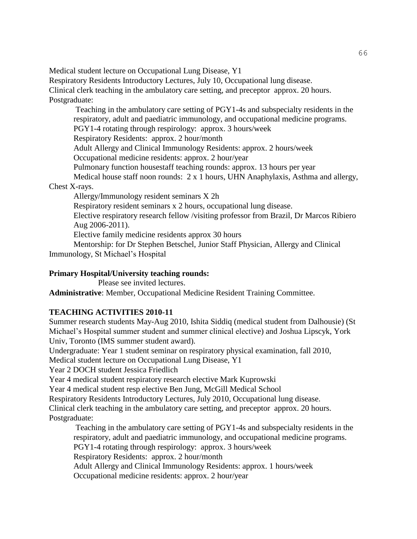Medical student lecture on Occupational Lung Disease, Y1

Respiratory Residents Introductory Lectures, July 10, Occupational lung disease.

Clinical clerk teaching in the ambulatory care setting, and preceptor approx. 20 hours. Postgraduate:

Teaching in the ambulatory care setting of PGY1-4s and subspecialty residents in the respiratory, adult and paediatric immunology, and occupational medicine programs. PGY1-4 rotating through respirology: approx. 3 hours/week Respiratory Residents: approx. 2 hour/month Adult Allergy and Clinical Immunology Residents: approx. 2 hours/week Occupational medicine residents: approx. 2 hour/year Pulmonary function housestaff teaching rounds: approx. 13 hours per year Medical house staff noon rounds: 2 x 1 hours, UHN Anaphylaxis, Asthma and allergy,

# Chest X-rays.

Allergy/Immunology resident seminars X 2h

Respiratory resident seminars x 2 hours, occupational lung disease.

Elective respiratory research fellow /visiting professor from Brazil, Dr Marcos Ribiero Aug 2006-2011).

Elective family medicine residents approx 30 hours

Mentorship: for Dr Stephen Betschel, Junior Staff Physician, Allergy and Clinical Immunology, St Michael's Hospital

# **Primary Hospital/University teaching rounds:**

Please see invited lectures.

**Administrative**: Member, Occupational Medicine Resident Training Committee.

# **TEACHING ACTIVITIES 2010-11**

Summer research students May-Aug 2010, Ishita Siddiq (medical student from Dalhousie) (St Michael's Hospital summer student and summer clinical elective) and Joshua Lipscyk, York Univ, Toronto (IMS summer student award).

Undergraduate: Year 1 student seminar on respiratory physical examination, fall 2010,

Medical student lecture on Occupational Lung Disease, Y1

Year 2 DOCH student Jessica Friedlich

Year 4 medical student respiratory research elective Mark Kuprowski

Year 4 medical student resp elective Ben Jung, McGill Medical School

Respiratory Residents Introductory Lectures, July 2010, Occupational lung disease.

Clinical clerk teaching in the ambulatory care setting, and preceptor approx. 20 hours. Postgraduate:

Teaching in the ambulatory care setting of PGY1-4s and subspecialty residents in the respiratory, adult and paediatric immunology, and occupational medicine programs. PGY1-4 rotating through respirology: approx. 3 hours/week Respiratory Residents: approx. 2 hour/month

Adult Allergy and Clinical Immunology Residents: approx. 1 hours/week

Occupational medicine residents: approx. 2 hour/year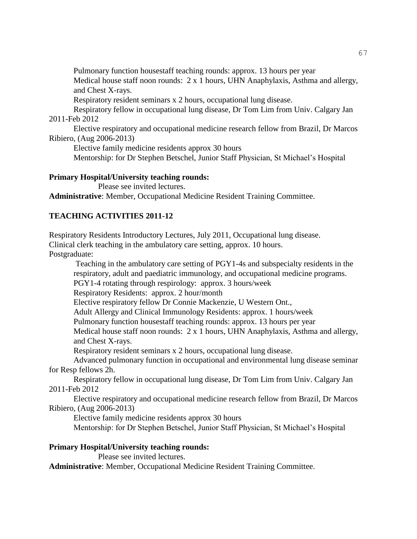Pulmonary function housestaff teaching rounds: approx. 13 hours per year

Medical house staff noon rounds: 2 x 1 hours, UHN Anaphylaxis, Asthma and allergy, and Chest X-rays.

Respiratory resident seminars x 2 hours, occupational lung disease.

Respiratory fellow in occupational lung disease, Dr Tom Lim from Univ. Calgary Jan 2011-Feb 2012

Elective respiratory and occupational medicine research fellow from Brazil, Dr Marcos Ribiero, (Aug 2006-2013)

Elective family medicine residents approx 30 hours

Mentorship: for Dr Stephen Betschel, Junior Staff Physician, St Michael's Hospital

#### **Primary Hospital/University teaching rounds:**

Please see invited lectures.

**Administrative**: Member, Occupational Medicine Resident Training Committee.

# **TEACHING ACTIVITIES 2011-12**

Respiratory Residents Introductory Lectures, July 2011, Occupational lung disease. Clinical clerk teaching in the ambulatory care setting, approx. 10 hours.

Postgraduate:

Teaching in the ambulatory care setting of PGY1-4s and subspecialty residents in the respiratory, adult and paediatric immunology, and occupational medicine programs.

PGY1-4 rotating through respirology: approx. 3 hours/week

Respiratory Residents: approx. 2 hour/month

Elective respiratory fellow Dr Connie Mackenzie, U Western Ont.,

Adult Allergy and Clinical Immunology Residents: approx. 1 hours/week

Pulmonary function housestaff teaching rounds: approx. 13 hours per year

Medical house staff noon rounds: 2 x 1 hours, UHN Anaphylaxis, Asthma and allergy, and Chest X-rays.

Respiratory resident seminars x 2 hours, occupational lung disease.

Advanced pulmonary function in occupational and environmental lung disease seminar for Resp fellows 2h.

Respiratory fellow in occupational lung disease, Dr Tom Lim from Univ. Calgary Jan 2011-Feb 2012

Elective respiratory and occupational medicine research fellow from Brazil, Dr Marcos Ribiero, (Aug 2006-2013)

Elective family medicine residents approx 30 hours

Mentorship: for Dr Stephen Betschel, Junior Staff Physician, St Michael's Hospital

# **Primary Hospital/University teaching rounds:**

Please see invited lectures.

**Administrative**: Member, Occupational Medicine Resident Training Committee.